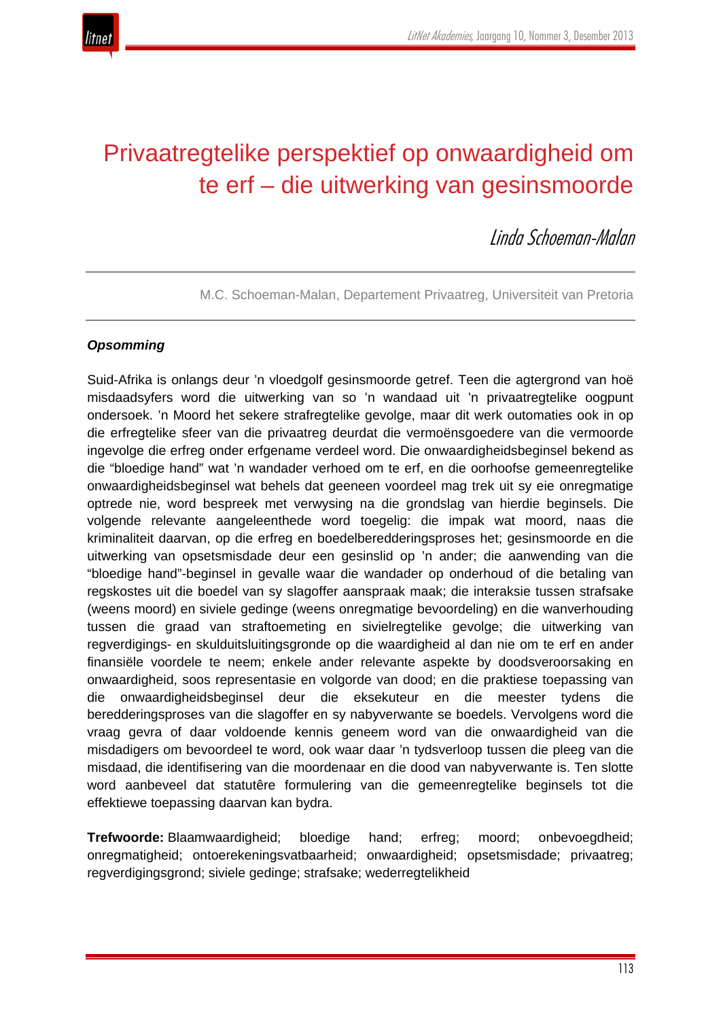

# Privaatregtelike perspektief op onwaardigheid om te erf – die uitwerking van gesinsmoorde

Linda Schoeman-Malan

M.C. Schoeman-Malan, Departement Privaatreg, Universiteit van Pretoria

# *Opsomming*

Suid-Afrika is onlangs deur 'n vloedgolf gesinsmoorde getref. Teen die agtergrond van hoë misdaadsyfers word die uitwerking van so 'n wandaad uit 'n privaatregtelike oogpunt ondersoek. 'n Moord het sekere strafregtelike gevolge, maar dit werk outomaties ook in op die erfregtelike sfeer van die privaatreg deurdat die vermoënsgoedere van die vermoorde ingevolge die erfreg onder erfgename verdeel word. Die onwaardigheidsbeginsel bekend as die "bloedige hand" wat 'n wandader verhoed om te erf, en die oorhoofse gemeenregtelike onwaardigheidsbeginsel wat behels dat geeneen voordeel mag trek uit sy eie onregmatige optrede nie, word bespreek met verwysing na die grondslag van hierdie beginsels. Die volgende relevante aangeleenthede word toegelig: die impak wat moord, naas die kriminaliteit daarvan, op die erfreg en boedelberedderingsproses het; gesinsmoorde en die uitwerking van opsetsmisdade deur een gesinslid op 'n ander; die aanwending van die "bloedige hand"-beginsel in gevalle waar die wandader op onderhoud of die betaling van regskostes uit die boedel van sy slagoffer aanspraak maak; die interaksie tussen strafsake (weens moord) en siviele gedinge (weens onregmatige bevoordeling) en die wanverhouding tussen die graad van straftoemeting en sivielregtelike gevolge; die uitwerking van regverdigings- en skulduitsluitingsgronde op die waardigheid al dan nie om te erf en ander finansiële voordele te neem; enkele ander relevante aspekte by doodsveroorsaking en onwaardigheid, soos representasie en volgorde van dood; en die praktiese toepassing van die onwaardigheidsbeginsel deur die eksekuteur en die meester tydens die beredderingsproses van die slagoffer en sy nabyverwante se boedels. Vervolgens word die vraag gevra of daar voldoende kennis geneem word van die onwaardigheid van die misdadigers om bevoordeel te word, ook waar daar 'n tydsverloop tussen die pleeg van die misdaad, die identifisering van die moordenaar en die dood van nabyverwante is. Ten slotte word aanbeveel dat statutêre formulering van die gemeenregtelike beginsels tot die effektiewe toepassing daarvan kan bydra.

**Trefwoorde:** Blaamwaardigheid; bloedige hand; erfreg; moord; onbevoegdheid; onregmatigheid; ontoerekeningsvatbaarheid; onwaardigheid; opsetsmisdade; privaatreg; regverdigingsgrond; siviele gedinge; strafsake; wederregtelikheid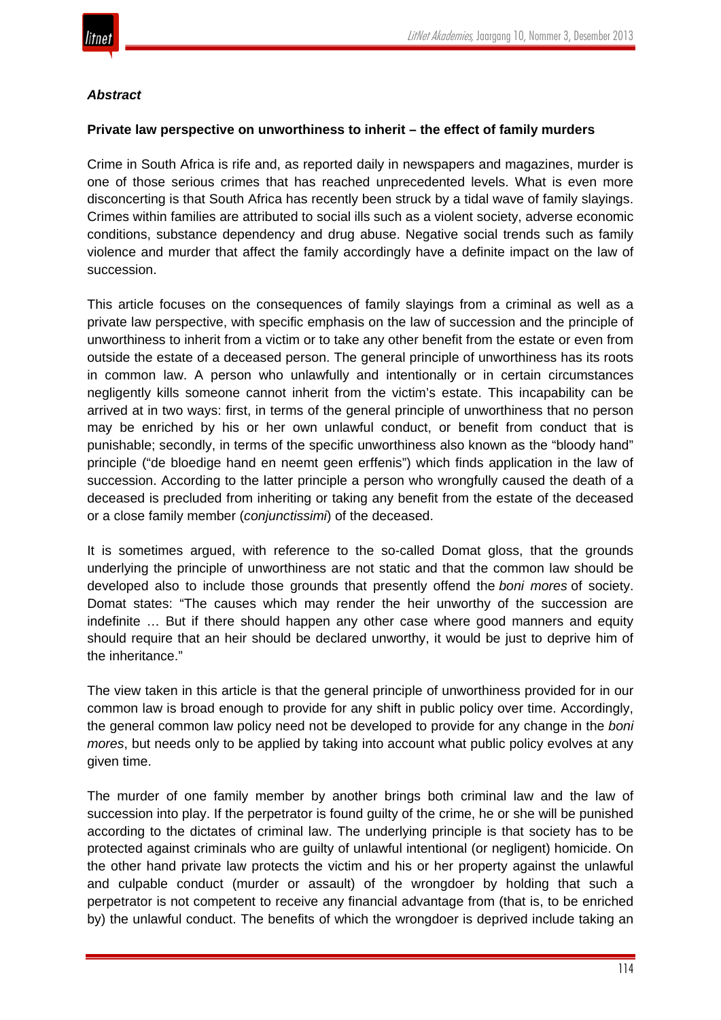

#### *Abstract*

#### **Private law perspective on unworthiness to inherit – the effect of family murders**

Crime in South Africa is rife and, as reported daily in newspapers and magazines, murder is one of those serious crimes that has reached unprecedented levels. What is even more disconcerting is that South Africa has recently been struck by a tidal wave of family slayings. Crimes within families are attributed to social ills such as a violent society, adverse economic conditions, substance dependency and drug abuse. Negative social trends such as family violence and murder that affect the family accordingly have a definite impact on the law of succession.

This article focuses on the consequences of family slayings from a criminal as well as a private law perspective, with specific emphasis on the law of succession and the principle of unworthiness to inherit from a victim or to take any other benefit from the estate or even from outside the estate of a deceased person. The general principle of unworthiness has its roots in common law. A person who unlawfully and intentionally or in certain circumstances negligently kills someone cannot inherit from the victim's estate. This incapability can be arrived at in two ways: first, in terms of the general principle of unworthiness that no person may be enriched by his or her own unlawful conduct, or benefit from conduct that is punishable; secondly, in terms of the specific unworthiness also known as the "bloody hand" principle ("de bloedige hand en neemt geen erffenis") which finds application in the law of succession. According to the latter principle a person who wrongfully caused the death of a deceased is precluded from inheriting or taking any benefit from the estate of the deceased or a close family member (*conjunctissimi*) of the deceased.

It is sometimes argued, with reference to the so-called Domat gloss, that the grounds underlying the principle of unworthiness are not static and that the common law should be developed also to include those grounds that presently offend the *boni mores* of society. Domat states: "The causes which may render the heir unworthy of the succession are indefinite … But if there should happen any other case where good manners and equity should require that an heir should be declared unworthy, it would be just to deprive him of the inheritance."

The view taken in this article is that the general principle of unworthiness provided for in our common law is broad enough to provide for any shift in public policy over time. Accordingly, the general common law policy need not be developed to provide for any change in the *boni mores*, but needs only to be applied by taking into account what public policy evolves at any given time.

The murder of one family member by another brings both criminal law and the law of succession into play. If the perpetrator is found guilty of the crime, he or she will be punished according to the dictates of criminal law. The underlying principle is that society has to be protected against criminals who are guilty of unlawful intentional (or negligent) homicide. On the other hand private law protects the victim and his or her property against the unlawful and culpable conduct (murder or assault) of the wrongdoer by holding that such a perpetrator is not competent to receive any financial advantage from (that is, to be enriched by) the unlawful conduct. The benefits of which the wrongdoer is deprived include taking an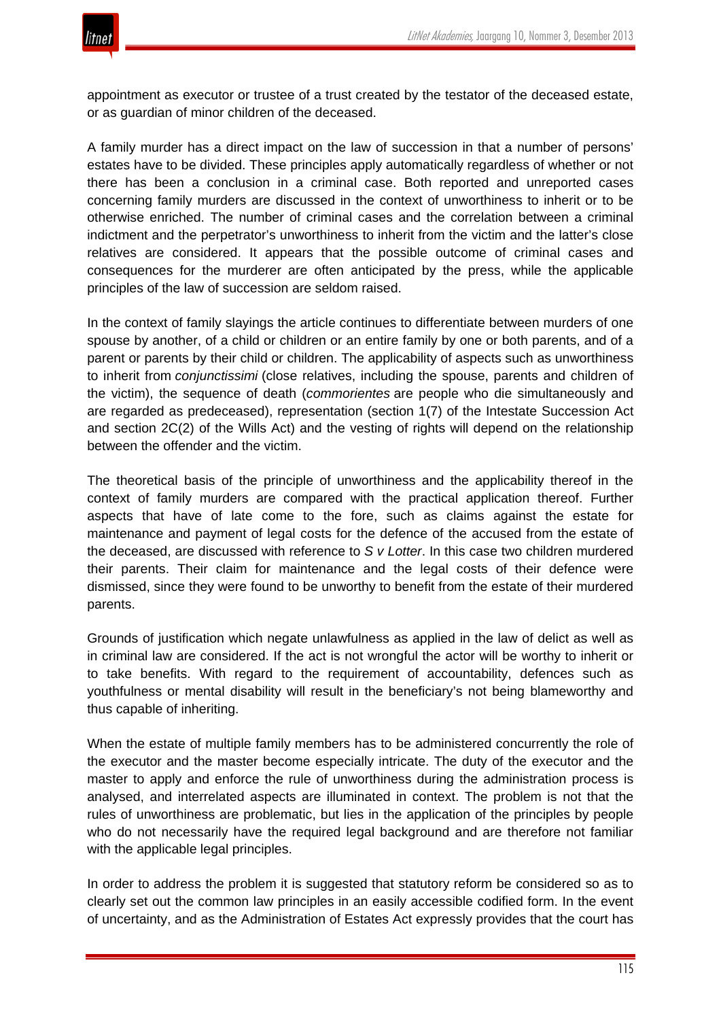

appointment as executor or trustee of a trust created by the testator of the deceased estate, or as guardian of minor children of the deceased.

A family murder has a direct impact on the law of succession in that a number of persons' estates have to be divided. These principles apply automatically regardless of whether or not there has been a conclusion in a criminal case. Both reported and unreported cases concerning family murders are discussed in the context of unworthiness to inherit or to be otherwise enriched. The number of criminal cases and the correlation between a criminal indictment and the perpetrator's unworthiness to inherit from the victim and the latter's close relatives are considered. It appears that the possible outcome of criminal cases and consequences for the murderer are often anticipated by the press, while the applicable principles of the law of succession are seldom raised.

In the context of family slayings the article continues to differentiate between murders of one spouse by another, of a child or children or an entire family by one or both parents, and of a parent or parents by their child or children. The applicability of aspects such as unworthiness to inherit from *conjunctissimi* (close relatives, including the spouse, parents and children of the victim), the sequence of death (*commorientes* are people who die simultaneously and are regarded as predeceased), representation (section 1(7) of the Intestate Succession Act and section 2C(2) of the Wills Act) and the vesting of rights will depend on the relationship between the offender and the victim.

The theoretical basis of the principle of unworthiness and the applicability thereof in the context of family murders are compared with the practical application thereof. Further aspects that have of late come to the fore, such as claims against the estate for maintenance and payment of legal costs for the defence of the accused from the estate of the deceased, are discussed with reference to *S v Lotter*. In this case two children murdered their parents. Their claim for maintenance and the legal costs of their defence were dismissed, since they were found to be unworthy to benefit from the estate of their murdered parents.

Grounds of justification which negate unlawfulness as applied in the law of delict as well as in criminal law are considered. If the act is not wrongful the actor will be worthy to inherit or to take benefits. With regard to the requirement of accountability, defences such as youthfulness or mental disability will result in the beneficiary's not being blameworthy and thus capable of inheriting.

When the estate of multiple family members has to be administered concurrently the role of the executor and the master become especially intricate. The duty of the executor and the master to apply and enforce the rule of unworthiness during the administration process is analysed, and interrelated aspects are illuminated in context. The problem is not that the rules of unworthiness are problematic, but lies in the application of the principles by people who do not necessarily have the required legal background and are therefore not familiar with the applicable legal principles.

In order to address the problem it is suggested that statutory reform be considered so as to clearly set out the common law principles in an easily accessible codified form. In the event of uncertainty, and as the Administration of Estates Act expressly provides that the court has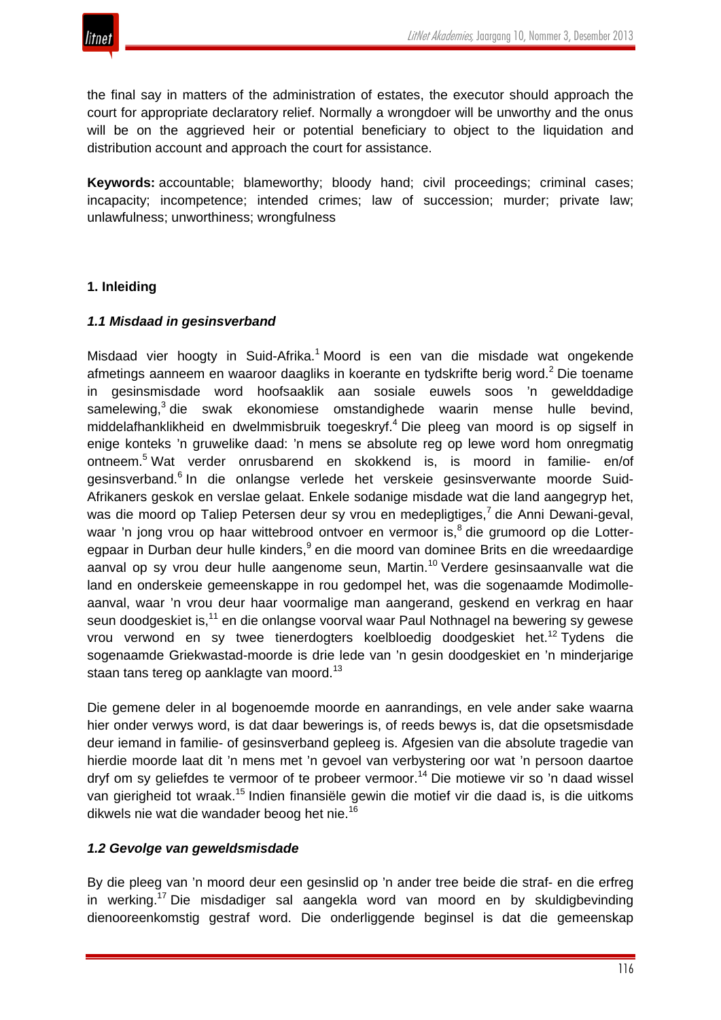

the final say in matters of the administration of estates, the executor should approach the court for appropriate declaratory relief. Normally a wrongdoer will be unworthy and the onus will be on the aggrieved heir or potential beneficiary to object to the liquidation and distribution account and approach the court for assistance.

**Keywords:** accountable; blameworthy; bloody hand; civil proceedings; criminal cases; incapacity; incompetence; intended crimes; law of succession; murder; private law; unlawfulness; unworthiness; wrongfulness

## **1. Inleiding**

#### *1.1 Misdaad in gesinsverband*

Misdaad vier hoogty in Suid-Afrika.<sup>1</sup> Moord is een van die misdade wat ongekende afmetings aanneem en waaroor daagliks in koerante en tydskrifte berig word.<sup>2</sup> Die toename in gesinsmisdade word hoofsaaklik aan sosiale euwels soos 'n gewelddadige samelewing, $3$  die swak ekonomiese omstandighede waarin mense hulle bevind, middelafhanklikheid en dwelmmisbruik toegeskryf.<sup>4</sup> Die pleeg van moord is op sigself in enige konteks 'n gruwelike daad: 'n mens se absolute reg op lewe word hom onregmatig ontneem.<sup>5</sup> Wat verder onrusbarend en skokkend is, is moord in familie- en/of gesinsverband.<sup>6</sup> In die onlangse verlede het verskeie gesinsverwante moorde Suid-Afrikaners geskok en verslae gelaat. Enkele sodanige misdade wat die land aangegryp het, was die moord op Taliep Petersen deur sy vrou en medepligtiges,<sup>7</sup> die Anni Dewani-geval, waar 'n jong vrou op haar wittebrood ontvoer en vermoor is,<sup>8</sup> die grumoord op die Lotteregpaar in Durban deur hulle kinders,<sup>9</sup> en die moord van dominee Brits en die wreedaardige aanval op sy vrou deur hulle aangenome seun, Martin.<sup>10</sup> Verdere gesinsaanvalle wat die land en onderskeie gemeenskappe in rou gedompel het, was die sogenaamde Modimolleaanval, waar 'n vrou deur haar voormalige man aangerand, geskend en verkrag en haar seun doodgeskiet is,<sup>11</sup> en die onlangse voorval waar Paul Nothnagel na bewering sy gewese vrou verwond en sy twee tienerdogters koelbloedig doodgeskiet het.<sup>12</sup> Tydens die sogenaamde Griekwastad-moorde is drie lede van 'n gesin doodgeskiet en 'n minderjarige staan tans tereg op aanklagte van moord.<sup>13</sup>

Die gemene deler in al bogenoemde moorde en aanrandings, en vele ander sake waarna hier onder verwys word, is dat daar bewerings is, of reeds bewys is, dat die opsetsmisdade deur iemand in familie- of gesinsverband gepleeg is. Afgesien van die absolute tragedie van hierdie moorde laat dit 'n mens met 'n gevoel van verbystering oor wat 'n persoon daartoe dryf om sy geliefdes te vermoor of te probeer vermoor.<sup>14</sup> Die motiewe vir so 'n daad wissel van gierigheid tot wraak.<sup>15</sup> Indien finansiële gewin die motief vir die daad is, is die uitkoms dikwels nie wat die wandader beoog het nie.<sup>16</sup>

#### *1.2 Gevolge van geweldsmisdade*

By die pleeg van 'n moord deur een gesinslid op 'n ander tree beide die straf- en die erfreg in werking.17 Die misdadiger sal aangekla word van moord en by skuldigbevinding dienooreenkomstig gestraf word. Die onderliggende beginsel is dat die gemeenskap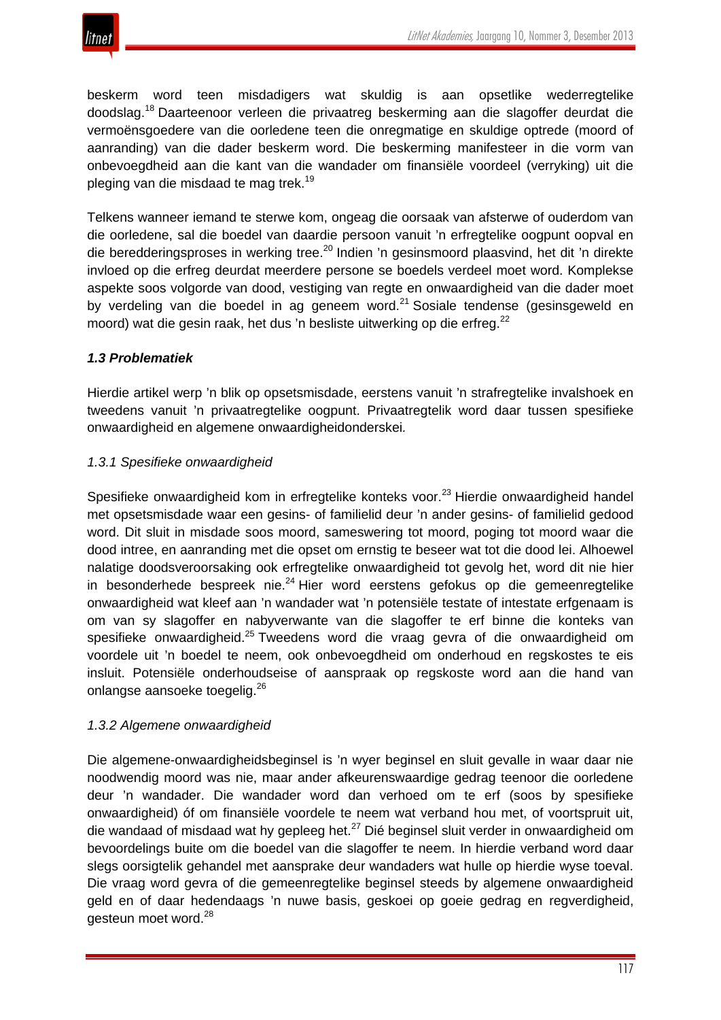

beskerm word teen misdadigers wat skuldig is aan opsetlike wederregtelike doodslag.<sup>18</sup> Daarteenoor verleen die privaatreg beskerming aan die slagoffer deurdat die vermoënsgoedere van die oorledene teen die onregmatige en skuldige optrede (moord of aanranding) van die dader beskerm word. Die beskerming manifesteer in die vorm van onbevoegdheid aan die kant van die wandader om finansiële voordeel (verryking) uit die pleging van die misdaad te mag trek.<sup>19</sup>

Telkens wanneer iemand te sterwe kom, ongeag die oorsaak van afsterwe of ouderdom van die oorledene, sal die boedel van daardie persoon vanuit 'n erfregtelike oogpunt oopval en die beredderingsproses in werking tree.<sup>20</sup> Indien 'n gesinsmoord plaasvind, het dit 'n direkte invloed op die erfreg deurdat meerdere persone se boedels verdeel moet word. Komplekse aspekte soos volgorde van dood, vestiging van regte en onwaardigheid van die dader moet by verdeling van die boedel in ag geneem word. $21$  Sosiale tendense (gesinsgeweld en moord) wat die gesin raak, het dus 'n besliste uitwerking op die erfreg.<sup>22</sup>

# *1.3 Problematiek*

Hierdie artikel werp 'n blik op opsetsmisdade, eerstens vanuit 'n strafregtelike invalshoek en tweedens vanuit 'n privaatregtelike oogpunt. Privaatregtelik word daar tussen spesifieke onwaardigheid en algemene onwaardigheidonderskei*.*

## *1.3.1 Spesifieke onwaardigheid*

Spesifieke onwaardigheid kom in erfregtelike konteks voor.<sup>23</sup> Hierdie onwaardigheid handel met opsetsmisdade waar een gesins- of familielid deur 'n ander gesins- of familielid gedood word. Dit sluit in misdade soos moord, sameswering tot moord, poging tot moord waar die dood intree, en aanranding met die opset om ernstig te beseer wat tot die dood lei. Alhoewel nalatige doodsveroorsaking ook erfregtelike onwaardigheid tot gevolg het, word dit nie hier in besonderhede bespreek nie. $24$  Hier word eerstens gefokus op die gemeenregtelike onwaardigheid wat kleef aan 'n wandader wat 'n potensiële testate of intestate erfgenaam is om van sy slagoffer en nabyverwante van die slagoffer te erf binne die konteks van spesifieke onwaardigheid.<sup>25</sup> Tweedens word die vraag gevra of die onwaardigheid om voordele uit 'n boedel te neem, ook onbevoegdheid om onderhoud en regskostes te eis insluit. Potensiële onderhoudseise of aanspraak op regskoste word aan die hand van onlangse aansoeke toegelig.<sup>26</sup>

#### *1.3.2 Algemene onwaardigheid*

Die algemene-onwaardigheidsbeginsel is 'n wyer beginsel en sluit gevalle in waar daar nie noodwendig moord was nie, maar ander afkeurenswaardige gedrag teenoor die oorledene deur 'n wandader. Die wandader word dan verhoed om te erf (soos by spesifieke onwaardigheid) óf om finansiële voordele te neem wat verband hou met, of voortspruit uit, die wandaad of misdaad wat hy gepleeg het. $^{27}$  Dié beginsel sluit verder in onwaardigheid om bevoordelings buite om die boedel van die slagoffer te neem. In hierdie verband word daar slegs oorsigtelik gehandel met aansprake deur wandaders wat hulle op hierdie wyse toeval. Die vraag word gevra of die gemeenregtelike beginsel steeds by algemene onwaardigheid geld en of daar hedendaags 'n nuwe basis, geskoei op goeie gedrag en regverdigheid, gesteun moet word.<sup>28</sup>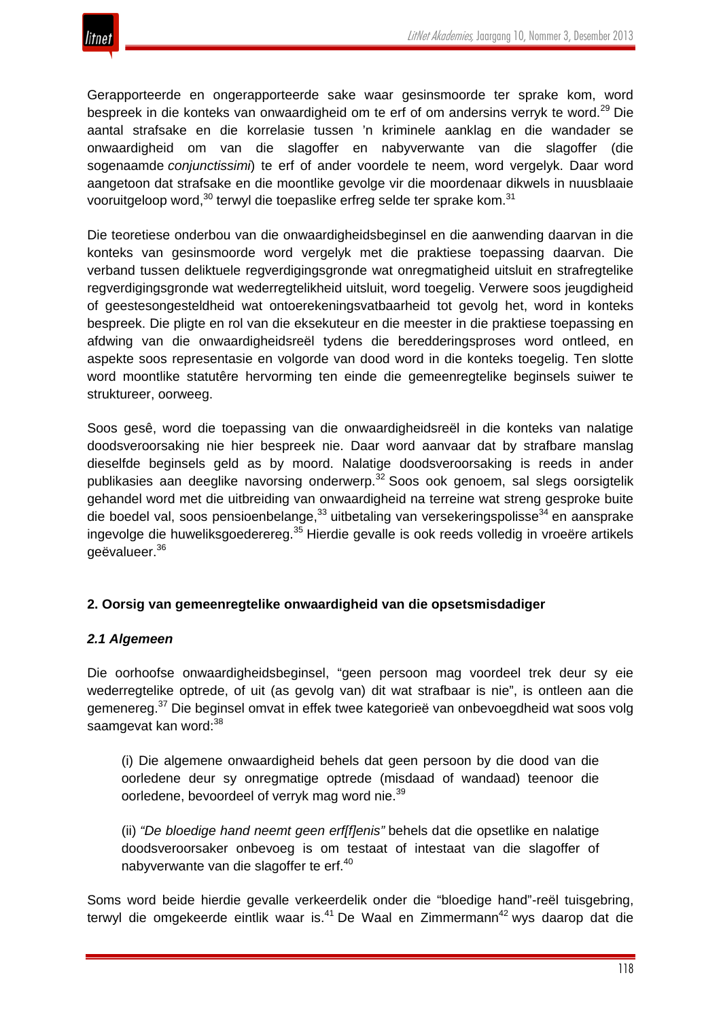Gerapporteerde en ongerapporteerde sake waar gesinsmoorde ter sprake kom, word bespreek in die konteks van onwaardigheid om te erf of om andersins verryk te word.<sup>29</sup> Die aantal strafsake en die korrelasie tussen 'n kriminele aanklag en die wandader se onwaardigheid om van die slagoffer en nabyverwante van die slagoffer (die sogenaamde *conjunctissimi*) te erf of ander voordele te neem, word vergelyk. Daar word aangetoon dat strafsake en die moontlike gevolge vir die moordenaar dikwels in nuusblaaie vooruitgeloop word,<sup>30</sup> terwyl die toepaslike erfreg selde ter sprake kom.<sup>31</sup>

Die teoretiese onderbou van die onwaardigheidsbeginsel en die aanwending daarvan in die konteks van gesinsmoorde word vergelyk met die praktiese toepassing daarvan. Die verband tussen deliktuele regverdigingsgronde wat onregmatigheid uitsluit en strafregtelike regverdigingsgronde wat wederregtelikheid uitsluit, word toegelig. Verwere soos jeugdigheid of geestesongesteldheid wat ontoerekeningsvatbaarheid tot gevolg het, word in konteks bespreek. Die pligte en rol van die eksekuteur en die meester in die praktiese toepassing en afdwing van die onwaardigheidsreël tydens die beredderingsproses word ontleed, en aspekte soos representasie en volgorde van dood word in die konteks toegelig. Ten slotte word moontlike statutêre hervorming ten einde die gemeenregtelike beginsels suiwer te struktureer, oorweeg.

Soos gesê, word die toepassing van die onwaardigheidsreël in die konteks van nalatige doodsveroorsaking nie hier bespreek nie. Daar word aanvaar dat by strafbare manslag dieselfde beginsels geld as by moord. Nalatige doodsveroorsaking is reeds in ander publikasies aan deeglike navorsing onderwerp.<sup>32</sup> Soos ook genoem, sal slegs oorsigtelik gehandel word met die uitbreiding van onwaardigheid na terreine wat streng gesproke buite die boedel val, soos pensioenbelange,  $33$  uitbetaling van versekeringspolisse $34$  en aansprake ingevolge die huweliksgoederereg.<sup>35</sup> Hierdie gevalle is ook reeds volledig in vroeëre artikels geëvalueer.<sup>36</sup>

#### **2. Oorsig van gemeenregtelike onwaardigheid van die opsetsmisdadiger**

#### *2.1 Algemeen*

Die oorhoofse onwaardigheidsbeginsel, "geen persoon mag voordeel trek deur sy eie wederregtelike optrede, of uit (as gevolg van) dit wat strafbaar is nie", is ontleen aan die gemenereg.<sup>37</sup> Die beginsel omvat in effek twee kategorieë van onbevoegdheid wat soos volg saamgevat kan word:<sup>38</sup>

(i) Die algemene onwaardigheid behels dat geen persoon by die dood van die oorledene deur sy onregmatige optrede (misdaad of wandaad) teenoor die oorledene, bevoordeel of verryk mag word nie.<sup>39</sup>

(ii) *"De bloedige hand neemt geen erf[f]enis"* behels dat die opsetlike en nalatige doodsveroorsaker onbevoeg is om testaat of intestaat van die slagoffer of nabyverwante van die slagoffer te erf.<sup>40</sup>

Soms word beide hierdie gevalle verkeerdelik onder die "bloedige hand"-reël tuisgebring, terwyl die omgekeerde eintlik waar is.<sup>41</sup> De Waal en Zimmermann<sup>42</sup> wys daarop dat die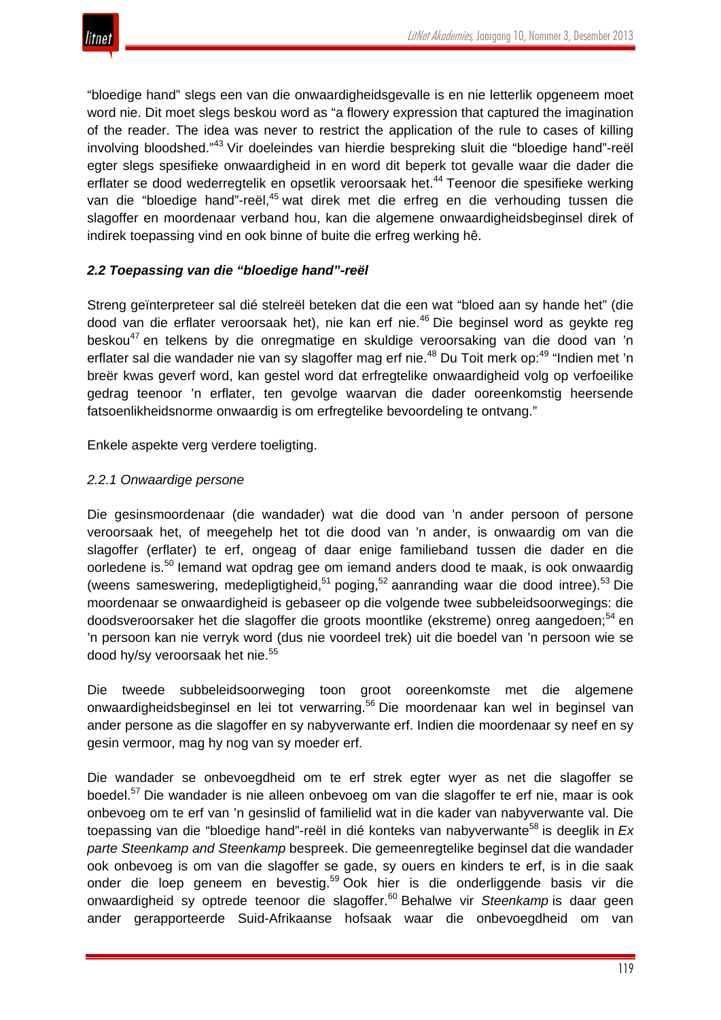"bloedige hand" slegs een van die onwaardigheidsgevalle is en nie letterlik opgeneem moet word nie. Dit moet slegs beskou word as "a flowery expression that captured the imagination of the reader. The idea was never to restrict the application of the rule to cases of killing involving bloodshed."<sup>43</sup> Vir doeleindes van hierdie bespreking sluit die "bloedige hand"-reël egter slegs spesifieke onwaardigheid in en word dit beperk tot gevalle waar die dader die erflater se dood wederregtelik en opsetlik veroorsaak het.<sup>44</sup> Teenoor die spesifieke werking van die "bloedige hand"-reël,<sup>45</sup> wat direk met die erfreg en die verhouding tussen die slagoffer en moordenaar verband hou, kan die algemene onwaardigheidsbeginsel direk of indirek toepassing vind en ook binne of buite die erfreg werking hê.

# *2.2 Toepassing van die "bloedige hand"-reël*

Streng geïnterpreteer sal dié stelreël beteken dat die een wat "bloed aan sy hande het" (die dood van die erflater veroorsaak het), nie kan erf nie.<sup>46</sup> Die beginsel word as geykte reg beskou<sup>47</sup> en telkens by die onregmatige en skuldige veroorsaking van die dood van 'n erflater sal die wandader nie van sy slagoffer mag erf nie.<sup>48</sup> Du Toit merk op:<sup>49</sup> "Indien met 'n breër kwas geverf word, kan gestel word dat erfregtelike onwaardigheid volg op verfoeilike gedrag teenoor 'n erflater, ten gevolge waarvan die dader ooreenkomstig heersende fatsoenlikheidsnorme onwaardig is om erfregtelike bevoordeling te ontvang."

Enkele aspekte verg verdere toeligting.

# *2.2.1 Onwaardige persone*

Die gesinsmoordenaar (die wandader) wat die dood van 'n ander persoon of persone veroorsaak het, of meegehelp het tot die dood van 'n ander, is onwaardig om van die slagoffer (erflater) te erf, ongeag of daar enige familieband tussen die dader en die oorledene is.<sup>50</sup> Iemand wat opdrag gee om iemand anders dood te maak, is ook onwaardig (weens sameswering, medepligtigheid, $51$  poging, $52$  aanranding waar die dood intree).  $53$  Die moordenaar se onwaardigheid is gebaseer op die volgende twee subbeleidsoorwegings: die doodsveroorsaker het die slagoffer die groots moontlike (ekstreme) onreg aangedoen;<sup>54</sup> en 'n persoon kan nie verryk word (dus nie voordeel trek) uit die boedel van 'n persoon wie se dood hy/sy veroorsaak het nie.<sup>55</sup>

Die tweede subbeleidsoorweging toon groot ooreenkomste met die algemene onwaardigheidsbeginsel en lei tot verwarring.<sup>56</sup> Die moordenaar kan wel in beginsel van ander persone as die slagoffer en sy nabyverwante erf. Indien die moordenaar sy neef en sy gesin vermoor, mag hy nog van sy moeder erf.

Die wandader se onbevoegdheid om te erf strek egter wyer as net die slagoffer se boedel.<sup>57</sup> Die wandader is nie alleen onbevoeg om van die slagoffer te erf nie, maar is ook onbevoeg om te erf van 'n gesinslid of familielid wat in die kader van nabyverwante val. Die toepassing van die "bloedige hand"-reël in dié konteks van nabyverwante<sup>58</sup> is deeglik in *Ex parte Steenkamp and Steenkamp* bespreek. Die gemeenregtelike beginsel dat die wandader ook onbevoeg is om van die slagoffer se gade, sy ouers en kinders te erf, is in die saak onder die loep geneem en bevestig.<sup>59</sup> Ook hier is die onderliggende basis vir die onwaardigheid sy optrede teenoor die slagoffer.<sup>60</sup> Behalwe vir *Steenkamp* is daar geen ander gerapporteerde Suid-Afrikaanse hofsaak waar die onbevoegdheid om van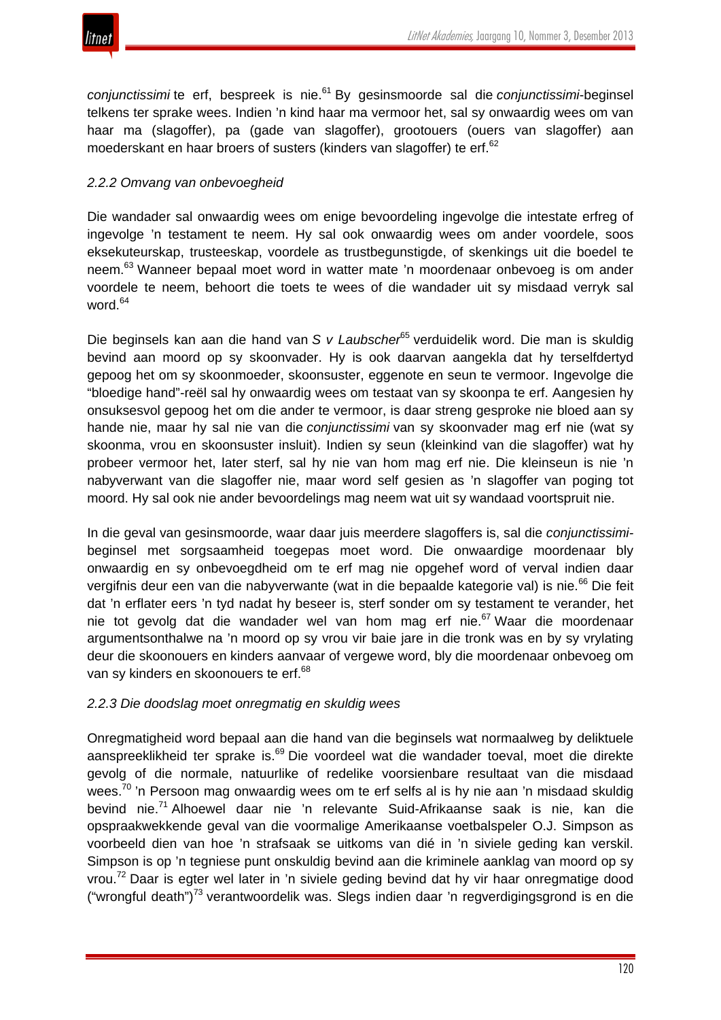

*conjunctissimi* te erf, bespreek is nie.<sup>61</sup> By gesinsmoorde sal die *conjunctissimi*-beginsel telkens ter sprake wees. Indien 'n kind haar ma vermoor het, sal sy onwaardig wees om van haar ma (slagoffer), pa (gade van slagoffer), grootouers (ouers van slagoffer) aan moederskant en haar broers of susters (kinders van slagoffer) te erf.<sup>62</sup>

# *2.2.2 Omvang van onbevoegheid*

Die wandader sal onwaardig wees om enige bevoordeling ingevolge die intestate erfreg of ingevolge 'n testament te neem. Hy sal ook onwaardig wees om ander voordele, soos eksekuteurskap, trusteeskap, voordele as trustbegunstigde, of skenkings uit die boedel te neem.<sup>63</sup> Wanneer bepaal moet word in watter mate 'n moordenaar onbevoeg is om ander voordele te neem, behoort die toets te wees of die wandader uit sy misdaad verryk sal word.<sup>64</sup>

Die beginsels kan aan die hand van *S v Laubscher*<sup>65</sup> verduidelik word. Die man is skuldig bevind aan moord op sy skoonvader. Hy is ook daarvan aangekla dat hy terselfdertyd gepoog het om sy skoonmoeder, skoonsuster, eggenote en seun te vermoor. Ingevolge die "bloedige hand"-reël sal hy onwaardig wees om testaat van sy skoonpa te erf. Aangesien hy onsuksesvol gepoog het om die ander te vermoor, is daar streng gesproke nie bloed aan sy hande nie, maar hy sal nie van die *conjunctissimi* van sy skoonvader mag erf nie (wat sy skoonma, vrou en skoonsuster insluit). Indien sy seun (kleinkind van die slagoffer) wat hy probeer vermoor het, later sterf, sal hy nie van hom mag erf nie. Die kleinseun is nie 'n nabyverwant van die slagoffer nie, maar word self gesien as 'n slagoffer van poging tot moord. Hy sal ook nie ander bevoordelings mag neem wat uit sy wandaad voortspruit nie.

In die geval van gesinsmoorde, waar daar juis meerdere slagoffers is, sal die *conjunctissimi*beginsel met sorgsaamheid toegepas moet word. Die onwaardige moordenaar bly onwaardig en sy onbevoegdheid om te erf mag nie opgehef word of verval indien daar vergifnis deur een van die nabyverwante (wat in die bepaalde kategorie val) is nie.<sup>66</sup> Die feit dat 'n erflater eers 'n tyd nadat hy beseer is, sterf sonder om sy testament te verander, het nie tot gevolg dat die wandader wel van hom mag erf nie.<sup>67</sup> Waar die moordenaar argumentsonthalwe na 'n moord op sy vrou vir baie jare in die tronk was en by sy vrylating deur die skoonouers en kinders aanvaar of vergewe word, bly die moordenaar onbevoeg om van sy kinders en skoonouers te erf.<sup>68</sup>

#### *2.2.3 Die doodslag moet onregmatig en skuldig wees*

Onregmatigheid word bepaal aan die hand van die beginsels wat normaalweg by deliktuele aanspreeklikheid ter sprake is.<sup>69</sup> Die voordeel wat die wandader toeval, moet die direkte gevolg of die normale, natuurlike of redelike voorsienbare resultaat van die misdaad wees.<sup>70</sup> 'n Persoon mag onwaardig wees om te erf selfs al is hy nie aan 'n misdaad skuldig bevind nie.<sup>71</sup> Alhoewel daar nie 'n relevante Suid-Afrikaanse saak is nie, kan die opspraakwekkende geval van die voormalige Amerikaanse voetbalspeler O.J. Simpson as voorbeeld dien van hoe 'n strafsaak se uitkoms van dié in 'n siviele geding kan verskil. Simpson is op 'n tegniese punt onskuldig bevind aan die kriminele aanklag van moord op sy vrou.<sup>72</sup> Daar is egter wel later in 'n siviele geding bevind dat hy vir haar onregmatige dood ("wrongful death")<sup>73</sup> verantwoordelik was. Slegs indien daar 'n regverdigingsgrond is en die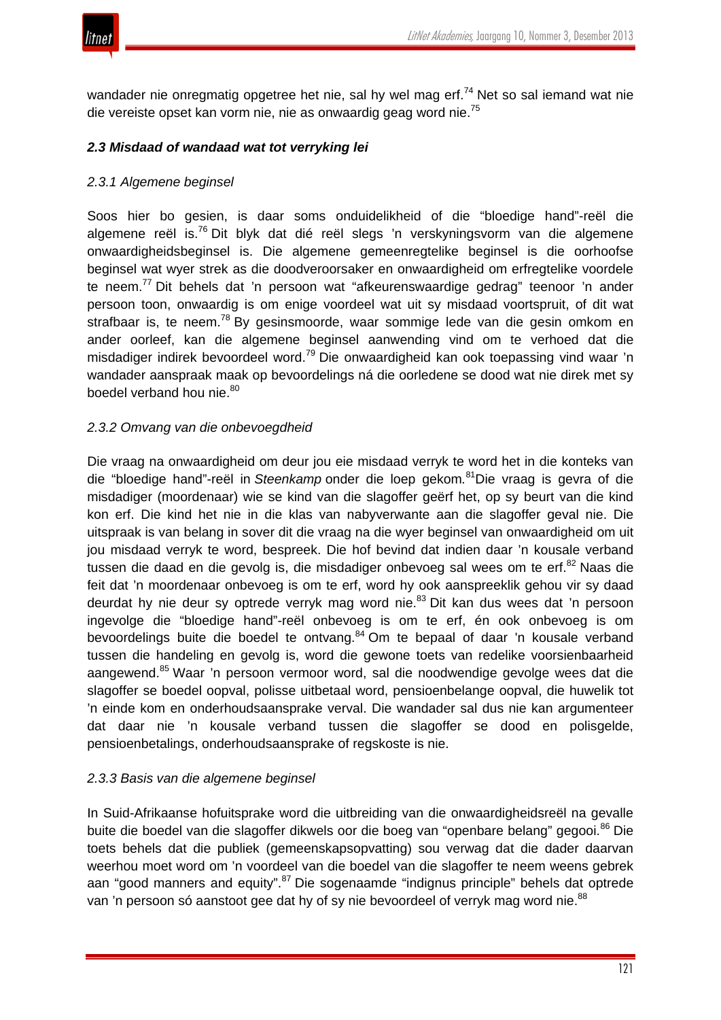

wandader nie onregmatig opgetree het nie, sal hy wel mag erf.<sup>74</sup> Net so sal iemand wat nie die vereiste opset kan vorm nie, nie as onwaardig geag word nie.<sup>75</sup>

## *2.3 Misdaad of wandaad wat tot verryking lei*

#### *2.3.1 Algemene beginsel*

Soos hier bo gesien, is daar soms onduidelikheid of die "bloedige hand"-reël die algemene reël is.<sup>76</sup> Dit blyk dat dié reël slegs 'n verskyningsvorm van die algemene onwaardigheidsbeginsel is. Die algemene gemeenregtelike beginsel is die oorhoofse beginsel wat wyer strek as die doodveroorsaker en onwaardigheid om erfregtelike voordele te neem.<sup>77</sup> Dit behels dat 'n persoon wat "afkeurenswaardige gedrag" teenoor 'n ander persoon toon, onwaardig is om enige voordeel wat uit sy misdaad voortspruit, of dit wat strafbaar is, te neem.<sup>78</sup> By gesinsmoorde, waar sommige lede van die gesin omkom en ander oorleef, kan die algemene beginsel aanwending vind om te verhoed dat die misdadiger indirek bevoordeel word.<sup>79</sup> Die onwaardigheid kan ook toepassing vind waar 'n wandader aanspraak maak op bevoordelings ná die oorledene se dood wat nie direk met sy boedel verband hou nie.<sup>80</sup>

#### *2.3.2 Omvang van die onbevoegdheid*

Die vraag na onwaardigheid om deur jou eie misdaad verryk te word het in die konteks van die "bloedige hand"-reël in *Steenkamp* onder die loep gekom*.* 81Die vraag is gevra of die misdadiger (moordenaar) wie se kind van die slagoffer geërf het, op sy beurt van die kind kon erf. Die kind het nie in die klas van nabyverwante aan die slagoffer geval nie. Die uitspraak is van belang in sover dit die vraag na die wyer beginsel van onwaardigheid om uit jou misdaad verryk te word, bespreek. Die hof bevind dat indien daar 'n kousale verband tussen die daad en die gevolg is, die misdadiger onbevoeg sal wees om te erf.<sup>82</sup> Naas die feit dat 'n moordenaar onbevoeg is om te erf, word hy ook aanspreeklik gehou vir sy daad deurdat hy nie deur sy optrede verryk mag word nie.<sup>83</sup> Dit kan dus wees dat 'n persoon ingevolge die "bloedige hand"-reël onbevoeg is om te erf, én ook onbevoeg is om bevoordelings buite die boedel te ontvang.<sup>84</sup> Om te bepaal of daar 'n kousale verband tussen die handeling en gevolg is, word die gewone toets van redelike voorsienbaarheid aangewend.<sup>85</sup> Waar 'n persoon vermoor word, sal die noodwendige gevolge wees dat die slagoffer se boedel oopval, polisse uitbetaal word, pensioenbelange oopval, die huwelik tot 'n einde kom en onderhoudsaansprake verval. Die wandader sal dus nie kan argumenteer dat daar nie 'n kousale verband tussen die slagoffer se dood en polisgelde, pensioenbetalings, onderhoudsaansprake of regskoste is nie.

#### *2.3.3 Basis van die algemene beginsel*

In Suid-Afrikaanse hofuitsprake word die uitbreiding van die onwaardigheidsreël na gevalle buite die boedel van die slagoffer dikwels oor die boeg van "openbare belang" gegooi.<sup>86</sup> Die toets behels dat die publiek (gemeenskapsopvatting) sou verwag dat die dader daarvan weerhou moet word om 'n voordeel van die boedel van die slagoffer te neem weens gebrek aan "good manners and equity".<sup>87</sup> Die sogenaamde "indignus principle" behels dat optrede van 'n persoon só aanstoot gee dat hy of sy nie bevoordeel of verryk mag word nie.<sup>88</sup>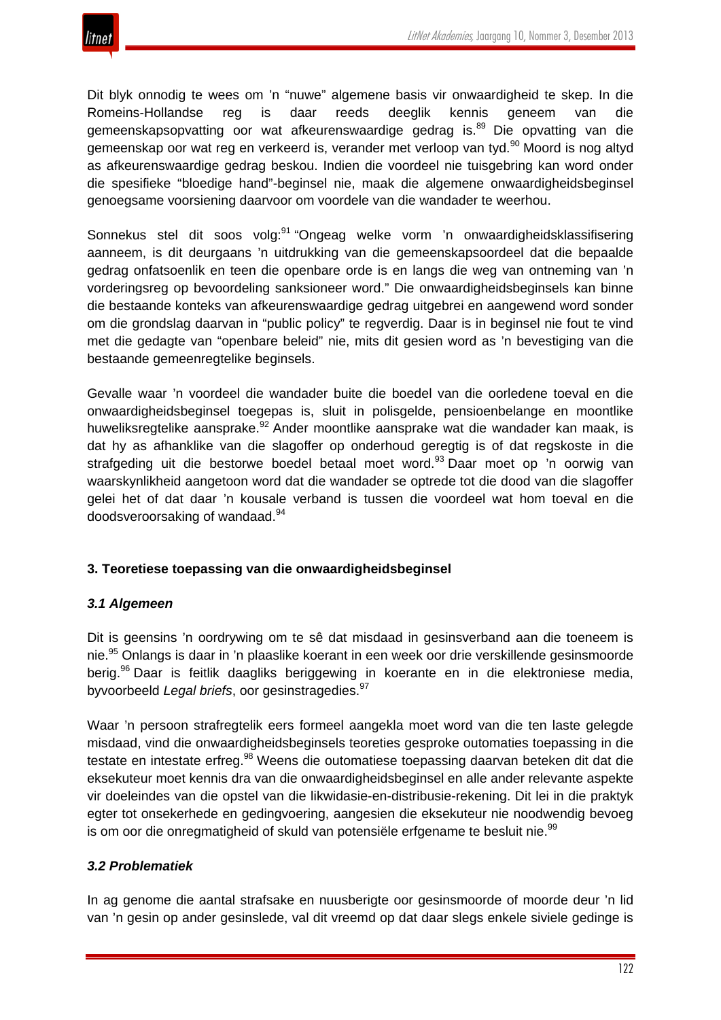

Dit blyk onnodig te wees om 'n "nuwe" algemene basis vir onwaardigheid te skep. In die Romeins-Hollandse reg is daar reeds deeglik kennis geneem van die gemeenskapsopvatting oor wat afkeurenswaardige gedrag is.<sup>89</sup> Die opvatting van die gemeenskap oor wat reg en verkeerd is, verander met verloop van tyd.<sup>90</sup> Moord is nog altyd as afkeurenswaardige gedrag beskou. Indien die voordeel nie tuisgebring kan word onder die spesifieke "bloedige hand"-beginsel nie, maak die algemene onwaardigheidsbeginsel genoegsame voorsiening daarvoor om voordele van die wandader te weerhou.

Sonnekus stel dit soos volg:<sup>91</sup> "Ongeag welke vorm 'n onwaardigheidsklassifisering aanneem, is dit deurgaans 'n uitdrukking van die gemeenskapsoordeel dat die bepaalde gedrag onfatsoenlik en teen die openbare orde is en langs die weg van ontneming van 'n vorderingsreg op bevoordeling sanksioneer word." Die onwaardigheidsbeginsels kan binne die bestaande konteks van afkeurenswaardige gedrag uitgebrei en aangewend word sonder om die grondslag daarvan in "public policy" te regverdig. Daar is in beginsel nie fout te vind met die gedagte van "openbare beleid" nie, mits dit gesien word as 'n bevestiging van die bestaande gemeenregtelike beginsels.

Gevalle waar 'n voordeel die wandader buite die boedel van die oorledene toeval en die onwaardigheidsbeginsel toegepas is, sluit in polisgelde, pensioenbelange en moontlike huweliksregtelike aansprake.<sup>92</sup> Ander moontlike aansprake wat die wandader kan maak, is dat hy as afhanklike van die slagoffer op onderhoud geregtig is of dat regskoste in die strafgeding uit die bestorwe boedel betaal moet word.<sup>93</sup> Daar moet op 'n oorwig van waarskynlikheid aangetoon word dat die wandader se optrede tot die dood van die slagoffer gelei het of dat daar 'n kousale verband is tussen die voordeel wat hom toeval en die doodsveroorsaking of wandaad.<sup>94</sup>

# **3. Teoretiese toepassing van die onwaardigheidsbeginsel**

#### *3.1 Algemeen*

Dit is geensins 'n oordrywing om te sê dat misdaad in gesinsverband aan die toeneem is nie.<sup>95</sup> Onlangs is daar in 'n plaaslike koerant in een week oor drie verskillende gesinsmoorde berig.<sup>96</sup> Daar is feitlik daagliks beriggewing in koerante en in die elektroniese media, byvoorbeeld *Legal briefs*, oor gesinstragedies.<sup>97</sup>

Waar 'n persoon strafregtelik eers formeel aangekla moet word van die ten laste gelegde misdaad, vind die onwaardigheidsbeginsels teoreties gesproke outomaties toepassing in die testate en intestate erfreg.<sup>98</sup> Weens die outomatiese toepassing daarvan beteken dit dat die eksekuteur moet kennis dra van die onwaardigheidsbeginsel en alle ander relevante aspekte vir doeleindes van die opstel van die likwidasie-en-distribusie-rekening. Dit lei in die praktyk egter tot onsekerhede en gedingvoering, aangesien die eksekuteur nie noodwendig bevoeg is om oor die onregmatigheid of skuld van potensiële erfgename te besluit nie.<sup>99</sup>

#### *3.2 Problematiek*

In ag genome die aantal strafsake en nuusberigte oor gesinsmoorde of moorde deur 'n lid van 'n gesin op ander gesinslede, val dit vreemd op dat daar slegs enkele siviele gedinge is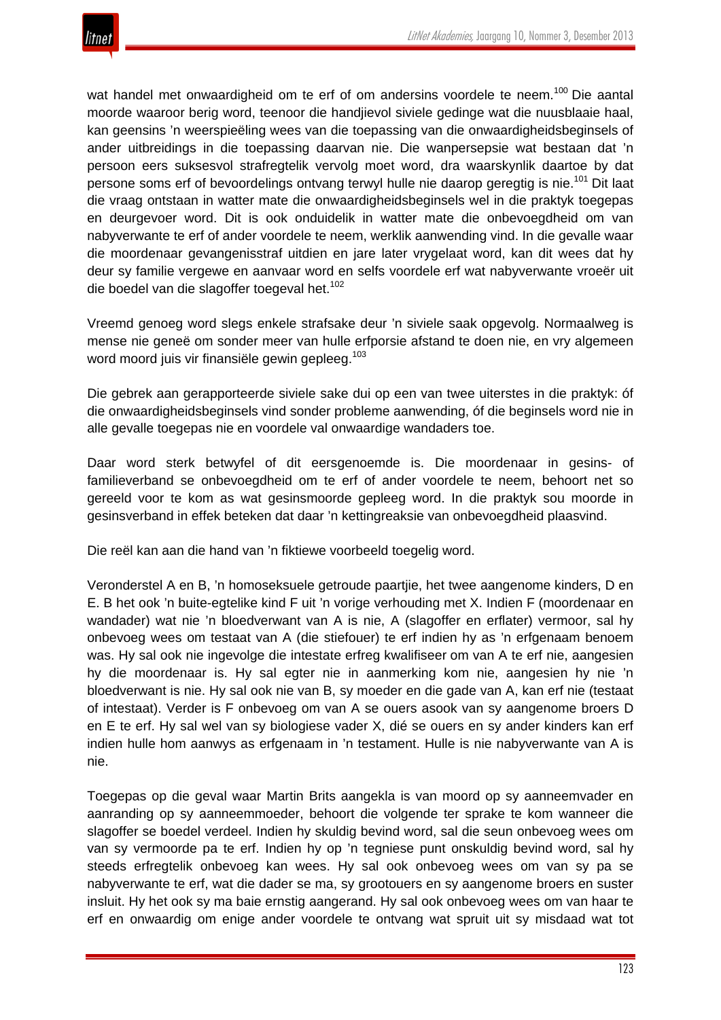

wat handel met onwaardigheid om te erf of om andersins voordele te neem.<sup>100</sup> Die aantal moorde waaroor berig word, teenoor die handjievol siviele gedinge wat die nuusblaaie haal, kan geensins 'n weerspieëling wees van die toepassing van die onwaardigheidsbeginsels of ander uitbreidings in die toepassing daarvan nie. Die wanpersepsie wat bestaan dat 'n persoon eers suksesvol strafregtelik vervolg moet word, dra waarskynlik daartoe by dat persone soms erf of bevoordelings ontvang terwyl hulle nie daarop geregtig is nie.<sup>101</sup> Dit laat die vraag ontstaan in watter mate die onwaardigheidsbeginsels wel in die praktyk toegepas en deurgevoer word. Dit is ook onduidelik in watter mate die onbevoegdheid om van nabyverwante te erf of ander voordele te neem, werklik aanwending vind. In die gevalle waar die moordenaar gevangenisstraf uitdien en jare later vrygelaat word, kan dit wees dat hy deur sy familie vergewe en aanvaar word en selfs voordele erf wat nabyverwante vroeër uit die boedel van die slagoffer toegeval het.<sup>102</sup>

Vreemd genoeg word slegs enkele strafsake deur 'n siviele saak opgevolg. Normaalweg is mense nie geneë om sonder meer van hulle erfporsie afstand te doen nie, en vry algemeen word moord juis vir finansiële gewin gepleeg.<sup>103</sup>

Die gebrek aan gerapporteerde siviele sake dui op een van twee uiterstes in die praktyk: óf die onwaardigheidsbeginsels vind sonder probleme aanwending, óf die beginsels word nie in alle gevalle toegepas nie en voordele val onwaardige wandaders toe.

Daar word sterk betwyfel of dit eersgenoemde is. Die moordenaar in gesins- of familieverband se onbevoegdheid om te erf of ander voordele te neem, behoort net so gereeld voor te kom as wat gesinsmoorde gepleeg word. In die praktyk sou moorde in gesinsverband in effek beteken dat daar 'n kettingreaksie van onbevoegdheid plaasvind.

Die reël kan aan die hand van 'n fiktiewe voorbeeld toegelig word.

Veronderstel A en B, 'n homoseksuele getroude paartjie, het twee aangenome kinders, D en E. B het ook 'n buite-egtelike kind F uit 'n vorige verhouding met X. Indien F (moordenaar en wandader) wat nie 'n bloedverwant van A is nie, A (slagoffer en erflater) vermoor, sal hy onbevoeg wees om testaat van A (die stiefouer) te erf indien hy as 'n erfgenaam benoem was. Hy sal ook nie ingevolge die intestate erfreg kwalifiseer om van A te erf nie, aangesien hy die moordenaar is. Hy sal egter nie in aanmerking kom nie, aangesien hy nie 'n bloedverwant is nie. Hy sal ook nie van B, sy moeder en die gade van A, kan erf nie (testaat of intestaat). Verder is F onbevoeg om van A se ouers asook van sy aangenome broers D en E te erf. Hy sal wel van sy biologiese vader X, dié se ouers en sy ander kinders kan erf indien hulle hom aanwys as erfgenaam in 'n testament. Hulle is nie nabyverwante van A is nie.

Toegepas op die geval waar Martin Brits aangekla is van moord op sy aanneemvader en aanranding op sy aanneemmoeder, behoort die volgende ter sprake te kom wanneer die slagoffer se boedel verdeel. Indien hy skuldig bevind word, sal die seun onbevoeg wees om van sy vermoorde pa te erf. Indien hy op 'n tegniese punt onskuldig bevind word, sal hy steeds erfregtelik onbevoeg kan wees. Hy sal ook onbevoeg wees om van sy pa se nabyverwante te erf, wat die dader se ma, sy grootouers en sy aangenome broers en suster insluit. Hy het ook sy ma baie ernstig aangerand. Hy sal ook onbevoeg wees om van haar te erf en onwaardig om enige ander voordele te ontvang wat spruit uit sy misdaad wat tot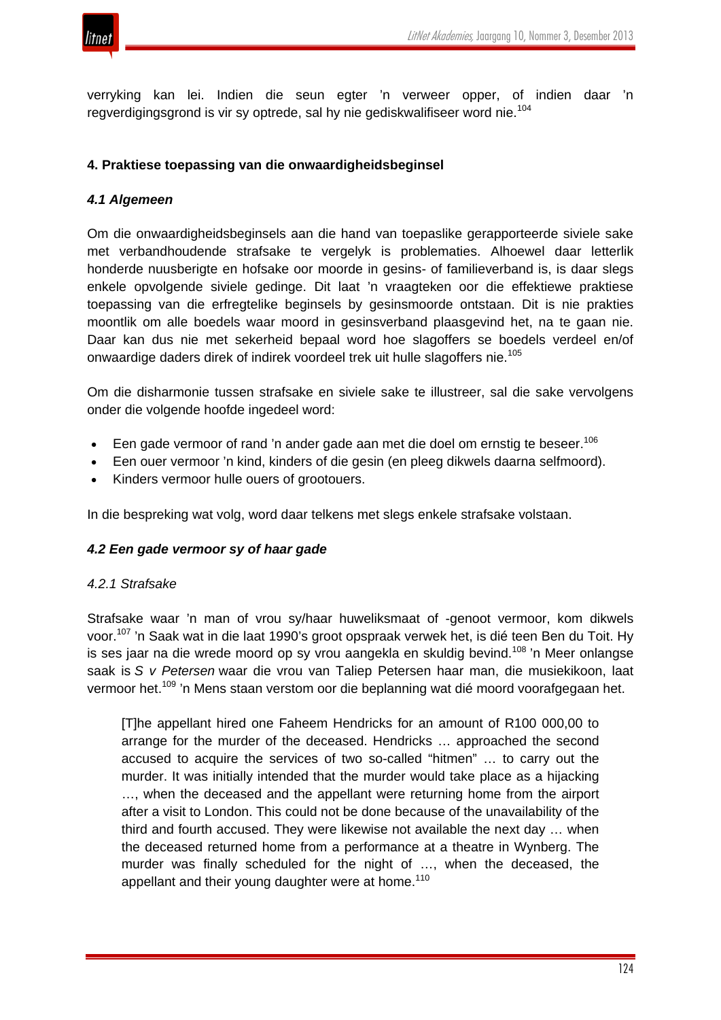

verryking kan lei. Indien die seun egter 'n verweer opper, of indien daar 'n regverdigingsgrond is vir sy optrede, sal hy nie gediskwalifiseer word nie.<sup>104</sup>

#### **4. Praktiese toepassing van die onwaardigheidsbeginsel**

## *4.1 Algemeen*

Om die onwaardigheidsbeginsels aan die hand van toepaslike gerapporteerde siviele sake met verbandhoudende strafsake te vergelyk is problematies. Alhoewel daar letterlik honderde nuusberigte en hofsake oor moorde in gesins- of familieverband is, is daar slegs enkele opvolgende siviele gedinge. Dit laat 'n vraagteken oor die effektiewe praktiese toepassing van die erfregtelike beginsels by gesinsmoorde ontstaan. Dit is nie prakties moontlik om alle boedels waar moord in gesinsverband plaasgevind het, na te gaan nie. Daar kan dus nie met sekerheid bepaal word hoe slagoffers se boedels verdeel en/of onwaardige daders direk of indirek voordeel trek uit hulle slagoffers nie.<sup>105</sup>

Om die disharmonie tussen strafsake en siviele sake te illustreer, sal die sake vervolgens onder die volgende hoofde ingedeel word:

- $\bullet$  Een gade vermoor of rand 'n ander gade aan met die doel om ernstig te beseer.<sup>106</sup>
- Een ouer vermoor 'n kind, kinders of die gesin (en pleeg dikwels daarna selfmoord).
- Kinders vermoor hulle ouers of grootouers.

In die bespreking wat volg, word daar telkens met slegs enkele strafsake volstaan.

#### *4.2 Een gade vermoor sy of haar gade*

#### *4.2.1 Strafsake*

Strafsake waar 'n man of vrou sy/haar huweliksmaat of -genoot vermoor, kom dikwels voor.<sup>107</sup> 'n Saak wat in die laat 1990's groot opspraak verwek het, is dié teen Ben du Toit. Hy is ses jaar na die wrede moord op sy vrou aangekla en skuldig bevind.<sup>108</sup> 'n Meer onlangse saak is *S v Petersen* waar die vrou van Taliep Petersen haar man, die musiekikoon, laat vermoor het.<sup>109</sup> 'n Mens staan verstom oor die beplanning wat dié moord voorafgegaan het.

[T]he appellant hired one Faheem Hendricks for an amount of R100 000,00 to arrange for the murder of the deceased. Hendricks … approached the second accused to acquire the services of two so-called "hitmen" … to carry out the murder. It was initially intended that the murder would take place as a hijacking …, when the deceased and the appellant were returning home from the airport after a visit to London. This could not be done because of the unavailability of the third and fourth accused. They were likewise not available the next day … when the deceased returned home from a performance at a theatre in Wynberg. The murder was finally scheduled for the night of …, when the deceased, the appellant and their young daughter were at home.<sup>110</sup>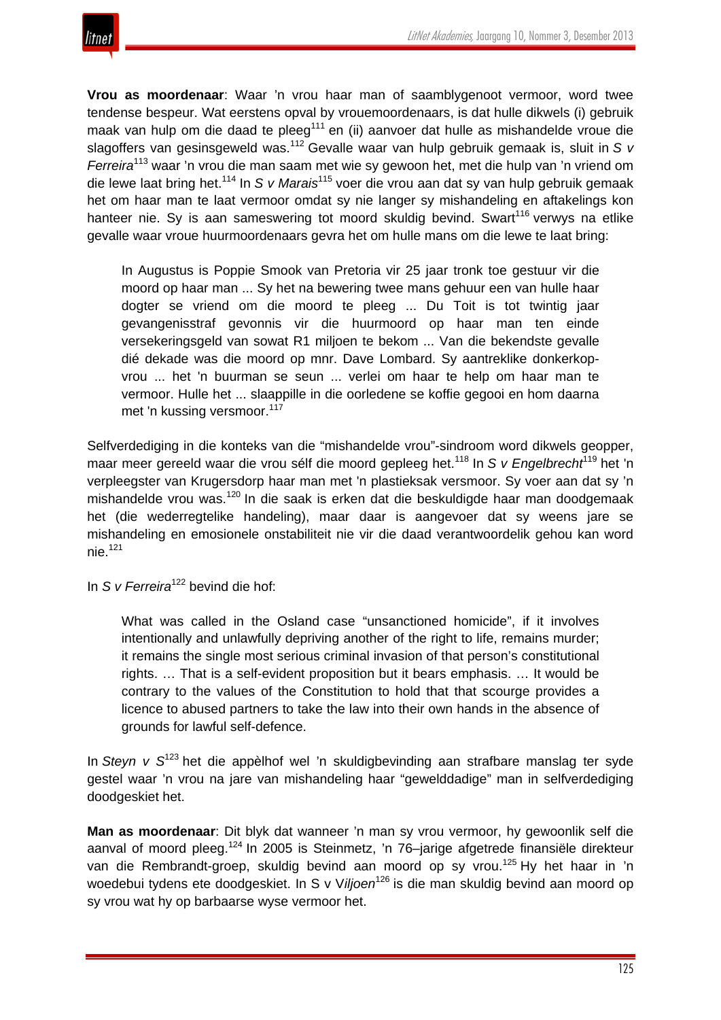

**Vrou as moordenaar**: Waar 'n vrou haar man of saamblygenoot vermoor, word twee tendense bespeur. Wat eerstens opval by vrouemoordenaars, is dat hulle dikwels (i) gebruik maak van hulp om die daad te pleeg<sup>111</sup> en (ii) aanvoer dat hulle as mishandelde vroue die slagoffers van gesinsgeweld was.<sup>112</sup> Gevalle waar van hulp gebruik gemaak is, sluit in *S v Ferreira*<sup>113</sup> waar 'n vrou die man saam met wie sy gewoon het, met die hulp van 'n vriend om die lewe laat bring het.<sup>114</sup> In *S v Marais*<sup>115</sup> voer die vrou aan dat sy van hulp gebruik gemaak het om haar man te laat vermoor omdat sy nie langer sy mishandeling en aftakelings kon hanteer nie. Sy is aan sameswering tot moord skuldig bevind. Swart<sup>116</sup> verwys na etlike gevalle waar vroue huurmoordenaars gevra het om hulle mans om die lewe te laat bring:

In Augustus is Poppie Smook van Pretoria vir 25 jaar tronk toe gestuur vir die moord op haar man ... Sy het na bewering twee mans gehuur een van hulle haar dogter se vriend om die moord te pleeg ... Du Toit is tot twintig jaar gevangenisstraf gevonnis vir die huurmoord op haar man ten einde versekeringsgeld van sowat R1 miljoen te bekom ... Van die bekendste gevalle dié dekade was die moord op mnr. Dave Lombard. Sy aantreklike donkerkopvrou ... het 'n buurman se seun ... verlei om haar te help om haar man te vermoor. Hulle het ... slaappille in die oorledene se koffie gegooi en hom daarna met 'n kussing versmoor.<sup>117</sup>

Selfverdediging in die konteks van die "mishandelde vrou"-sindroom word dikwels geopper, maar meer gereeld waar die vrou sélf die moord gepleeg het.<sup>118</sup> In *S v Engelbrecht*<sup>119</sup> het 'n verpleegster van Krugersdorp haar man met 'n plastieksak versmoor. Sy voer aan dat sy 'n mishandelde vrou was.<sup>120</sup> In die saak is erken dat die beskuldigde haar man doodgemaak het (die wederregtelike handeling), maar daar is aangevoer dat sy weens jare se mishandeling en emosionele onstabiliteit nie vir die daad verantwoordelik gehou kan word  $nie.<sup>121</sup>$ 

In *S v Ferreira*<sup>122</sup> bevind die hof:

What was called in the Osland case "unsanctioned homicide", if it involves intentionally and unlawfully depriving another of the right to life, remains murder; it remains the single most serious criminal invasion of that person's constitutional rights. … That is a self-evident proposition but it bears emphasis. … It would be contrary to the values of the Constitution to hold that that scourge provides a licence to abused partners to take the law into their own hands in the absence of grounds for lawful self-defence.

In *Steyn v S*<sup>123</sup> het die appèlhof wel 'n skuldigbevinding aan strafbare manslag ter syde gestel waar 'n vrou na jare van mishandeling haar "gewelddadige" man in selfverdediging doodgeskiet het.

**Man as moordenaar**: Dit blyk dat wanneer 'n man sy vrou vermoor, hy gewoonlik self die aanval of moord pleeg.<sup>124</sup> In 2005 is Steinmetz, 'n 76-jarige afgetrede finansiële direkteur van die Rembrandt-groep, skuldig bevind aan moord op sy vrou.<sup>125</sup> Hy het haar in 'n woedebui tydens ete doodgeskiet. In S v Viljoen<sup>126</sup> is die man skuldig bevind aan moord op sy vrou wat hy op barbaarse wyse vermoor het.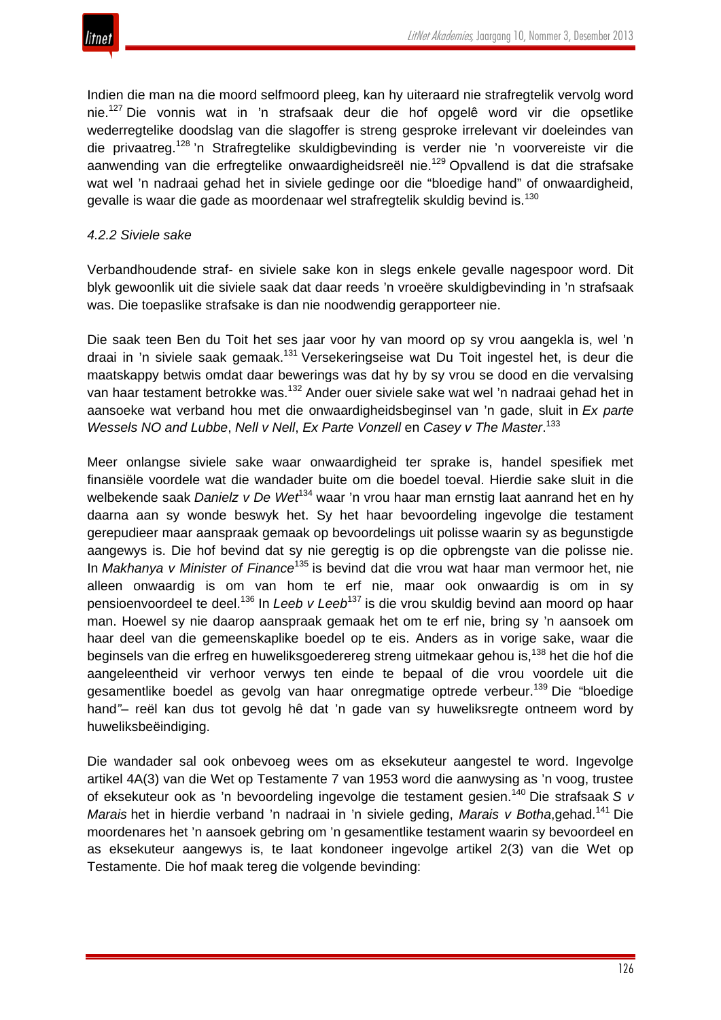

Indien die man na die moord selfmoord pleeg, kan hy uiteraard nie strafregtelik vervolg word nie.<sup>127</sup> Die vonnis wat in 'n strafsaak deur die hof opgelê word vir die opsetlike wederregtelike doodslag van die slagoffer is streng gesproke irrelevant vir doeleindes van die privaatreg.<sup>128</sup> 'n Strafregtelike skuldigbevinding is verder nie 'n voorvereiste vir die aanwending van die erfregtelike onwaardigheidsreël nie.<sup>129</sup> Opvallend is dat die strafsake wat wel 'n nadraai gehad het in siviele gedinge oor die "bloedige hand" of onwaardigheid, gevalle is waar die gade as moordenaar wel strafregtelik skuldig bevind is.<sup>130</sup>

#### *4.2.2 Siviele sake*

Verbandhoudende straf- en siviele sake kon in slegs enkele gevalle nagespoor word. Dit blyk gewoonlik uit die siviele saak dat daar reeds 'n vroeëre skuldigbevinding in 'n strafsaak was. Die toepaslike strafsake is dan nie noodwendig gerapporteer nie.

Die saak teen Ben du Toit het ses jaar voor hy van moord op sy vrou aangekla is, wel 'n draai in 'n siviele saak gemaak.<sup>131</sup> Versekeringseise wat Du Toit ingestel het, is deur die maatskappy betwis omdat daar bewerings was dat hy by sy vrou se dood en die vervalsing van haar testament betrokke was.<sup>132</sup> Ander ouer siviele sake wat wel 'n nadraai gehad het in aansoeke wat verband hou met die onwaardigheidsbeginsel van 'n gade, sluit in *Ex parte Wessels NO and Lubbe*, *Nell v Nell*, *Ex Parte Vonzell* en *Casey v The Master*. 133

Meer onlangse siviele sake waar onwaardigheid ter sprake is, handel spesifiek met finansiële voordele wat die wandader buite om die boedel toeval. Hierdie sake sluit in die welbekende saak *Danielz v De Wet*<sup>134</sup> waar 'n vrou haar man ernstig laat aanrand het en hy daarna aan sy wonde beswyk het. Sy het haar bevoordeling ingevolge die testament gerepudieer maar aanspraak gemaak op bevoordelings uit polisse waarin sy as begunstigde aangewys is. Die hof bevind dat sy nie geregtig is op die opbrengste van die polisse nie. In *Makhanya v Minister of Finance*<sup>135</sup> is bevind dat die vrou wat haar man vermoor het, nie alleen onwaardig is om van hom te erf nie, maar ook onwaardig is om in sy pensioenvoordeel te deel.<sup>136</sup> In *Leeb v Leeb*<sup>137</sup> is die vrou skuldig bevind aan moord op haar man. Hoewel sy nie daarop aanspraak gemaak het om te erf nie, bring sy 'n aansoek om haar deel van die gemeenskaplike boedel op te eis. Anders as in vorige sake, waar die beginsels van die erfreg en huweliksgoederereg streng uitmekaar gehou is,<sup>138</sup> het die hof die aangeleentheid vir verhoor verwys ten einde te bepaal of die vrou voordele uit die gesamentlike boedel as gevolg van haar onregmatige optrede verbeur.<sup>139</sup> Die "bloedige hand*"*– reël kan dus tot gevolg hê dat 'n gade van sy huweliksregte ontneem word by huweliksbeëindiging.

Die wandader sal ook onbevoeg wees om as eksekuteur aangestel te word. Ingevolge artikel 4A(3) van die Wet op Testamente 7 van 1953 word die aanwysing as 'n voog, trustee of eksekuteur ook as 'n bevoordeling ingevolge die testament gesien.<sup>140</sup> Die strafsaak *S v Marais* het in hierdie verband 'n nadraai in 'n siviele geding, *Marais v Botha*,gehad.<sup>141</sup> Die moordenares het 'n aansoek gebring om 'n gesamentlike testament waarin sy bevoordeel en as eksekuteur aangewys is, te laat kondoneer ingevolge artikel 2(3) van die Wet op Testamente. Die hof maak tereg die volgende bevinding: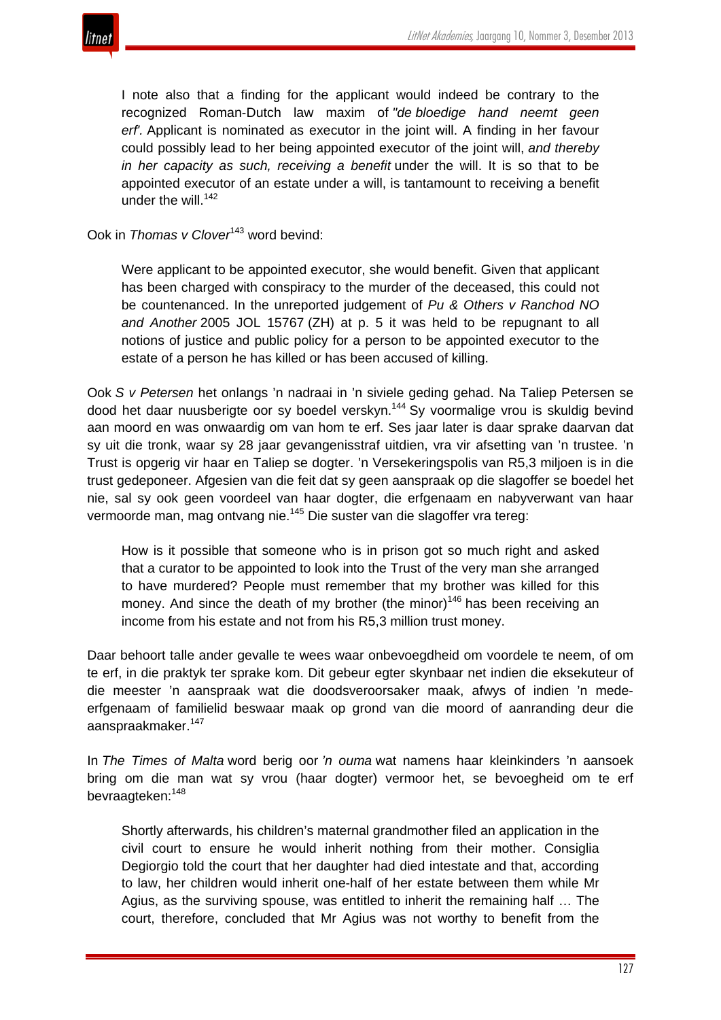

I note also that a finding for the applicant would indeed be contrary to the recognized Roman-Dutch law maxim of *"de bloedige hand neemt geen erf'.* Applicant is nominated as executor in the joint will. A finding in her favour could possibly lead to her being appointed executor of the joint will, *and thereby in her capacity as such, receiving a benefit* under the will. It is so that to be appointed executor of an estate under a will, is tantamount to receiving a benefit under the will. $142$ 

# Ook in *Thomas v Clover*<sup>143</sup> word bevind:

Were applicant to be appointed executor, she would benefit. Given that applicant has been charged with conspiracy to the murder of the deceased, this could not be countenanced. In the unreported judgement of *Pu & Others v Ranchod NO and Another* 2005 JOL 15767 (ZH) at p. 5 it was held to be repugnant to all notions of justice and public policy for a person to be appointed executor to the estate of a person he has killed or has been accused of killing.

Ook *S v Petersen* het onlangs 'n nadraai in 'n siviele geding gehad. Na Taliep Petersen se dood het daar nuusberigte oor sy boedel verskyn.<sup>144</sup> Sy voormalige vrou is skuldig bevind aan moord en was onwaardig om van hom te erf. Ses jaar later is daar sprake daarvan dat sy uit die tronk, waar sy 28 jaar gevangenisstraf uitdien, vra vir afsetting van 'n trustee. 'n Trust is opgerig vir haar en Taliep se dogter. 'n Versekeringspolis van R5,3 miljoen is in die trust gedeponeer. Afgesien van die feit dat sy geen aanspraak op die slagoffer se boedel het nie, sal sy ook geen voordeel van haar dogter, die erfgenaam en nabyverwant van haar vermoorde man, mag ontvang nie.<sup>145</sup> Die suster van die slagoffer vra tereg:

How is it possible that someone who is in prison got so much right and asked that a curator to be appointed to look into the Trust of the very man she arranged to have murdered? People must remember that my brother was killed for this money. And since the death of my brother (the minor)<sup>146</sup> has been receiving an income from his estate and not from his R5,3 million trust money.

Daar behoort talle ander gevalle te wees waar onbevoegdheid om voordele te neem, of om te erf, in die praktyk ter sprake kom. Dit gebeur egter skynbaar net indien die eksekuteur of die meester 'n aanspraak wat die doodsveroorsaker maak, afwys of indien 'n medeerfgenaam of familielid beswaar maak op grond van die moord of aanranding deur die aanspraakmaker.<sup>147</sup>

In *The Times of Malta* word berig oor *'n ouma* wat namens haar kleinkinders 'n aansoek bring om die man wat sy vrou (haar dogter) vermoor het, se bevoegheid om te erf bevraagteken:<sup>148</sup>

Shortly afterwards, his children's maternal grandmother filed an application in the civil court to ensure he would inherit nothing from their mother. Consiglia Degiorgio told the court that her daughter had died intestate and that, according to law, her children would inherit one-half of her estate between them while Mr Agius, as the surviving spouse, was entitled to inherit the remaining half … The court, therefore, concluded that Mr Agius was not worthy to benefit from the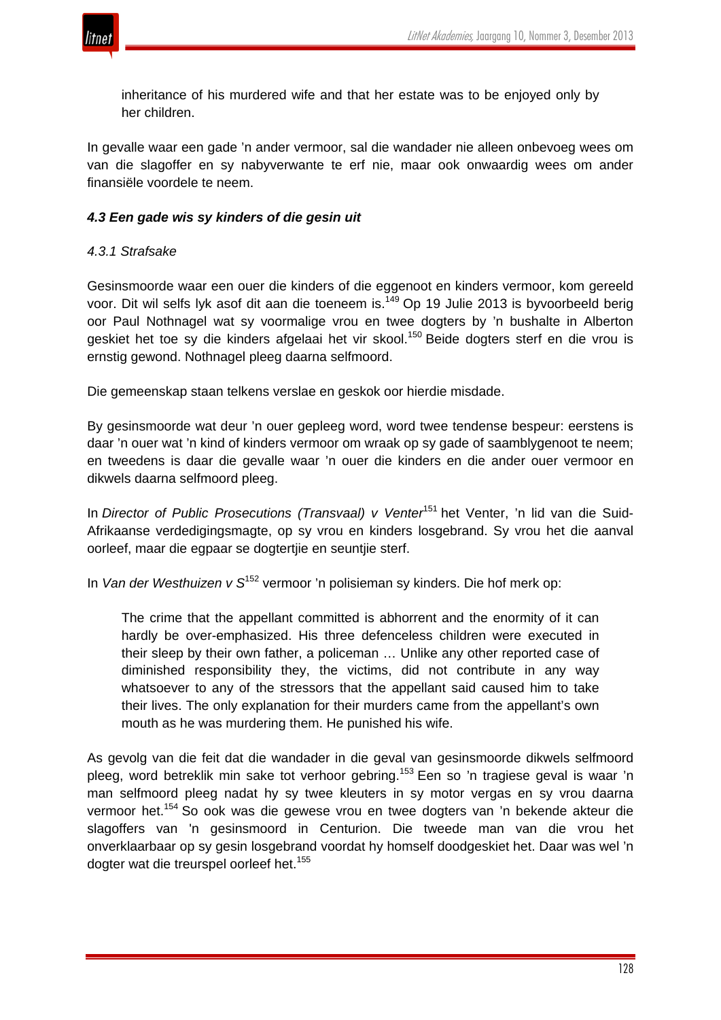

inheritance of his murdered wife and that her estate was to be enjoyed only by her children.

In gevalle waar een gade 'n ander vermoor, sal die wandader nie alleen onbevoeg wees om van die slagoffer en sy nabyverwante te erf nie, maar ook onwaardig wees om ander finansiële voordele te neem.

## *4.3 Een gade wis sy kinders of die gesin uit*

## *4.3.1 Strafsake*

Gesinsmoorde waar een ouer die kinders of die eggenoot en kinders vermoor, kom gereeld voor. Dit wil selfs lyk asof dit aan die toeneem is.<sup>149</sup> Op 19 Julie 2013 is byvoorbeeld berig oor Paul Nothnagel wat sy voormalige vrou en twee dogters by 'n bushalte in Alberton geskiet het toe sy die kinders afgelaai het vir skool.<sup>150</sup> Beide dogters sterf en die vrou is ernstig gewond. Nothnagel pleeg daarna selfmoord.

Die gemeenskap staan telkens verslae en geskok oor hierdie misdade.

By gesinsmoorde wat deur 'n ouer gepleeg word, word twee tendense bespeur: eerstens is daar 'n ouer wat 'n kind of kinders vermoor om wraak op sy gade of saamblygenoot te neem; en tweedens is daar die gevalle waar 'n ouer die kinders en die ander ouer vermoor en dikwels daarna selfmoord pleeg.

In *Director of Public Prosecutions (Transvaal) v Venter*<sup>151</sup> het Venter, 'n lid van die Suid-Afrikaanse verdedigingsmagte, op sy vrou en kinders losgebrand. Sy vrou het die aanval oorleef, maar die egpaar se dogtertjie en seuntjie sterf.

In *Van der Westhuizen v S*<sup>152</sup> vermoor 'n polisieman sy kinders. Die hof merk op:

The crime that the appellant committed is abhorrent and the enormity of it can hardly be over-emphasized. His three defenceless children were executed in their sleep by their own father, a policeman … Unlike any other reported case of diminished responsibility they, the victims, did not contribute in any way whatsoever to any of the stressors that the appellant said caused him to take their lives. The only explanation for their murders came from the appellant's own mouth as he was murdering them. He punished his wife.

As gevolg van die feit dat die wandader in die geval van gesinsmoorde dikwels selfmoord pleeg, word betreklik min sake tot verhoor gebring.<sup>153</sup> Een so 'n tragiese geval is waar 'n man selfmoord pleeg nadat hy sy twee kleuters in sy motor vergas en sy vrou daarna vermoor het.<sup>154</sup> So ook was die gewese vrou en twee dogters van 'n bekende akteur die slagoffers van 'n gesinsmoord in Centurion. Die tweede man van die vrou het onverklaarbaar op sy gesin losgebrand voordat hy homself doodgeskiet het. Daar was wel 'n dogter wat die treurspel oorleef het.<sup>155</sup>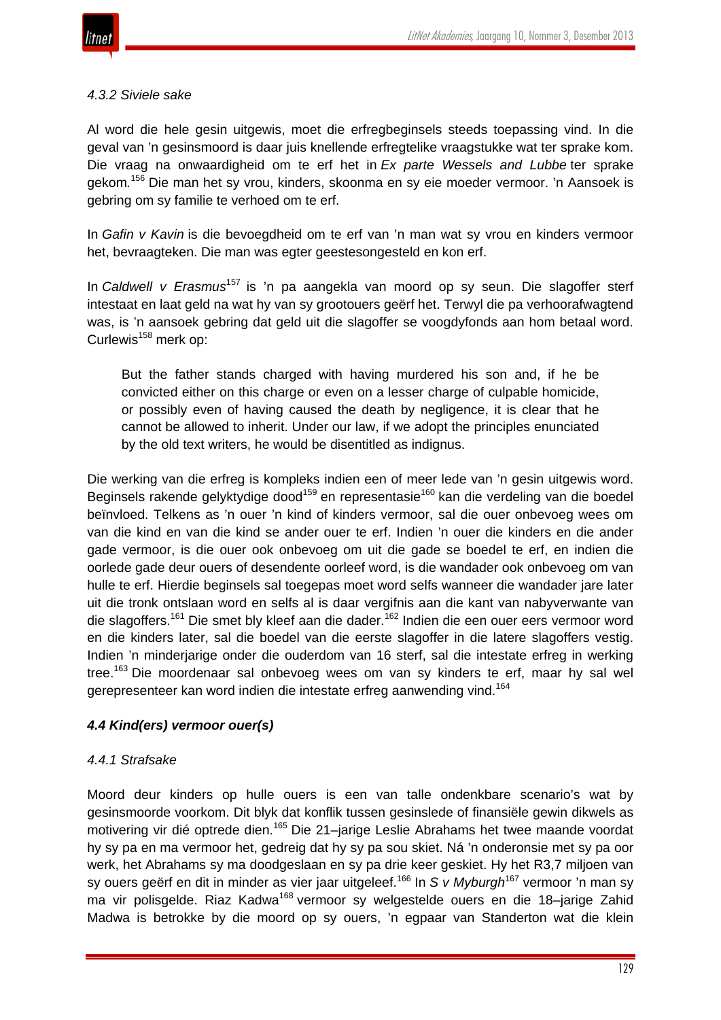

#### *4.3.2 Siviele sake*

Al word die hele gesin uitgewis, moet die erfregbeginsels steeds toepassing vind. In die geval van 'n gesinsmoord is daar juis knellende erfregtelike vraagstukke wat ter sprake kom. Die vraag na onwaardigheid om te erf het in *Ex parte Wessels and Lubbe* ter sprake gekom*.* <sup>156</sup> Die man het sy vrou, kinders, skoonma en sy eie moeder vermoor. 'n Aansoek is gebring om sy familie te verhoed om te erf.

In *Gafin v Kavin* is die bevoegdheid om te erf van 'n man wat sy vrou en kinders vermoor het, bevraagteken. Die man was egter geestesongesteld en kon erf.

In *Caldwell v Erasmus*<sup>157</sup> is 'n pa aangekla van moord op sy seun. Die slagoffer sterf intestaat en laat geld na wat hy van sy grootouers geërf het. Terwyl die pa verhoorafwagtend was, is 'n aansoek gebring dat geld uit die slagoffer se voogdyfonds aan hom betaal word. Curlewis<sup>158</sup> merk op:

But the father stands charged with having murdered his son and, if he be convicted either on this charge or even on a lesser charge of culpable homicide, or possibly even of having caused the death by negligence, it is clear that he cannot be allowed to inherit. Under our law, if we adopt the principles enunciated by the old text writers, he would be disentitled as indignus.

Die werking van die erfreg is kompleks indien een of meer lede van 'n gesin uitgewis word. Beginsels rakende gelyktydige dood<sup>159</sup> en representasie<sup>160</sup> kan die verdeling van die boedel beïnvloed. Telkens as 'n ouer 'n kind of kinders vermoor, sal die ouer onbevoeg wees om van die kind en van die kind se ander ouer te erf. Indien 'n ouer die kinders en die ander gade vermoor, is die ouer ook onbevoeg om uit die gade se boedel te erf, en indien die oorlede gade deur ouers of desendente oorleef word, is die wandader ook onbevoeg om van hulle te erf. Hierdie beginsels sal toegepas moet word selfs wanneer die wandader jare later uit die tronk ontslaan word en selfs al is daar vergifnis aan die kant van nabyverwante van die slagoffers.<sup>161</sup> Die smet bly kleef aan die dader.<sup>162</sup> Indien die een ouer eers vermoor word en die kinders later, sal die boedel van die eerste slagoffer in die latere slagoffers vestig. Indien 'n minderjarige onder die ouderdom van 16 sterf, sal die intestate erfreg in werking tree.<sup>163</sup> Die moordenaar sal onbevoeg wees om van sy kinders te erf, maar hy sal wel gerepresenteer kan word indien die intestate erfreg aanwending vind.<sup>164</sup>

#### *4.4 Kind(ers) vermoor ouer(s)*

#### *4.4.1 Strafsake*

Moord deur kinders op hulle ouers is een van talle ondenkbare scenario's wat by gesinsmoorde voorkom. Dit blyk dat konflik tussen gesinslede of finansiële gewin dikwels as motivering vir dié optrede dien.<sup>165</sup> Die 21–jarige Leslie Abrahams het twee maande voordat hy sy pa en ma vermoor het, gedreig dat hy sy pa sou skiet. Ná 'n onderonsie met sy pa oor werk, het Abrahams sy ma doodgeslaan en sy pa drie keer geskiet. Hy het R3,7 miljoen van sy ouers geërf en dit in minder as vier jaar uitgeleef.<sup>166</sup> In *S v Myburgh*<sup>167</sup> vermoor 'n man sy ma vir polisgelde. Riaz Kadwa<sup>168</sup> vermoor sy welgestelde ouers en die 18-jarige Zahid Madwa is betrokke by die moord op sy ouers, 'n egpaar van Standerton wat die klein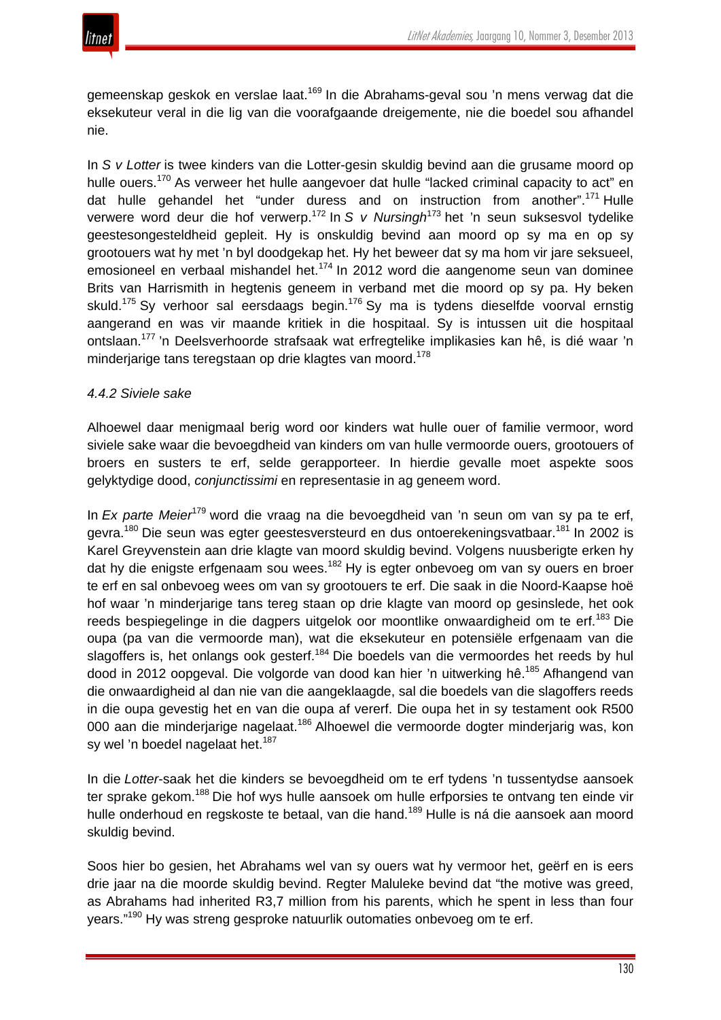

gemeenskap geskok en verslae laat.<sup>169</sup> In die Abrahams-geval sou 'n mens verwag dat die eksekuteur veral in die lig van die voorafgaande dreigemente, nie die boedel sou afhandel nie.

In *S v Lotter* is twee kinders van die Lotter-gesin skuldig bevind aan die grusame moord op hulle ouers.<sup>170</sup> As verweer het hulle aangevoer dat hulle "lacked criminal capacity to act" en dat hulle gehandel het "under duress and on instruction from another".<sup>171</sup> Hulle verwere word deur die hof verwerp.<sup>172</sup> In *S v Nursingh*<sup>173</sup> het 'n seun suksesvol tydelike geestesongesteldheid gepleit. Hy is onskuldig bevind aan moord op sy ma en op sy grootouers wat hy met 'n byl doodgekap het. Hy het beweer dat sy ma hom vir jare seksueel, emosioneel en verbaal mishandel het.<sup>174</sup> In 2012 word die aangenome seun van dominee Brits van Harrismith in hegtenis geneem in verband met die moord op sy pa. Hy beken skuld.<sup>175</sup> Sy verhoor sal eersdaags begin.<sup>176</sup> Sy ma is tydens dieselfde voorval ernstig aangerand en was vir maande kritiek in die hospitaal. Sy is intussen uit die hospitaal ontslaan.<sup>177</sup> 'n Deelsverhoorde strafsaak wat erfregtelike implikasies kan hê, is dié waar 'n minderjarige tans teregstaan op drie klagtes van moord.<sup>178</sup>

#### *4.4.2 Siviele sake*

Alhoewel daar menigmaal berig word oor kinders wat hulle ouer of familie vermoor, word siviele sake waar die bevoegdheid van kinders om van hulle vermoorde ouers, grootouers of broers en susters te erf, selde gerapporteer. In hierdie gevalle moet aspekte soos gelyktydige dood, *conjunctissimi* en representasie in ag geneem word.

In *Ex parte Meier*<sup>179</sup> word die vraag na die bevoegdheid van 'n seun om van sy pa te erf, gevra.<sup>180</sup> Die seun was egter geestesversteurd en dus ontoerekeningsvatbaar.<sup>181</sup> In 2002 is Karel Greyvenstein aan drie klagte van moord skuldig bevind. Volgens nuusberigte erken hy dat hy die enigste erfgenaam sou wees.<sup>182</sup> Hy is egter onbevoeg om van sy ouers en broer te erf en sal onbevoeg wees om van sy grootouers te erf. Die saak in die Noord-Kaapse hoë hof waar 'n minderjarige tans tereg staan op drie klagte van moord op gesinslede, het ook reeds bespiegelinge in die dagpers uitgelok oor moontlike onwaardigheid om te erf.<sup>183</sup> Die oupa (pa van die vermoorde man), wat die eksekuteur en potensiële erfgenaam van die slagoffers is, het onlangs ook gesterf.<sup>184</sup> Die boedels van die vermoordes het reeds by hul dood in 2012 oopgeval. Die volgorde van dood kan hier 'n uitwerking hê.<sup>185</sup> Afhangend van die onwaardigheid al dan nie van die aangeklaagde, sal die boedels van die slagoffers reeds in die oupa gevestig het en van die oupa af vererf. Die oupa het in sy testament ook R500 000 aan die minderjarige nagelaat.<sup>186</sup> Alhoewel die vermoorde dogter minderjarig was, kon sy wel 'n boedel nagelaat het.<sup>187</sup>

In die *Lotter*-saak het die kinders se bevoegdheid om te erf tydens 'n tussentydse aansoek ter sprake gekom.<sup>188</sup> Die hof wys hulle aansoek om hulle erfporsies te ontvang ten einde vir hulle onderhoud en regskoste te betaal, van die hand.<sup>189</sup> Hulle is ná die aansoek aan moord skuldig bevind.

Soos hier bo gesien, het Abrahams wel van sy ouers wat hy vermoor het, geërf en is eers drie jaar na die moorde skuldig bevind. Regter Maluleke bevind dat "the motive was greed, as Abrahams had inherited R3,7 million from his parents, which he spent in less than four years."<sup>190</sup> Hy was streng gesproke natuurlik outomaties onbevoeg om te erf.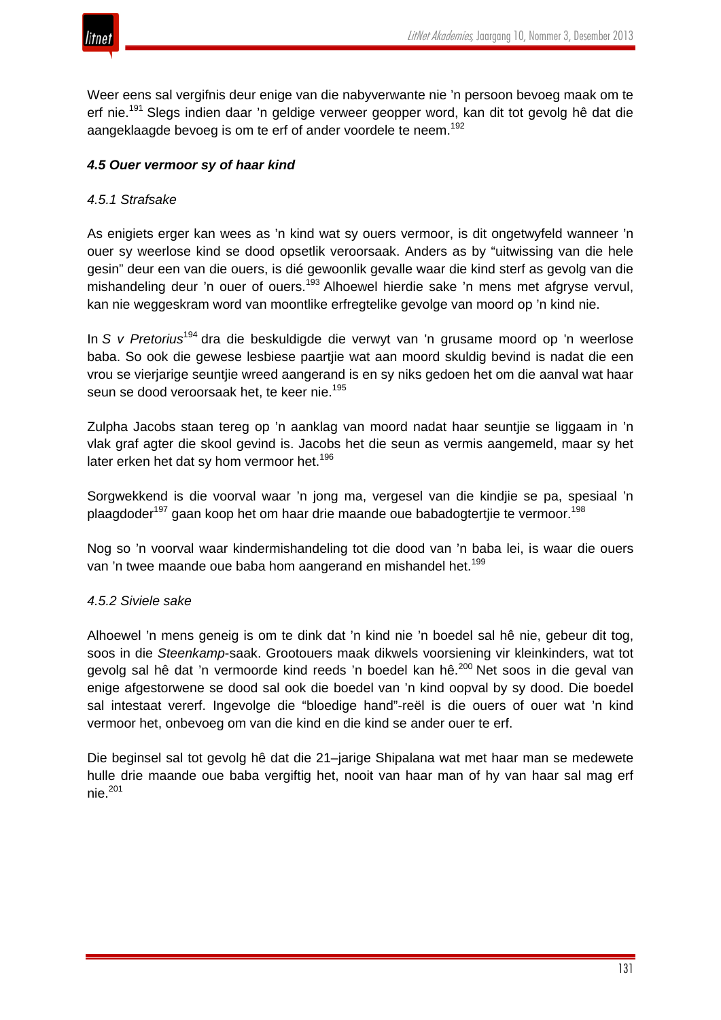



Weer eens sal vergifnis deur enige van die nabyverwante nie 'n persoon bevoeg maak om te erf nie.<sup>191</sup> Slegs indien daar 'n geldige verweer geopper word, kan dit tot gevolg hê dat die aangeklaagde bevoeg is om te erf of ander voordele te neem.<sup>192</sup>

## *4.5 Ouer vermoor sy of haar kind*

#### *4.5.1 Strafsake*

As enigiets erger kan wees as 'n kind wat sy ouers vermoor, is dit ongetwyfeld wanneer 'n ouer sy weerlose kind se dood opsetlik veroorsaak. Anders as by "uitwissing van die hele gesin" deur een van die ouers, is dié gewoonlik gevalle waar die kind sterf as gevolg van die mishandeling deur 'n ouer of ouers.<sup>193</sup> Alhoewel hierdie sake 'n mens met afgryse vervul, kan nie weggeskram word van moontlike erfregtelike gevolge van moord op 'n kind nie.

In *S v Pretorius*<sup>194</sup> dra die beskuldigde die verwyt van 'n grusame moord op 'n weerlose baba. So ook die gewese lesbiese paartjie wat aan moord skuldig bevind is nadat die een vrou se vierjarige seuntjie wreed aangerand is en sy niks gedoen het om die aanval wat haar seun se dood veroorsaak het, te keer nie.<sup>195</sup>

Zulpha Jacobs staan tereg op 'n aanklag van moord nadat haar seuntjie se liggaam in 'n vlak graf agter die skool gevind is. Jacobs het die seun as vermis aangemeld, maar sy het later erken het dat sy hom vermoor het.<sup>196</sup>

Sorgwekkend is die voorval waar 'n jong ma, vergesel van die kindjie se pa, spesiaal 'n plaagdoder<sup>197</sup> gaan koop het om haar drie maande oue babadogtertjie te vermoor.<sup>198</sup>

Nog so 'n voorval waar kindermishandeling tot die dood van 'n baba lei, is waar die ouers van 'n twee maande oue baba hom aangerand en mishandel het.<sup>199</sup>

#### *4.5.2 Siviele sake*

Alhoewel 'n mens geneig is om te dink dat 'n kind nie 'n boedel sal hê nie, gebeur dit tog, soos in die *Steenkamp*-saak. Grootouers maak dikwels voorsiening vir kleinkinders, wat tot gevolg sal hê dat 'n vermoorde kind reeds 'n boedel kan hê.<sup>200</sup> Net soos in die geval van enige afgestorwene se dood sal ook die boedel van 'n kind oopval by sy dood. Die boedel sal intestaat vererf. Ingevolge die "bloedige hand"-reël is die ouers of ouer wat 'n kind vermoor het, onbevoeg om van die kind en die kind se ander ouer te erf.

Die beginsel sal tot gevolg hê dat die 21–jarige Shipalana wat met haar man se medewete hulle drie maande oue baba vergiftig het, nooit van haar man of hy van haar sal mag erf  $nie.<sup>201</sup>$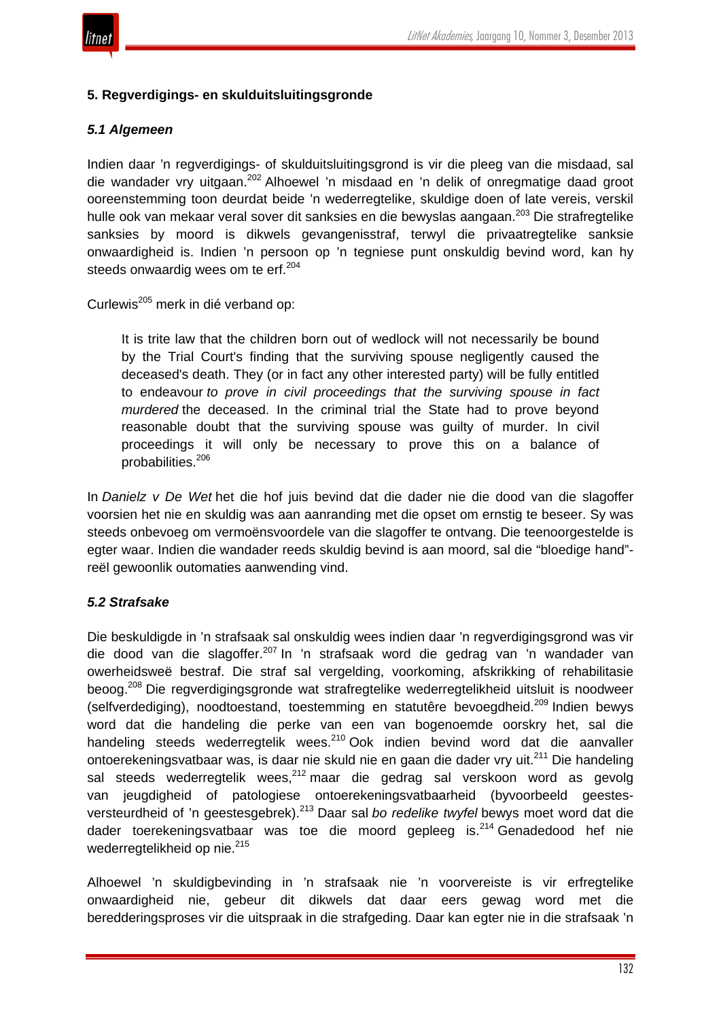

# **5. Regverdigings- en skulduitsluitingsgronde**

## *5.1 Algemeen*

Indien daar 'n regverdigings- of skulduitsluitingsgrond is vir die pleeg van die misdaad, sal die wandader vry uitgaan.<sup>202</sup> Alhoewel 'n misdaad en 'n delik of onregmatige daad groot ooreenstemming toon deurdat beide 'n wederregtelike, skuldige doen of late vereis, verskil hulle ook van mekaar veral sover dit sanksies en die bewyslas aangaan.<sup>203</sup> Die strafregtelike sanksies by moord is dikwels gevangenisstraf, terwyl die privaatregtelike sanksie onwaardigheid is. Indien 'n persoon op 'n tegniese punt onskuldig bevind word, kan hy steeds onwaardig wees om te erf.<sup>204</sup>

Curlewis<sup>205</sup> merk in dié verband op:

It is trite law that the children born out of wedlock will not necessarily be bound by the Trial Court's finding that the surviving spouse negligently caused the deceased's death. They (or in fact any other interested party) will be fully entitled to endeavour *to prove in civil proceedings that the surviving spouse in fact murdered* the deceased. In the criminal trial the State had to prove beyond reasonable doubt that the surviving spouse was guilty of murder. In civil proceedings it will only be necessary to prove this on a balance of probabilities.<sup>206</sup>

In *Danielz v De Wet* het die hof juis bevind dat die dader nie die dood van die slagoffer voorsien het nie en skuldig was aan aanranding met die opset om ernstig te beseer. Sy was steeds onbevoeg om vermoënsvoordele van die slagoffer te ontvang. Die teenoorgestelde is egter waar. Indien die wandader reeds skuldig bevind is aan moord, sal die "bloedige hand" reël gewoonlik outomaties aanwending vind.

# *5.2 Strafsake*

Die beskuldigde in 'n strafsaak sal onskuldig wees indien daar 'n regverdigingsgrond was vir die dood van die slagoffer.<sup>207</sup> In 'n strafsaak word die gedrag van 'n wandader van owerheidsweë bestraf. Die straf sal vergelding, voorkoming, afskrikking of rehabilitasie beoog.<sup>208</sup> Die regverdigingsgronde wat strafregtelike wederregtelikheid uitsluit is noodweer (selfverdediging), noodtoestand, toestemming en statutêre bevoegdheid.<sup>209</sup> Indien bewys word dat die handeling die perke van een van bogenoemde oorskry het, sal die handeling steeds wederregtelik wees.<sup>210</sup> Ook indien bevind word dat die aanvaller ontoerekeningsvatbaar was, is daar nie skuld nie en gaan die dader vry uit.<sup>211</sup> Die handeling sal steeds wederregtelik wees, 212 maar die gedrag sal verskoon word as gevolg van jeugdigheid of patologiese ontoerekeningsvatbaarheid (byvoorbeeld geestesversteurdheid of 'n geestesgebrek).<sup>213</sup> Daar sal *bo redelike twyfel* bewys moet word dat die dader toerekeningsvatbaar was toe die moord gepleeg is.<sup>214</sup> Genadedood hef nie wederregtelikheid op nie.<sup>215</sup>

Alhoewel 'n skuldigbevinding in 'n strafsaak nie 'n voorvereiste is vir erfregtelike onwaardigheid nie, gebeur dit dikwels dat daar eers gewag word met die beredderingsproses vir die uitspraak in die strafgeding. Daar kan egter nie in die strafsaak 'n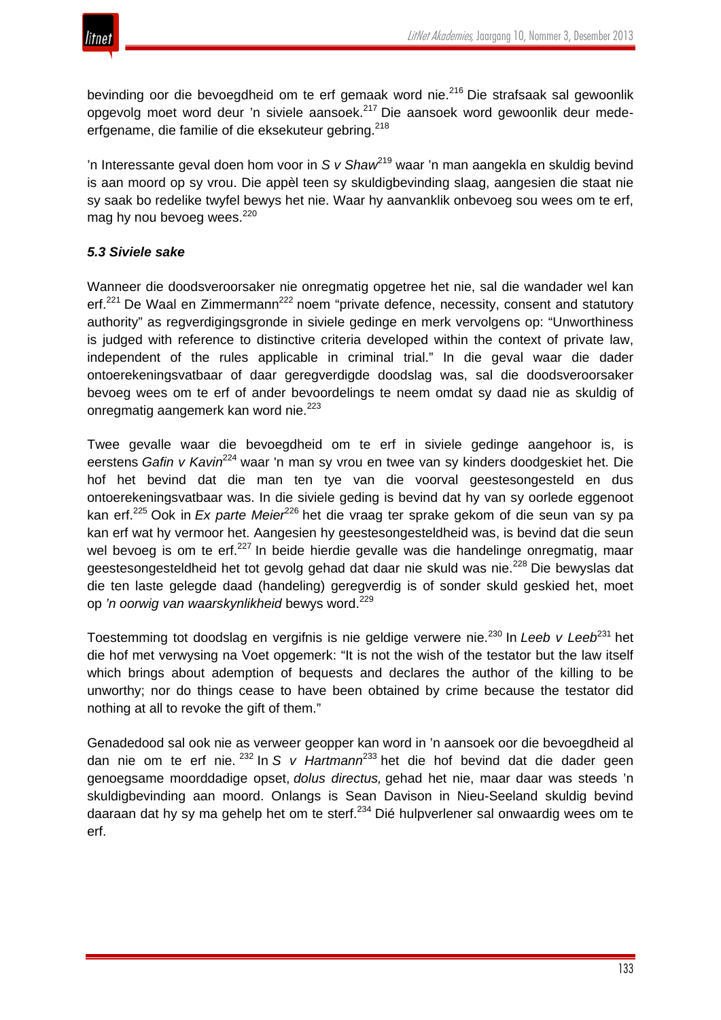

bevinding oor die bevoegdheid om te erf gemaak word nie.<sup>216</sup> Die strafsaak sal gewoonlik opgevolg moet word deur 'n siviele aansoek.<sup>217</sup> Die aansoek word gewoonlik deur medeerfgename, die familie of die eksekuteur gebring.<sup>218</sup>

'n Interessante geval doen hom voor in *S v Shaw*<sup>219</sup> waar 'n man aangekla en skuldig bevind is aan moord op sy vrou. Die appèl teen sy skuldigbevinding slaag, aangesien die staat nie sy saak bo redelike twyfel bewys het nie. Waar hy aanvanklik onbevoeg sou wees om te erf, mag hy nou bevoeg wees.<sup>220</sup>

# *5.3 Siviele sake*

Wanneer die doodsveroorsaker nie onregmatig opgetree het nie, sal die wandader wel kan erf.<sup>221</sup> De Waal en Zimmermann<sup>222</sup> noem "private defence, necessity, consent and statutory authority" as regverdigingsgronde in siviele gedinge en merk vervolgens op: "Unworthiness is judged with reference to distinctive criteria developed within the context of private law, independent of the rules applicable in criminal trial." In die geval waar die dader ontoerekeningsvatbaar of daar geregverdigde doodslag was, sal die doodsveroorsaker bevoeg wees om te erf of ander bevoordelings te neem omdat sy daad nie as skuldig of onregmatig aangemerk kan word nie.<sup>223</sup>

Twee gevalle waar die bevoegdheid om te erf in siviele gedinge aangehoor is, is eerstens *Gafin v Kavin*<sup>224</sup> waar 'n man sy vrou en twee van sy kinders doodgeskiet het. Die hof het bevind dat die man ten tye van die voorval geestesongesteld en dus ontoerekeningsvatbaar was. In die siviele geding is bevind dat hy van sy oorlede eggenoot kan erf.<sup>225</sup> Ook in *Ex parte Meier*<sup>226</sup> het die vraag ter sprake gekom of die seun van sy pa kan erf wat hy vermoor het. Aangesien hy geestesongesteldheid was, is bevind dat die seun wel bevoeg is om te erf.<sup>227</sup> In beide hierdie gevalle was die handelinge onregmatig, maar geestesongesteldheid het tot gevolg gehad dat daar nie skuld was nie.<sup>228</sup> Die bewyslas dat die ten laste gelegde daad (handeling) geregverdig is of sonder skuld geskied het, moet op *'n oorwig van waarskynlikheid* bewys word.<sup>229</sup>

Toestemming tot doodslag en vergifnis is nie geldige verwere nie.<sup>230</sup> In *Leeb v Leeb*<sup>231</sup> het die hof met verwysing na Voet opgemerk: "It is not the wish of the testator but the law itself which brings about ademption of bequests and declares the author of the killing to be unworthy; nor do things cease to have been obtained by crime because the testator did nothing at all to revoke the gift of them."

Genadedood sal ook nie as verweer geopper kan word in 'n aansoek oor die bevoegdheid al dan nie om te erf nie. <sup>232</sup> In *S v Hartmann*<sup>233</sup> het die hof bevind dat die dader geen genoegsame moorddadige opset, *dolus directus,* gehad het nie, maar daar was steeds 'n skuldigbevinding aan moord. Onlangs is Sean Davison in Nieu-Seeland skuldig bevind daaraan dat hy sy ma gehelp het om te sterf.<sup>234</sup> Dié hulpverlener sal onwaardig wees om te erf.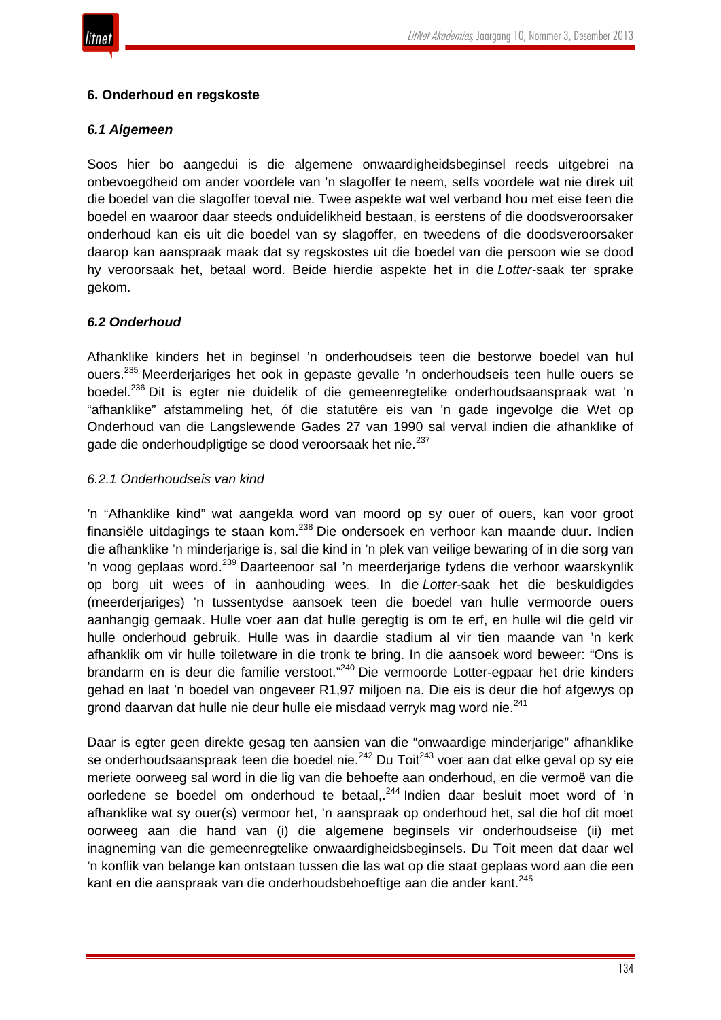

#### **6. Onderhoud en regskoste**

#### *6.1 Algemeen*

Soos hier bo aangedui is die algemene onwaardigheidsbeginsel reeds uitgebrei na onbevoegdheid om ander voordele van 'n slagoffer te neem, selfs voordele wat nie direk uit die boedel van die slagoffer toeval nie. Twee aspekte wat wel verband hou met eise teen die boedel en waaroor daar steeds onduidelikheid bestaan, is eerstens of die doodsveroorsaker onderhoud kan eis uit die boedel van sy slagoffer, en tweedens of die doodsveroorsaker daarop kan aanspraak maak dat sy regskostes uit die boedel van die persoon wie se dood hy veroorsaak het, betaal word. Beide hierdie aspekte het in die *Lotter-*saak ter sprake gekom.

## *6.2 Onderhoud*

Afhanklike kinders het in beginsel 'n onderhoudseis teen die bestorwe boedel van hul ouers.<sup>235</sup> Meerderjariges het ook in gepaste gevalle 'n onderhoudseis teen hulle ouers se boedel.<sup>236</sup> Dit is egter nie duidelik of die gemeenregtelike onderhoudsaanspraak wat 'n "afhanklike" afstammeling het, óf die statutêre eis van 'n gade ingevolge die Wet op Onderhoud van die Langslewende Gades 27 van 1990 sal verval indien die afhanklike of gade die onderhoudpligtige se dood veroorsaak het nie.<sup>237</sup>

#### *6.2.1 Onderhoudseis van kind*

'n "Afhanklike kind" wat aangekla word van moord op sy ouer of ouers, kan voor groot finansiële uitdagings te staan kom.<sup>238</sup> Die ondersoek en verhoor kan maande duur. Indien die afhanklike 'n minderjarige is, sal die kind in 'n plek van veilige bewaring of in die sorg van 'n voog geplaas word.<sup>239</sup> Daarteenoor sal 'n meerderjarige tydens die verhoor waarskynlik op borg uit wees of in aanhouding wees. In die *Lotter-*saak het die beskuldigdes (meerderjariges) 'n tussentydse aansoek teen die boedel van hulle vermoorde ouers aanhangig gemaak. Hulle voer aan dat hulle geregtig is om te erf, en hulle wil die geld vir hulle onderhoud gebruik. Hulle was in daardie stadium al vir tien maande van 'n kerk afhanklik om vir hulle toiletware in die tronk te bring. In die aansoek word beweer: "Ons is brandarm en is deur die familie verstoot."<sup>240</sup> Die vermoorde Lotter-egpaar het drie kinders gehad en laat 'n boedel van ongeveer R1,97 miljoen na. Die eis is deur die hof afgewys op grond daarvan dat hulle nie deur hulle eie misdaad verryk mag word nie.<sup>241</sup>

Daar is egter geen direkte gesag ten aansien van die "onwaardige minderjarige" afhanklike se onderhoudsaanspraak teen die boedel nie.<sup>242</sup> Du Toit<sup>243</sup> voer aan dat elke geval op sy eie meriete oorweeg sal word in die lig van die behoefte aan onderhoud, en die vermoë van die oorledene se boedel om onderhoud te betaal,.<sup>244</sup> Indien daar besluit moet word of 'n afhanklike wat sy ouer(s) vermoor het, 'n aanspraak op onderhoud het, sal die hof dit moet oorweeg aan die hand van (i) die algemene beginsels vir onderhoudseise (ii) met inagneming van die gemeenregtelike onwaardigheidsbeginsels. Du Toit meen dat daar wel 'n konflik van belange kan ontstaan tussen die las wat op die staat geplaas word aan die een kant en die aanspraak van die onderhoudsbehoeftige aan die ander kant.<sup>245</sup>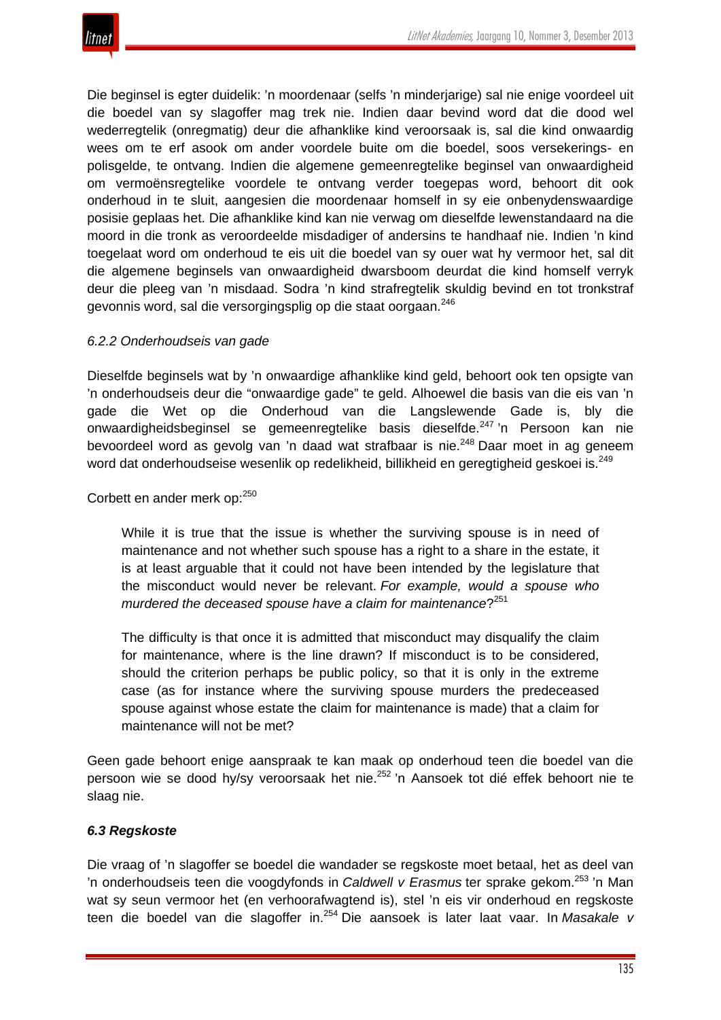

Die beginsel is egter duidelik: 'n moordenaar (selfs 'n minderjarige) sal nie enige voordeel uit die boedel van sy slagoffer mag trek nie. Indien daar bevind word dat die dood wel wederregtelik (onregmatig) deur die afhanklike kind veroorsaak is, sal die kind onwaardig wees om te erf asook om ander voordele buite om die boedel, soos versekerings- en polisgelde, te ontvang. Indien die algemene gemeenregtelike beginsel van onwaardigheid om vermoënsregtelike voordele te ontvang verder toegepas word, behoort dit ook onderhoud in te sluit, aangesien die moordenaar homself in sy eie onbenydenswaardige posisie geplaas het. Die afhanklike kind kan nie verwag om dieselfde lewenstandaard na die moord in die tronk as veroordeelde misdadiger of andersins te handhaaf nie. Indien 'n kind toegelaat word om onderhoud te eis uit die boedel van sy ouer wat hy vermoor het, sal dit die algemene beginsels van onwaardigheid dwarsboom deurdat die kind homself verryk deur die pleeg van 'n misdaad. Sodra 'n kind strafregtelik skuldig bevind en tot tronkstraf gevonnis word, sal die versorgingsplig op die staat oorgaan.<sup>246</sup>

#### *6.2.2 Onderhoudseis van gade*

Dieselfde beginsels wat by 'n onwaardige afhanklike kind geld, behoort ook ten opsigte van 'n onderhoudseis deur die "onwaardige gade" te geld. Alhoewel die basis van die eis van 'n gade die Wet op die Onderhoud van die Langslewende Gade is, bly die onwaardigheidsbeginsel se gemeenregtelike basis dieselfde.<sup>247</sup> 'n Persoon kan nie bevoordeel word as gevolg van 'n daad wat strafbaar is nie.<sup>248</sup> Daar moet in ag geneem word dat onderhoudseise wesenlik op redelikheid, billikheid en geregtigheid geskoei is.<sup>249</sup>

Corbett en ander merk op:<sup>250</sup>

While it is true that the issue is whether the surviving spouse is in need of maintenance and not whether such spouse has a right to a share in the estate, it is at least arguable that it could not have been intended by the legislature that the misconduct would never be relevant. *For example, would a spouse who murdered the deceased spouse have a claim for maintenance*?<sup>251</sup>

The difficulty is that once it is admitted that misconduct may disqualify the claim for maintenance, where is the line drawn? If misconduct is to be considered, should the criterion perhaps be public policy, so that it is only in the extreme case (as for instance where the surviving spouse murders the predeceased spouse against whose estate the claim for maintenance is made) that a claim for maintenance will not be met?

Geen gade behoort enige aanspraak te kan maak op onderhoud teen die boedel van die persoon wie se dood hy/sy veroorsaak het nie.<sup>252</sup> 'n Aansoek tot dié effek behoort nie te slaag nie.

#### *6.3 Regskoste*

Die vraag of 'n slagoffer se boedel die wandader se regskoste moet betaal, het as deel van 'n onderhoudseis teen die voogdyfonds in *Caldwell v Erasmus* ter sprake gekom.<sup>253</sup> 'n Man wat sy seun vermoor het (en verhoorafwagtend is), stel 'n eis vir onderhoud en regskoste teen die boedel van die slagoffer in.<sup>254</sup> Die aansoek is later laat vaar. In *Masakale v*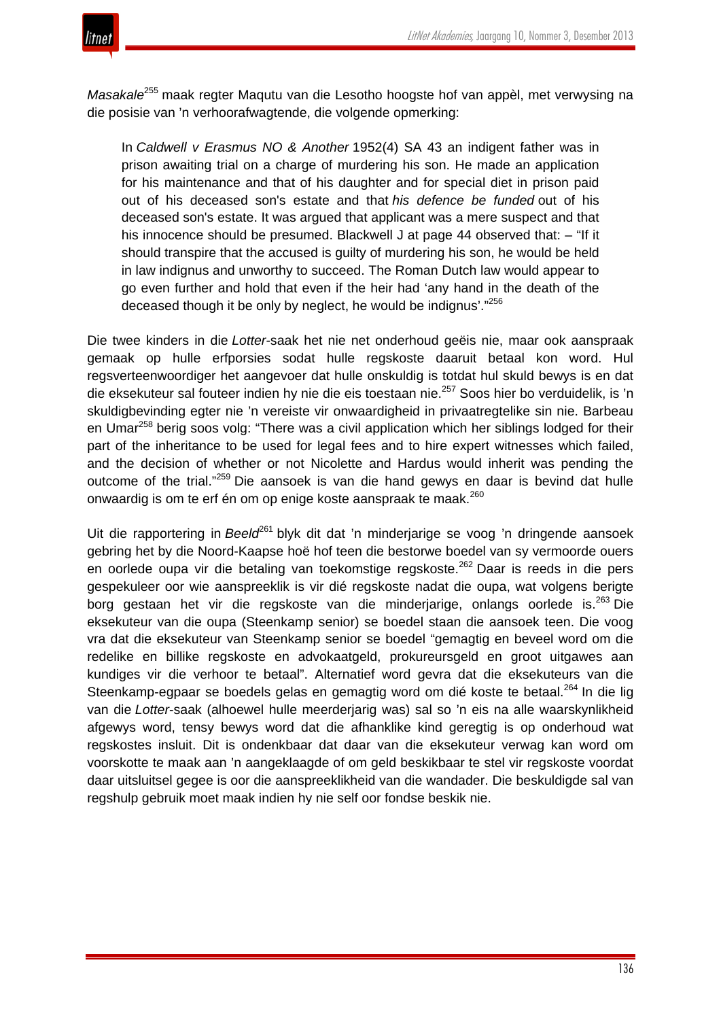*Masakale*<sup>255</sup> maak regter Maqutu van die Lesotho hoogste hof van appèl, met verwysing na die posisie van 'n verhoorafwagtende, die volgende opmerking:

In *Caldwell v Erasmus NO & Another* 1952(4) SA 43 an indigent father was in prison awaiting trial on a charge of murdering his son. He made an application for his maintenance and that of his daughter and for special diet in prison paid out of his deceased son's estate and that *his defence be funded* out of his deceased son's estate. It was argued that applicant was a mere suspect and that his innocence should be presumed. Blackwell J at page 44 observed that: - "If it should transpire that the accused is guilty of murdering his son, he would be held in law indignus and unworthy to succeed. The Roman Dutch law would appear to go even further and hold that even if the heir had 'any hand in the death of the deceased though it be only by neglect, he would be indignus'."<sup>256</sup>

Die twee kinders in die *Lotter-*saak het nie net onderhoud geëis nie, maar ook aanspraak gemaak op hulle erfporsies sodat hulle regskoste daaruit betaal kon word. Hul regsverteenwoordiger het aangevoer dat hulle onskuldig is totdat hul skuld bewys is en dat die eksekuteur sal fouteer indien hy nie die eis toestaan nie.<sup>257</sup> Soos hier bo verduidelik, is 'n skuldigbevinding egter nie 'n vereiste vir onwaardigheid in privaatregtelike sin nie. Barbeau en Umar<sup>258</sup> berig soos volg: "There was a civil application which her siblings lodged for their part of the inheritance to be used for legal fees and to hire expert witnesses which failed, and the decision of whether or not Nicolette and Hardus would inherit was pending the outcome of the trial."<sup>259</sup> Die aansoek is van die hand gewys en daar is bevind dat hulle onwaardig is om te erf én om op enige koste aanspraak te maak.<sup>260</sup>

Uit die rapportering in *Beeld<sup>e61</sup>* blyk dit dat 'n minderjarige se voog 'n dringende aansoek gebring het by die Noord-Kaapse hoë hof teen die bestorwe boedel van sy vermoorde ouers en oorlede oupa vir die betaling van toekomstige regskoste.<sup>262</sup> Daar is reeds in die pers gespekuleer oor wie aanspreeklik is vir dié regskoste nadat die oupa, wat volgens berigte borg gestaan het vir die regskoste van die minderjarige, onlangs oorlede is.<sup>263</sup> Die eksekuteur van die oupa (Steenkamp senior) se boedel staan die aansoek teen. Die voog vra dat die eksekuteur van Steenkamp senior se boedel "gemagtig en beveel word om die redelike en billike regskoste en advokaatgeld, prokureursgeld en groot uitgawes aan kundiges vir die verhoor te betaal". Alternatief word gevra dat die eksekuteurs van die Steenkamp-egpaar se boedels gelas en gemagtig word om dié koste te betaal.<sup>264</sup> In die lig van die *Lotter*-saak (alhoewel hulle meerderjarig was) sal so 'n eis na alle waarskynlikheid afgewys word, tensy bewys word dat die afhanklike kind geregtig is op onderhoud wat regskostes insluit. Dit is ondenkbaar dat daar van die eksekuteur verwag kan word om voorskotte te maak aan 'n aangeklaagde of om geld beskikbaar te stel vir regskoste voordat daar uitsluitsel gegee is oor die aanspreeklikheid van die wandader. Die beskuldigde sal van regshulp gebruik moet maak indien hy nie self oor fondse beskik nie.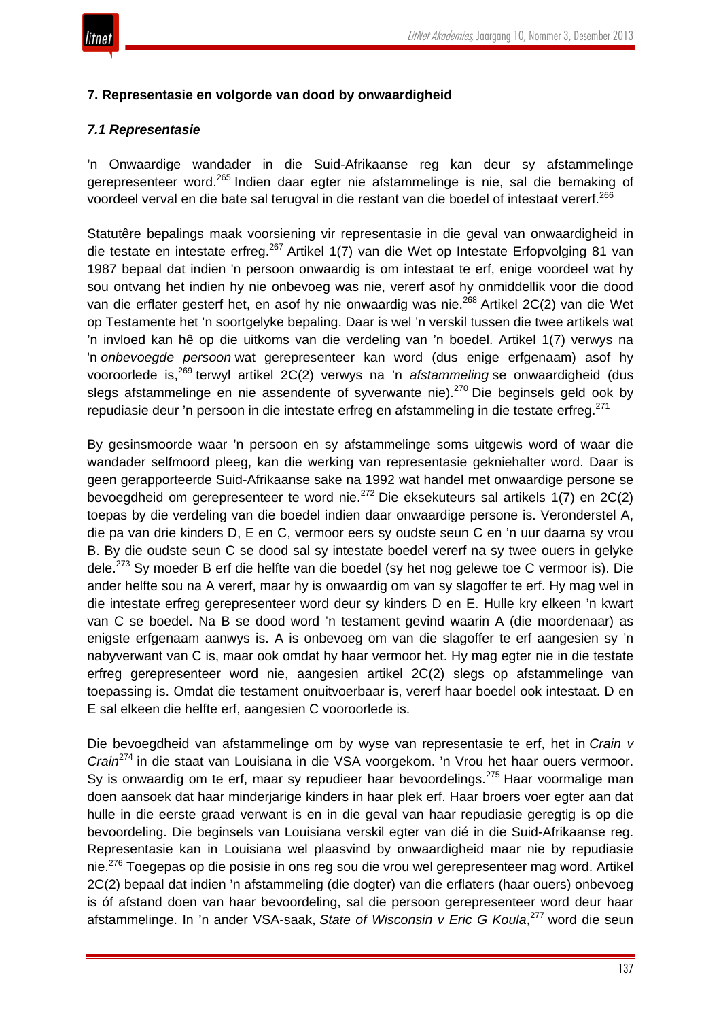

## **7. Representasie en volgorde van dood by onwaardigheid**

## *7.1 Representasie*

'n Onwaardige wandader in die Suid-Afrikaanse reg kan deur sy afstammelinge gerepresenteer word.<sup>265</sup> Indien daar egter nie afstammelinge is nie, sal die bemaking of voordeel verval en die bate sal terugval in die restant van die boedel of intestaat vererf.<sup>266</sup>

Statutêre bepalings maak voorsiening vir representasie in die geval van onwaardigheid in die testate en intestate erfreg.<sup>267</sup> Artikel 1(7) van die Wet op Intestate Erfopvolging 81 van 1987 bepaal dat indien 'n persoon onwaardig is om intestaat te erf, enige voordeel wat hy sou ontvang het indien hy nie onbevoeg was nie, vererf asof hy onmiddellik voor die dood van die erflater gesterf het, en asof hy nie onwaardig was nie.<sup>268</sup> Artikel 2C(2) van die Wet op Testamente het 'n soortgelyke bepaling. Daar is wel 'n verskil tussen die twee artikels wat 'n invloed kan hê op die uitkoms van die verdeling van 'n boedel. Artikel 1(7) verwys na 'n *onbevoegde persoon* wat gerepresenteer kan word (dus enige erfgenaam) asof hy vooroorlede is,<sup>269</sup> terwyl artikel 2C(2) verwys na 'n *afstammeling* se onwaardigheid (dus slegs afstammelinge en nie assendente of syverwante nie).<sup>270</sup> Die beginsels geld ook by repudiasie deur 'n persoon in die intestate erfreg en afstammeling in die testate erfreg.<sup>271</sup>

By gesinsmoorde waar 'n persoon en sy afstammelinge soms uitgewis word of waar die wandader selfmoord pleeg, kan die werking van representasie gekniehalter word. Daar is geen gerapporteerde Suid-Afrikaanse sake na 1992 wat handel met onwaardige persone se bevoegdheid om gerepresenteer te word nie.<sup>272</sup> Die eksekuteurs sal artikels 1(7) en 2C(2) toepas by die verdeling van die boedel indien daar onwaardige persone is. Veronderstel A, die pa van drie kinders D, E en C, vermoor eers sy oudste seun C en 'n uur daarna sy vrou B. By die oudste seun C se dood sal sy intestate boedel vererf na sy twee ouers in gelyke dele.<sup>273</sup> Sy moeder B erf die helfte van die boedel (sy het nog gelewe toe C vermoor is). Die ander helfte sou na A vererf, maar hy is onwaardig om van sy slagoffer te erf. Hy mag wel in die intestate erfreg gerepresenteer word deur sy kinders D en E. Hulle kry elkeen 'n kwart van C se boedel. Na B se dood word 'n testament gevind waarin A (die moordenaar) as enigste erfgenaam aanwys is. A is onbevoeg om van die slagoffer te erf aangesien sy 'n nabyverwant van C is, maar ook omdat hy haar vermoor het. Hy mag egter nie in die testate erfreg gerepresenteer word nie, aangesien artikel 2C(2) slegs op afstammelinge van toepassing is. Omdat die testament onuitvoerbaar is, vererf haar boedel ook intestaat. D en E sal elkeen die helfte erf, aangesien C vooroorlede is.

Die bevoegdheid van afstammelinge om by wyse van representasie te erf, het in *Crain v Crain*<sup>274</sup> in die staat van Louisiana in die VSA voorgekom. 'n Vrou het haar ouers vermoor. Sy is onwaardig om te erf, maar sy repudieer haar bevoordelings.<sup>275</sup> Haar voormalige man doen aansoek dat haar minderjarige kinders in haar plek erf. Haar broers voer egter aan dat hulle in die eerste graad verwant is en in die geval van haar repudiasie geregtig is op die bevoordeling. Die beginsels van Louisiana verskil egter van dié in die Suid-Afrikaanse reg. Representasie kan in Louisiana wel plaasvind by onwaardigheid maar nie by repudiasie nie.<sup>276</sup> Toegepas op die posisie in ons reg sou die vrou wel gerepresenteer mag word. Artikel 2C(2) bepaal dat indien 'n afstammeling (die dogter) van die erflaters (haar ouers) onbevoeg is óf afstand doen van haar bevoordeling, sal die persoon gerepresenteer word deur haar afstammelinge. In 'n ander VSA-saak, *State of Wisconsin v Eric G Koula*, <sup>277</sup> word die seun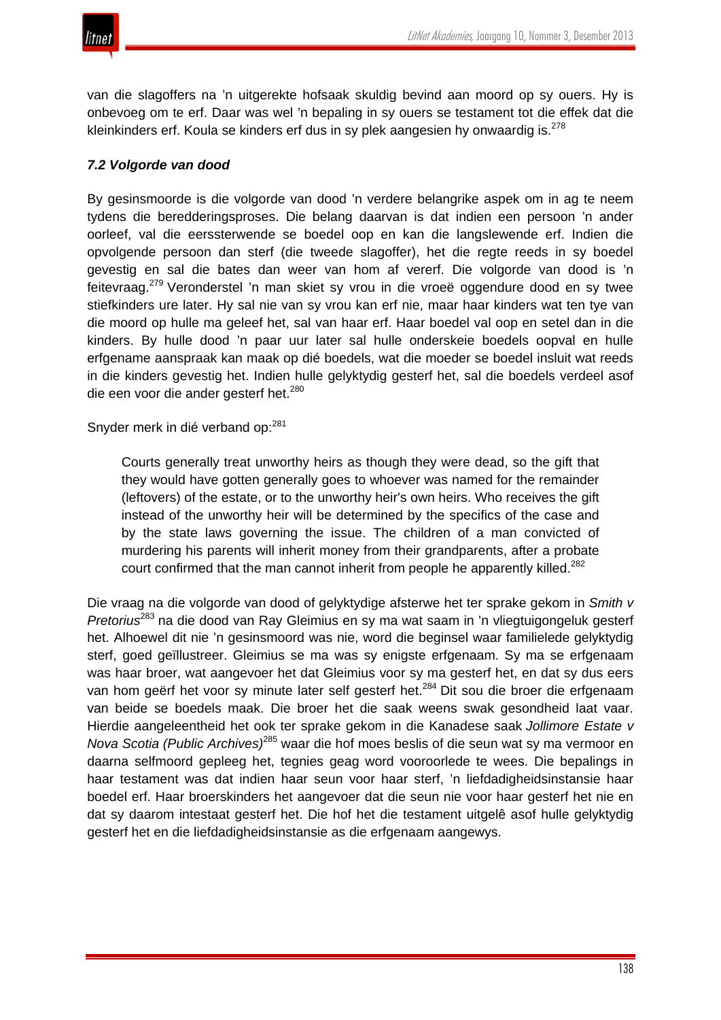van die slagoffers na 'n uitgerekte hofsaak skuldig bevind aan moord op sy ouers. Hy is onbevoeg om te erf. Daar was wel 'n bepaling in sy ouers se testament tot die effek dat die kleinkinders erf. Koula se kinders erf dus in sy plek aangesien hy onwaardig is. $^{278}$ 

# *7.2 Volgorde van dood*

By gesinsmoorde is die volgorde van dood 'n verdere belangrike aspek om in ag te neem tydens die beredderingsproses. Die belang daarvan is dat indien een persoon 'n ander oorleef, val die eerssterwende se boedel oop en kan die langslewende erf. Indien die opvolgende persoon dan sterf (die tweede slagoffer), het die regte reeds in sy boedel gevestig en sal die bates dan weer van hom af vererf. Die volgorde van dood is 'n feitevraag.<sup>279</sup> Veronderstel 'n man skiet sy vrou in die vroeë oggendure dood en sy twee stiefkinders ure later. Hy sal nie van sy vrou kan erf nie, maar haar kinders wat ten tye van die moord op hulle ma geleef het, sal van haar erf. Haar boedel val oop en setel dan in die kinders. By hulle dood 'n paar uur later sal hulle onderskeie boedels oopval en hulle erfgename aanspraak kan maak op dié boedels, wat die moeder se boedel insluit wat reeds in die kinders gevestig het. Indien hulle gelyktydig gesterf het, sal die boedels verdeel asof die een voor die ander gesterf het.<sup>280</sup>

Snyder merk in dié verband op:<sup>281</sup>

Courts generally treat unworthy heirs as though they were dead, so the gift that they would have gotten generally goes to whoever was named for the remainder (leftovers) of the estate, or to the unworthy heir's own heirs. Who receives the gift instead of the unworthy heir will be determined by the specifics of the case and by the state laws governing the issue. The children of a man convicted of murdering his parents will inherit money from their grandparents, after a probate court confirmed that the man cannot inherit from people he apparently killed.<sup>282</sup>

Die vraag na die volgorde van dood of gelyktydige afsterwe het ter sprake gekom in *Smith v Pretorius*<sup>283</sup> na die dood van Ray Gleimius en sy ma wat saam in 'n vliegtuigongeluk gesterf het. Alhoewel dit nie 'n gesinsmoord was nie, word die beginsel waar familielede gelyktydig sterf, goed geïllustreer. Gleimius se ma was sy enigste erfgenaam. Sy ma se erfgenaam was haar broer, wat aangevoer het dat Gleimius voor sy ma gesterf het, en dat sy dus eers van hom geërf het voor sy minute later self gesterf het.<sup>284</sup> Dit sou die broer die erfgenaam van beide se boedels maak. Die broer het die saak weens swak gesondheid laat vaar. Hierdie aangeleentheid het ook ter sprake gekom in die Kanadese saak *Jollimore Estate v Nova Scotia (Public Archives)*<sup>285</sup> waar die hof moes beslis of die seun wat sy ma vermoor en daarna selfmoord gepleeg het, tegnies geag word vooroorlede te wees. Die bepalings in haar testament was dat indien haar seun voor haar sterf, 'n liefdadigheidsinstansie haar boedel erf. Haar broerskinders het aangevoer dat die seun nie voor haar gesterf het nie en dat sy daarom intestaat gesterf het. Die hof het die testament uitgelê asof hulle gelyktydig gesterf het en die liefdadigheidsinstansie as die erfgenaam aangewys.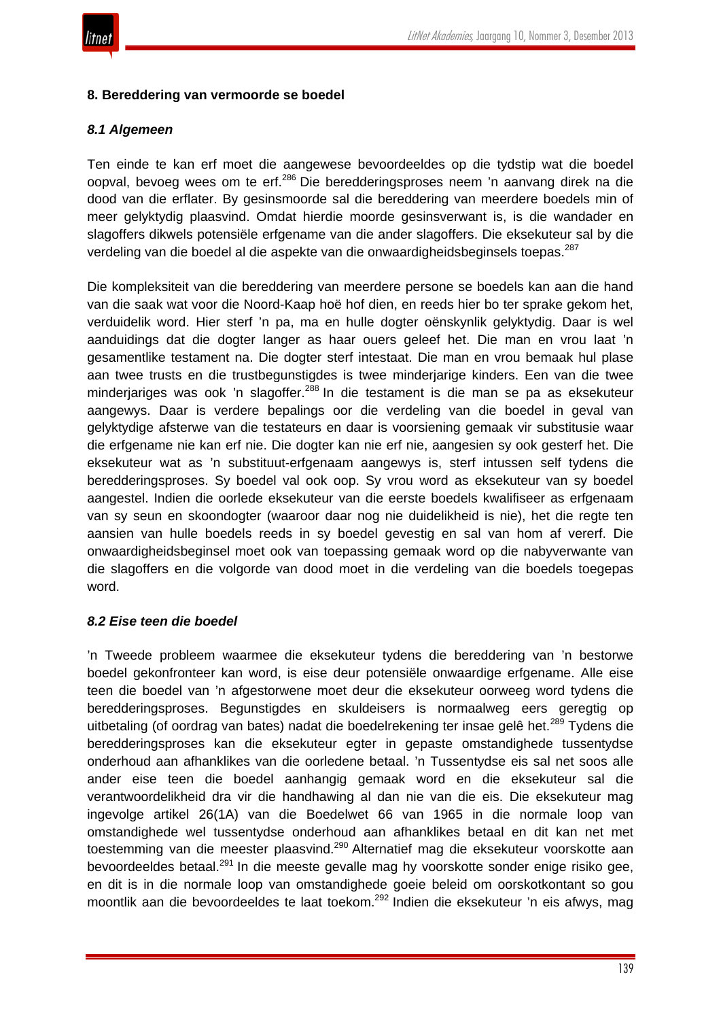

#### **8. Bereddering van vermoorde se boedel**

#### *8.1 Algemeen*

Ten einde te kan erf moet die aangewese bevoordeeldes op die tydstip wat die boedel oopval, bevoeg wees om te erf.<sup>286</sup> Die beredderingsproses neem 'n aanvang direk na die dood van die erflater. By gesinsmoorde sal die bereddering van meerdere boedels min of meer gelyktydig plaasvind. Omdat hierdie moorde gesinsverwant is, is die wandader en slagoffers dikwels potensiële erfgename van die ander slagoffers. Die eksekuteur sal by die verdeling van die boedel al die aspekte van die onwaardigheidsbeginsels toepas.<sup>287</sup>

Die kompleksiteit van die bereddering van meerdere persone se boedels kan aan die hand van die saak wat voor die Noord-Kaap hoë hof dien, en reeds hier bo ter sprake gekom het, verduidelik word. Hier sterf 'n pa, ma en hulle dogter oënskynlik gelyktydig. Daar is wel aanduidings dat die dogter langer as haar ouers geleef het. Die man en vrou laat 'n gesamentlike testament na. Die dogter sterf intestaat. Die man en vrou bemaak hul plase aan twee trusts en die trustbegunstigdes is twee minderjarige kinders. Een van die twee minderjariges was ook 'n slagoffer.<sup>288</sup> In die testament is die man se pa as eksekuteur aangewys. Daar is verdere bepalings oor die verdeling van die boedel in geval van gelyktydige afsterwe van die testateurs en daar is voorsiening gemaak vir substitusie waar die erfgename nie kan erf nie. Die dogter kan nie erf nie, aangesien sy ook gesterf het. Die eksekuteur wat as 'n substituut-erfgenaam aangewys is, sterf intussen self tydens die beredderingsproses. Sy boedel val ook oop. Sy vrou word as eksekuteur van sy boedel aangestel. Indien die oorlede eksekuteur van die eerste boedels kwalifiseer as erfgenaam van sy seun en skoondogter (waaroor daar nog nie duidelikheid is nie), het die regte ten aansien van hulle boedels reeds in sy boedel gevestig en sal van hom af vererf. Die onwaardigheidsbeginsel moet ook van toepassing gemaak word op die nabyverwante van die slagoffers en die volgorde van dood moet in die verdeling van die boedels toegepas word.

#### *8.2 Eise teen die boedel*

'n Tweede probleem waarmee die eksekuteur tydens die bereddering van 'n bestorwe boedel gekonfronteer kan word, is eise deur potensiële onwaardige erfgename. Alle eise teen die boedel van 'n afgestorwene moet deur die eksekuteur oorweeg word tydens die beredderingsproses. Begunstigdes en skuldeisers is normaalweg eers geregtig op uitbetaling (of oordrag van bates) nadat die boedelrekening ter insae gelê het.<sup>289</sup> Tydens die beredderingsproses kan die eksekuteur egter in gepaste omstandighede tussentydse onderhoud aan afhanklikes van die oorledene betaal. 'n Tussentydse eis sal net soos alle ander eise teen die boedel aanhangig gemaak word en die eksekuteur sal die verantwoordelikheid dra vir die handhawing al dan nie van die eis. Die eksekuteur mag ingevolge artikel 26(1A) van die Boedelwet 66 van 1965 in die normale loop van omstandighede wel tussentydse onderhoud aan afhanklikes betaal en dit kan net met toestemming van die meester plaasvind.<sup>290</sup> Alternatief mag die eksekuteur voorskotte aan bevoordeeldes betaal.<sup>291</sup> In die meeste gevalle mag hy voorskotte sonder enige risiko gee, en dit is in die normale loop van omstandighede goeie beleid om oorskotkontant so gou moontlik aan die bevoordeeldes te laat toekom.<sup>292</sup> Indien die eksekuteur 'n eis afwys, mag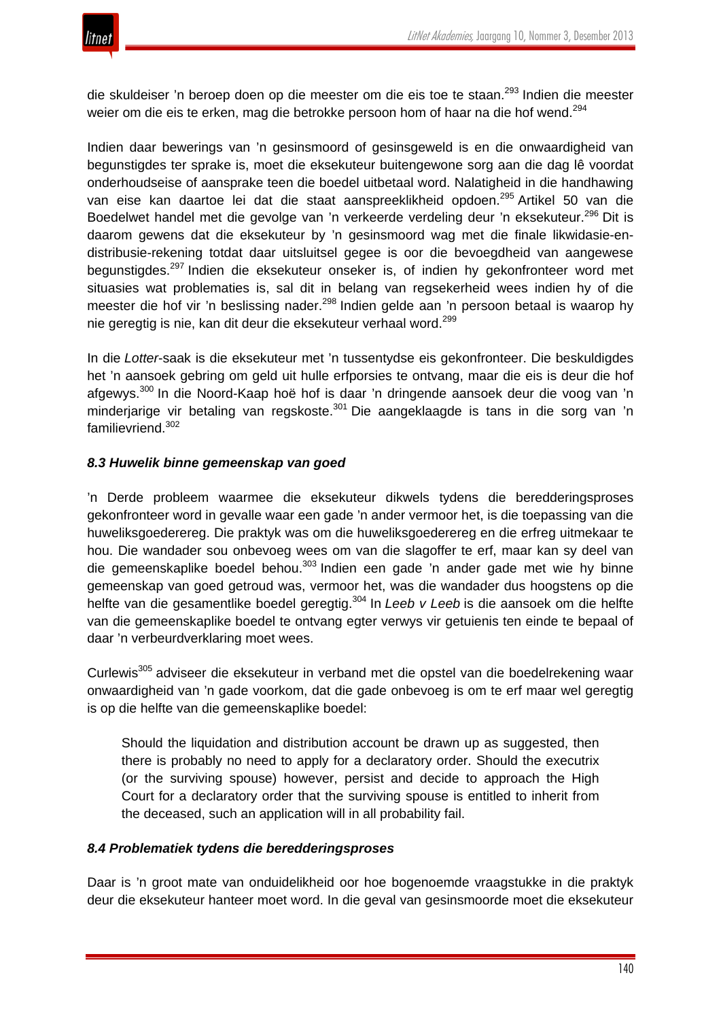

die skuldeiser 'n beroep doen op die meester om die eis toe te staan.<sup>293</sup> Indien die meester weier om die eis te erken, mag die betrokke persoon hom of haar na die hof wend.<sup>294</sup>

Indien daar bewerings van 'n gesinsmoord of gesinsgeweld is en die onwaardigheid van begunstigdes ter sprake is, moet die eksekuteur buitengewone sorg aan die dag lê voordat onderhoudseise of aansprake teen die boedel uitbetaal word. Nalatigheid in die handhawing van eise kan daartoe lei dat die staat aanspreeklikheid opdoen.<sup>295</sup> Artikel 50 van die Boedelwet handel met die gevolge van 'n verkeerde verdeling deur 'n eksekuteur.<sup>296</sup> Dit is daarom gewens dat die eksekuteur by 'n gesinsmoord wag met die finale likwidasie-endistribusie-rekening totdat daar uitsluitsel gegee is oor die bevoegdheid van aangewese begunstigdes.<sup>297</sup> Indien die eksekuteur onseker is, of indien hy gekonfronteer word met situasies wat problematies is, sal dit in belang van regsekerheid wees indien hy of die meester die hof vir 'n beslissing nader.<sup>298</sup> Indien gelde aan 'n persoon betaal is waarop hy nie geregtig is nie, kan dit deur die eksekuteur verhaal word.<sup>299</sup>

In die *Lotter*-saak is die eksekuteur met 'n tussentydse eis gekonfronteer. Die beskuldigdes het 'n aansoek gebring om geld uit hulle erfporsies te ontvang, maar die eis is deur die hof afgewys.<sup>300</sup> In die Noord-Kaap hoë hof is daar 'n dringende aansoek deur die voog van 'n minderiarige vir betaling van regskoste.<sup>301</sup> Die aangeklaagde is tans in die sorg van 'n familievriend.<sup>302</sup>

# *8.3 Huwelik binne gemeenskap van goed*

'n Derde probleem waarmee die eksekuteur dikwels tydens die beredderingsproses gekonfronteer word in gevalle waar een gade 'n ander vermoor het, is die toepassing van die huweliksgoederereg. Die praktyk was om die huweliksgoederereg en die erfreg uitmekaar te hou. Die wandader sou onbevoeg wees om van die slagoffer te erf, maar kan sy deel van die gemeenskaplike boedel behou.<sup>303</sup> Indien een gade 'n ander gade met wie hy binne gemeenskap van goed getroud was, vermoor het, was die wandader dus hoogstens op die helfte van die gesamentlike boedel geregtig.<sup>304</sup> In *Leeb v Leeb* is die aansoek om die helfte van die gemeenskaplike boedel te ontvang egter verwys vir getuienis ten einde te bepaal of daar 'n verbeurdverklaring moet wees.

Curlewis<sup>305</sup> adviseer die eksekuteur in verband met die opstel van die boedelrekening waar onwaardigheid van 'n gade voorkom, dat die gade onbevoeg is om te erf maar wel geregtig is op die helfte van die gemeenskaplike boedel:

Should the liquidation and distribution account be drawn up as suggested, then there is probably no need to apply for a declaratory order. Should the executrix (or the surviving spouse) however, persist and decide to approach the High Court for a declaratory order that the surviving spouse is entitled to inherit from the deceased, such an application will in all probability fail.

#### *8.4 Problematiek tydens die beredderingsproses*

Daar is 'n groot mate van onduidelikheid oor hoe bogenoemde vraagstukke in die praktyk deur die eksekuteur hanteer moet word. In die geval van gesinsmoorde moet die eksekuteur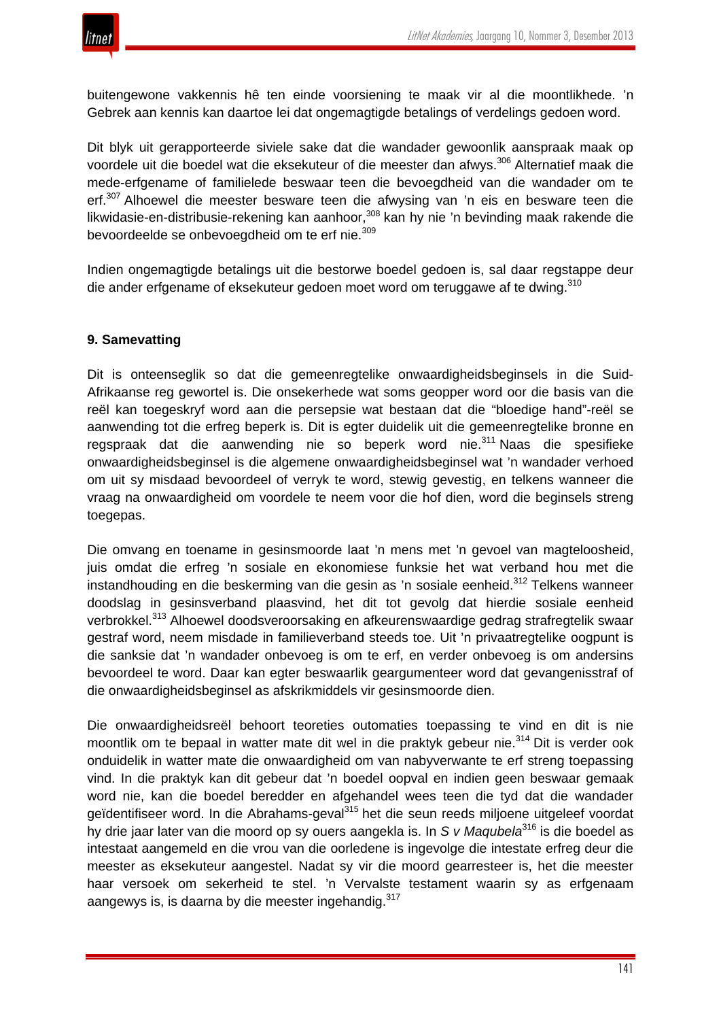

buitengewone vakkennis hê ten einde voorsiening te maak vir al die moontlikhede. 'n Gebrek aan kennis kan daartoe lei dat ongemagtigde betalings of verdelings gedoen word.

Dit blyk uit gerapporteerde siviele sake dat die wandader gewoonlik aanspraak maak op voordele uit die boedel wat die eksekuteur of die meester dan afwys.<sup>306</sup> Alternatief maak die mede-erfgename of familielede beswaar teen die bevoegdheid van die wandader om te erf.<sup>307</sup> Alhoewel die meester besware teen die afwysing van 'n eis en besware teen die likwidasie-en-distribusie-rekening kan aanhoor,<sup>308</sup> kan hy nie 'n bevinding maak rakende die bevoordeelde se onbevoegdheid om te erf nie.<sup>309</sup>

Indien ongemagtigde betalings uit die bestorwe boedel gedoen is, sal daar regstappe deur die ander erfgename of eksekuteur gedoen moet word om teruggawe af te dwing.<sup>310</sup>

## **9. Samevatting**

Dit is onteenseglik so dat die gemeenregtelike onwaardigheidsbeginsels in die Suid-Afrikaanse reg gewortel is. Die onsekerhede wat soms geopper word oor die basis van die reël kan toegeskryf word aan die persepsie wat bestaan dat die "bloedige hand"-reël se aanwending tot die erfreg beperk is. Dit is egter duidelik uit die gemeenregtelike bronne en regspraak dat die aanwending nie so beperk word nie.<sup>311</sup> Naas die spesifieke onwaardigheidsbeginsel is die algemene onwaardigheidsbeginsel wat 'n wandader verhoed om uit sy misdaad bevoordeel of verryk te word, stewig gevestig, en telkens wanneer die vraag na onwaardigheid om voordele te neem voor die hof dien, word die beginsels streng toegepas.

Die omvang en toename in gesinsmoorde laat 'n mens met 'n gevoel van magteloosheid, juis omdat die erfreg 'n sosiale en ekonomiese funksie het wat verband hou met die instandhouding en die beskerming van die gesin as 'n sosiale eenheid.<sup>312</sup> Telkens wanneer doodslag in gesinsverband plaasvind, het dit tot gevolg dat hierdie sosiale eenheid verbrokkel.<sup>313</sup> Alhoewel doodsveroorsaking en afkeurenswaardige gedrag strafregtelik swaar gestraf word, neem misdade in familieverband steeds toe. Uit 'n privaatregtelike oogpunt is die sanksie dat 'n wandader onbevoeg is om te erf, en verder onbevoeg is om andersins bevoordeel te word. Daar kan egter beswaarlik geargumenteer word dat gevangenisstraf of die onwaardigheidsbeginsel as afskrikmiddels vir gesinsmoorde dien.

Die onwaardigheidsreël behoort teoreties outomaties toepassing te vind en dit is nie moontlik om te bepaal in watter mate dit wel in die praktyk gebeur nie.<sup>314</sup> Dit is verder ook onduidelik in watter mate die onwaardigheid om van nabyverwante te erf streng toepassing vind. In die praktyk kan dit gebeur dat 'n boedel oopval en indien geen beswaar gemaak word nie, kan die boedel beredder en afgehandel wees teen die tyd dat die wandader geïdentifiseer word. In die Abrahams-geval<sup>315</sup> het die seun reeds miljoene uitgeleef voordat hy drie jaar later van die moord op sy ouers aangekla is. In *S v Maqubela*<sup>316</sup> is die boedel as intestaat aangemeld en die vrou van die oorledene is ingevolge die intestate erfreg deur die meester as eksekuteur aangestel. Nadat sy vir die moord gearresteer is, het die meester haar versoek om sekerheid te stel. 'n Vervalste testament waarin sy as erfgenaam aangewys is, is daarna by die meester ingehandig. 317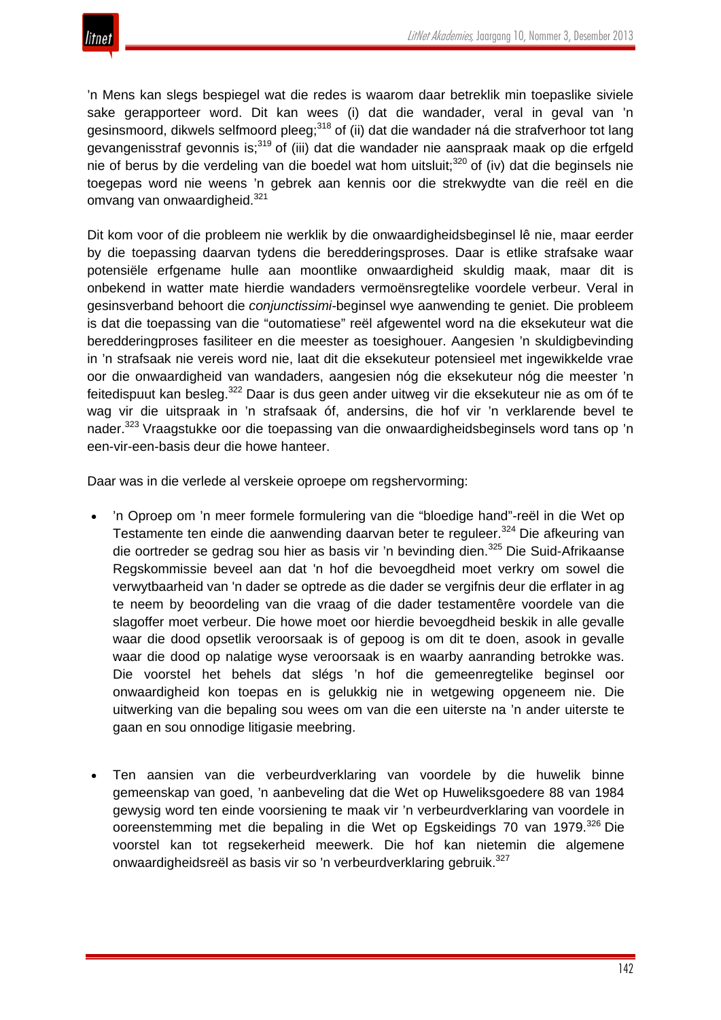

'n Mens kan slegs bespiegel wat die redes is waarom daar betreklik min toepaslike siviele sake gerapporteer word. Dit kan wees (i) dat die wandader, veral in geval van 'n gesinsmoord, dikwels selfmoord pleeg;<sup>318</sup> of (ii) dat die wandader ná die strafverhoor tot lang gevangenisstraf gevonnis is;<sup>319</sup> of (iii) dat die wandader nie aanspraak maak op die erfgeld nie of berus by die verdeling van die boedel wat hom uitsluit;<sup>320</sup> of (iv) dat die beginsels nie toegepas word nie weens 'n gebrek aan kennis oor die strekwydte van die reël en die omvang van onwaardigheid.<sup>321</sup>

Dit kom voor of die probleem nie werklik by die onwaardigheidsbeginsel lê nie, maar eerder by die toepassing daarvan tydens die beredderingsproses. Daar is etlike strafsake waar potensiële erfgename hulle aan moontlike onwaardigheid skuldig maak, maar dit is onbekend in watter mate hierdie wandaders vermoënsregtelike voordele verbeur. Veral in gesinsverband behoort die *conjunctissimi-*beginsel wye aanwending te geniet. Die probleem is dat die toepassing van die "outomatiese" reël afgewentel word na die eksekuteur wat die beredderingproses fasiliteer en die meester as toesighouer. Aangesien 'n skuldigbevinding in 'n strafsaak nie vereis word nie, laat dit die eksekuteur potensieel met ingewikkelde vrae oor die onwaardigheid van wandaders, aangesien nóg die eksekuteur nóg die meester 'n feitedispuut kan besleg.<sup>322</sup> Daar is dus geen ander uitweg vir die eksekuteur nie as om óf te wag vir die uitspraak in 'n strafsaak óf, andersins, die hof vir 'n verklarende bevel te nader.<sup>323</sup> Vraagstukke oor die toepassing van die onwaardigheidsbeginsels word tans op 'n een-vir-een-basis deur die howe hanteer.

Daar was in die verlede al verskeie oproepe om regshervorming:

- 'n Oproep om 'n meer formele formulering van die "bloedige hand"-reël in die Wet op Testamente ten einde die aanwending daarvan beter te reguleer.<sup>324</sup> Die afkeuring van die oortreder se gedrag sou hier as basis vir 'n bevinding dien.<sup>325</sup> Die Suid-Afrikaanse Regskommissie beveel aan dat 'n hof die bevoegdheid moet verkry om sowel die verwytbaarheid van 'n dader se optrede as die dader se vergifnis deur die erflater in ag te neem by beoordeling van die vraag of die dader testamentêre voordele van die slagoffer moet verbeur. Die howe moet oor hierdie bevoegdheid beskik in alle gevalle waar die dood opsetlik veroorsaak is of gepoog is om dit te doen, asook in gevalle waar die dood op nalatige wyse veroorsaak is en waarby aanranding betrokke was. Die voorstel het behels dat slégs 'n hof die gemeenregtelike beginsel oor onwaardigheid kon toepas en is gelukkig nie in wetgewing opgeneem nie. Die uitwerking van die bepaling sou wees om van die een uiterste na 'n ander uiterste te gaan en sou onnodige litigasie meebring.
- Ten aansien van die verbeurdverklaring van voordele by die huwelik binne gemeenskap van goed, 'n aanbeveling dat die Wet op Huweliksgoedere 88 van 1984 gewysig word ten einde voorsiening te maak vir 'n verbeurdverklaring van voordele in ooreenstemming met die bepaling in die Wet op Egskeidings 70 van 1979.<sup>326</sup> Die voorstel kan tot regsekerheid meewerk. Die hof kan nietemin die algemene onwaardigheidsreël as basis vir so 'n verbeurdverklaring gebruik.<sup>327</sup>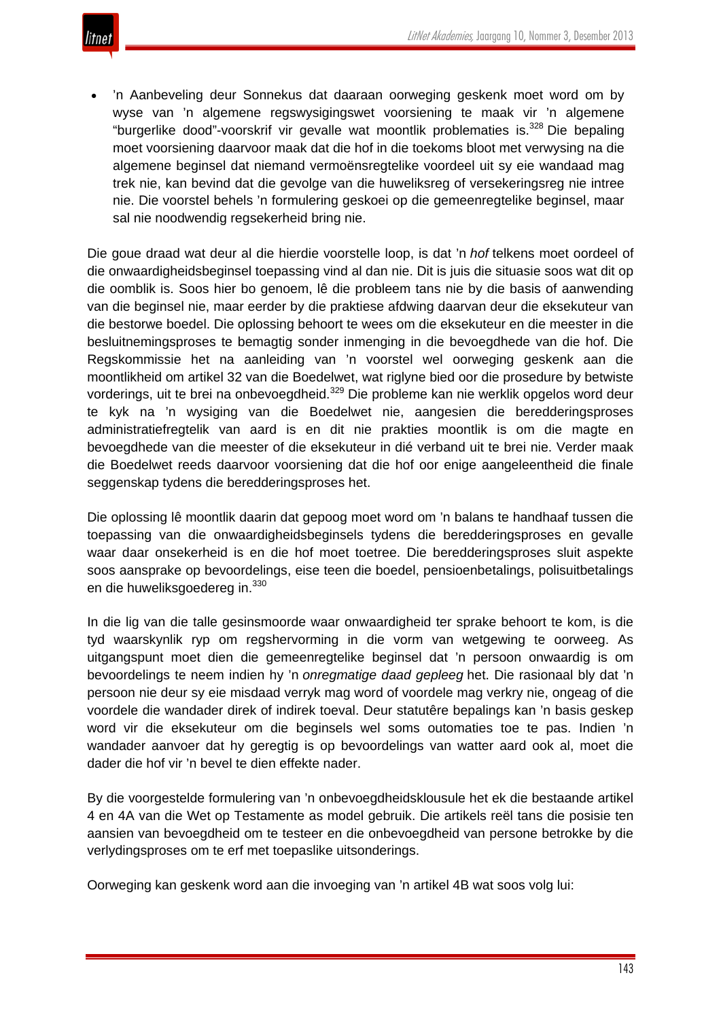

• 'n Aanbeveling deur Sonnekus dat daaraan oorweging geskenk moet word om by wyse van 'n algemene regswysigingswet voorsiening te maak vir 'n algemene "burgerlike dood"-voorskrif vir gevalle wat moontlik problematies is.<sup>328</sup> Die bepaling moet voorsiening daarvoor maak dat die hof in die toekoms bloot met verwysing na die algemene beginsel dat niemand vermoënsregtelike voordeel uit sy eie wandaad mag trek nie, kan bevind dat die gevolge van die huweliksreg of versekeringsreg nie intree nie. Die voorstel behels 'n formulering geskoei op die gemeenregtelike beginsel, maar sal nie noodwendig regsekerheid bring nie.

Die goue draad wat deur al die hierdie voorstelle loop, is dat 'n *hof* telkens moet oordeel of die onwaardigheidsbeginsel toepassing vind al dan nie. Dit is juis die situasie soos wat dit op die oomblik is. Soos hier bo genoem, lê die probleem tans nie by die basis of aanwending van die beginsel nie, maar eerder by die praktiese afdwing daarvan deur die eksekuteur van die bestorwe boedel. Die oplossing behoort te wees om die eksekuteur en die meester in die besluitnemingsproses te bemagtig sonder inmenging in die bevoegdhede van die hof. Die Regskommissie het na aanleiding van 'n voorstel wel oorweging geskenk aan die moontlikheid om artikel 32 van die Boedelwet, wat riglyne bied oor die prosedure by betwiste vorderings, uit te brei na onbevoegdheid.<sup>329</sup> Die probleme kan nie werklik opgelos word deur te kyk na 'n wysiging van die Boedelwet nie, aangesien die beredderingsproses administratiefregtelik van aard is en dit nie prakties moontlik is om die magte en bevoegdhede van die meester of die eksekuteur in dié verband uit te brei nie. Verder maak die Boedelwet reeds daarvoor voorsiening dat die hof oor enige aangeleentheid die finale seggenskap tydens die beredderingsproses het.

Die oplossing lê moontlik daarin dat gepoog moet word om 'n balans te handhaaf tussen die toepassing van die onwaardigheidsbeginsels tydens die beredderingsproses en gevalle waar daar onsekerheid is en die hof moet toetree. Die beredderingsproses sluit aspekte soos aansprake op bevoordelings, eise teen die boedel, pensioenbetalings, polisuitbetalings en die huweliksgoedereg in.<sup>330</sup>

In die lig van die talle gesinsmoorde waar onwaardigheid ter sprake behoort te kom, is die tyd waarskynlik ryp om regshervorming in die vorm van wetgewing te oorweeg. As uitgangspunt moet dien die gemeenregtelike beginsel dat 'n persoon onwaardig is om bevoordelings te neem indien hy 'n *onregmatige daad gepleeg* het. Die rasionaal bly dat 'n persoon nie deur sy eie misdaad verryk mag word of voordele mag verkry nie, ongeag of die voordele die wandader direk of indirek toeval. Deur statutêre bepalings kan 'n basis geskep word vir die eksekuteur om die beginsels wel soms outomaties toe te pas. Indien 'n wandader aanvoer dat hy geregtig is op bevoordelings van watter aard ook al, moet die dader die hof vir 'n bevel te dien effekte nader.

By die voorgestelde formulering van 'n onbevoegdheidsklousule het ek die bestaande artikel 4 en 4A van die Wet op Testamente as model gebruik. Die artikels reël tans die posisie ten aansien van bevoegdheid om te testeer en die onbevoegdheid van persone betrokke by die verlydingsproses om te erf met toepaslike uitsonderings.

Oorweging kan geskenk word aan die invoeging van 'n artikel 4B wat soos volg lui: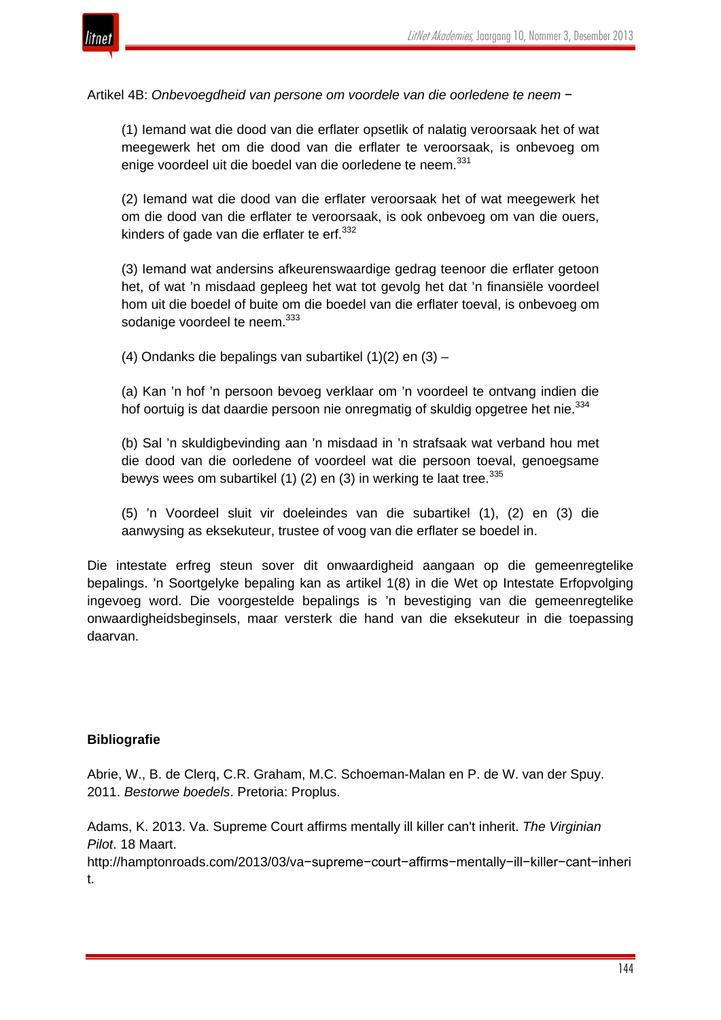

Artikel 4B: *Onbevoegdheid van persone om voordele van die oorledene te neem* −

(1) Iemand wat die dood van die erflater opsetlik of nalatig veroorsaak het of wat meegewerk het om die dood van die erflater te veroorsaak, is onbevoeg om enige voordeel uit die boedel van die oorledene te neem.<sup>331</sup>

(2) Iemand wat die dood van die erflater veroorsaak het of wat meegewerk het om die dood van die erflater te veroorsaak, is ook onbevoeg om van die ouers, kinders of gade van die erflater te erf. $332$ 

(3) Iemand wat andersins afkeurenswaardige gedrag teenoor die erflater getoon het, of wat 'n misdaad gepleeg het wat tot gevolg het dat 'n finansiële voordeel hom uit die boedel of buite om die boedel van die erflater toeval, is onbevoeg om sodanige voordeel te neem.<sup>333</sup>

(4) Ondanks die bepalings van subartikel (1)(2) en (3) –

(a) Kan 'n hof 'n persoon bevoeg verklaar om 'n voordeel te ontvang indien die hof oortuig is dat daardie persoon nie onregmatig of skuldig opgetree het nie.<sup>334</sup>

(b) Sal 'n skuldigbevinding aan 'n misdaad in 'n strafsaak wat verband hou met die dood van die oorledene of voordeel wat die persoon toeval, genoegsame bewys wees om subartikel (1) (2) en (3) in werking te laat tree.  $335$ 

(5) 'n Voordeel sluit vir doeleindes van die subartikel (1), (2) en (3) die aanwysing as eksekuteur, trustee of voog van die erflater se boedel in.

Die intestate erfreg steun sover dit onwaardigheid aangaan op die gemeenregtelike bepalings. 'n Soortgelyke bepaling kan as artikel 1(8) in die Wet op Intestate Erfopvolging ingevoeg word. Die voorgestelde bepalings is 'n bevestiging van die gemeenregtelike onwaardigheidsbeginsels, maar versterk die hand van die eksekuteur in die toepassing daarvan.

#### **Bibliografie**

Abrie, W., B. de Clerq, C.R. Graham, M.C. Schoeman-Malan en P. de W. van der Spuy. 2011. *Bestorwe boedels*. Pretoria: Proplus.

Adams, K. 2013. Va. Supreme Court affirms mentally ill killer can't inherit. *The Virginian Pilot*. 18 Maart.

http://hamptonroads.com/2013/03/va−supreme−court−affirms−mentally−ill−killer−cant−inheri t.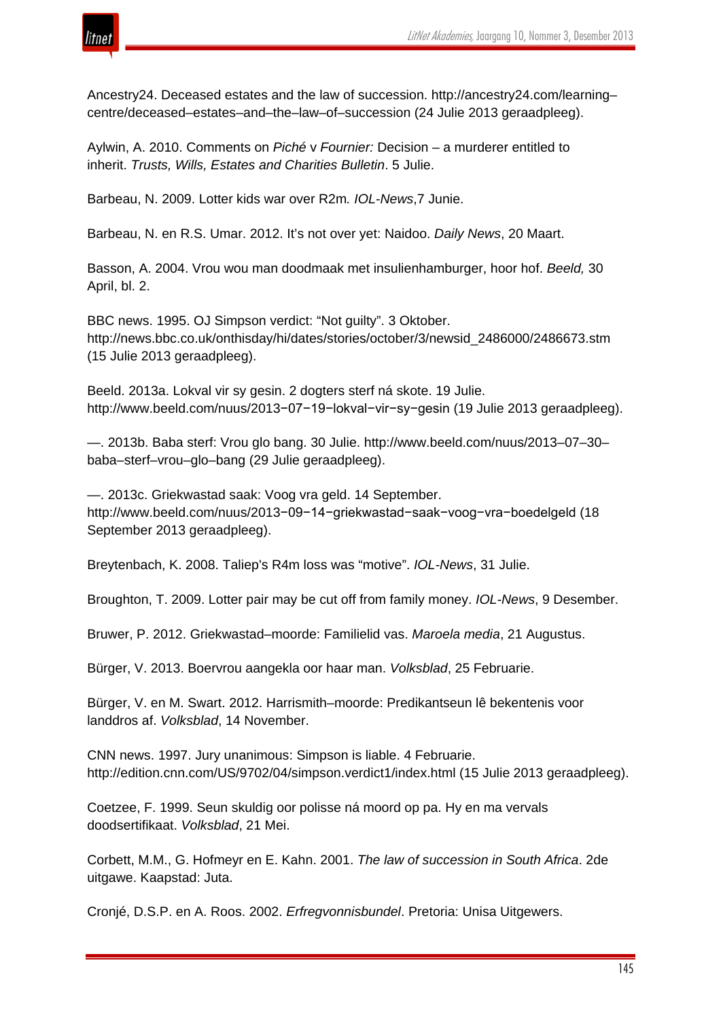

Ancestry24. Deceased estates and the law of succession. http://ancestry24.com/learning– centre/deceased–estates–and–the–law–of–succession (24 Julie 2013 geraadpleeg).

Aylwin, A. 2010. Comments on *Piché* v *Fournier:* Decision – a murderer entitled to inherit. *Trusts, Wills, Estates and Charities Bulletin*. 5 Julie.

Barbeau, N. 2009. Lotter kids war over R2m*. IOL-News*,7 Junie.

Barbeau, N. en R.S. Umar. 2012. It's not over yet: Naidoo. *Daily News*, 20 Maart.

Basson, A. 2004. Vrou wou man doodmaak met insulienhamburger, hoor hof. *Beeld,* 30 April, bl. 2.

BBC news. 1995. OJ Simpson verdict: "Not guilty". 3 Oktober. http://news.bbc.co.uk/onthisday/hi/dates/stories/october/3/newsid\_2486000/2486673.stm (15 Julie 2013 geraadpleeg).

Beeld. 2013a. Lokval vir sy gesin. 2 dogters sterf ná skote. 19 Julie. http://www.beeld.com/nuus/2013−07−19−lokval−vir−sy−gesin (19 Julie 2013 geraadpleeg).

—. 2013b. Baba sterf: Vrou glo bang. 30 Julie. http://www.beeld.com/nuus/2013–07–30– baba–sterf–vrou–glo–bang (29 Julie geraadpleeg).

—. 2013c. Griekwastad saak: Voog vra geld. 14 September. http://www.beeld.com/nuus/2013−09−14−griekwastad−saak−voog−vra−boedelgeld (18 September 2013 geraadpleeg).

Breytenbach, K. 2008. Taliep's R4m loss was "motive". *IOL-News*, 31 Julie.

Broughton, T. 2009. Lotter pair may be cut off from family money. *IOL-News*, 9 Desember.

Bruwer, P. 2012. Griekwastad–moorde: Familielid vas. *Maroela media*, 21 Augustus.

Bürger, V. 2013. Boervrou aangekla oor haar man. *Volksblad*, 25 Februarie.

Bürger, V. en M. Swart. 2012. Harrismith–moorde: Predikantseun lê bekentenis voor landdros af. *Volksblad*, 14 November.

CNN news. 1997. Jury unanimous: Simpson is liable. 4 Februarie. http://edition.cnn.com/US/9702/04/simpson.verdict1/index.html (15 Julie 2013 geraadpleeg).

Coetzee, F. 1999. Seun skuldig oor polisse ná moord op pa. Hy en ma vervals doodsertifikaat. *Volksblad*, 21 Mei.

Corbett, M.M., G. Hofmeyr en E. Kahn. 2001. *The law of succession in South Africa*. 2de uitgawe. Kaapstad: Juta.

Cronjé, D.S.P. en A. Roos. 2002. *Erfregvonnisbundel*. Pretoria: Unisa Uitgewers.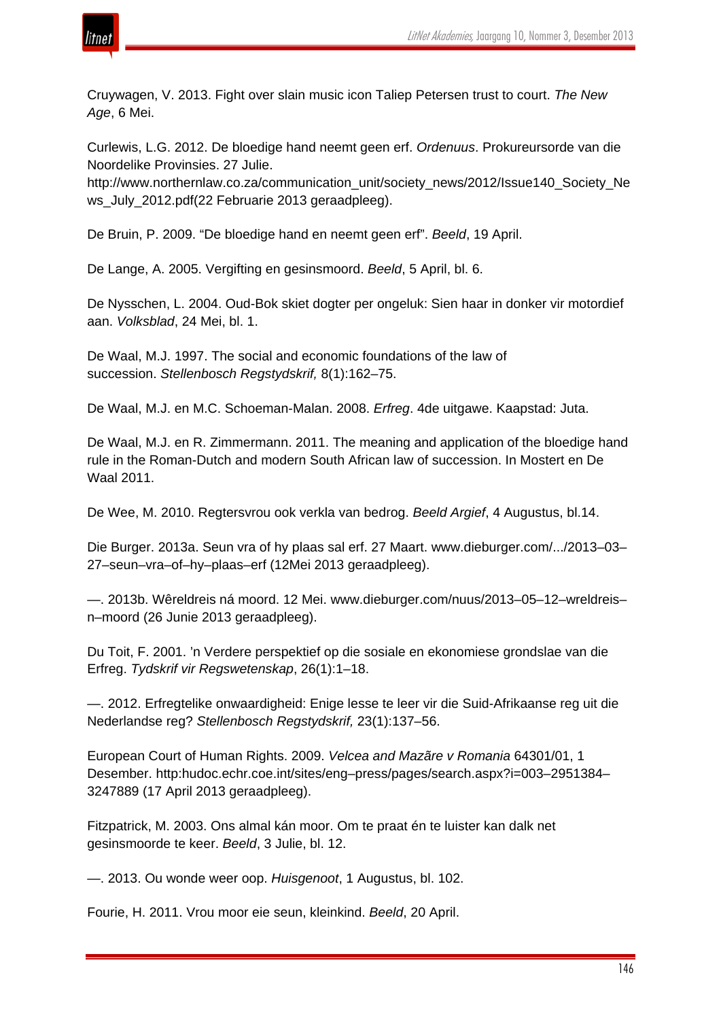

Cruywagen, V. 2013. Fight over slain music icon Taliep Petersen trust to court. *The New Age*, 6 Mei.

Curlewis, L.G. 2012. De bloedige hand neemt geen erf. *Ordenuus*. Prokureursorde van die Noordelike Provinsies. 27 Julie.

http://www.northernlaw.co.za/communication\_unit/society\_news/2012/Issue140\_Society\_Ne ws\_July\_2012.pdf(22 Februarie 2013 geraadpleeg).

De Bruin, P. 2009. "De bloedige hand en neemt geen erf". *Beeld*, 19 April.

De Lange, A. 2005. Vergifting en gesinsmoord. *Beeld*, 5 April, bl. 6.

De Nysschen, L. 2004. Oud-Bok skiet dogter per ongeluk: Sien haar in donker vir motordief aan. *Volksblad*, 24 Mei, bl. 1.

De Waal, M.J. 1997. The social and economic foundations of the law of succession. *Stellenbosch Regstydskrif,* 8(1):162–75.

De Waal, M.J. en M.C. Schoeman-Malan. 2008. *Erfreg*. 4de uitgawe. Kaapstad: Juta.

De Waal, M.J. en R. Zimmermann. 2011. The meaning and application of the bloedige hand rule in the Roman-Dutch and modern South African law of succession. In Mostert en De Waal 2011.

De Wee, M. 2010. Regtersvrou ook verkla van bedrog. *Beeld Argief*, 4 Augustus, bl.14.

Die Burger. 2013a. Seun vra of hy plaas sal erf. 27 Maart. www.dieburger.com/.../2013–03– 27–seun–vra–of–hy–plaas–erf (12Mei 2013 geraadpleeg).

—. 2013b. Wêreldreis ná moord. 12 Mei. www.dieburger.com/nuus/2013–05–12–wreldreis– n–moord (26 Junie 2013 geraadpleeg).

Du Toit, F. 2001. 'n Verdere perspektief op die sosiale en ekonomiese grondslae van die Erfreg. *Tydskrif vir Regswetenskap*, 26(1):1–18.

—. 2012. Erfregtelike onwaardigheid: Enige lesse te leer vir die Suid-Afrikaanse reg uit die Nederlandse reg? *Stellenbosch Regstydskrif,* 23(1):137–56.

European Court of Human Rights. 2009. *Velcea and Mazãre v Romania* 64301/01, 1 Desember. http:hudoc.echr.coe.int/sites/eng–press/pages/search.aspx?i=003–2951384– 3247889 (17 April 2013 geraadpleeg).

Fitzpatrick, M. 2003. Ons almal kán moor. Om te praat én te luister kan dalk net gesinsmoorde te keer. *Beeld*, 3 Julie, bl. 12.

—. 2013. Ou wonde weer oop. *Huisgenoot*, 1 Augustus, bl. 102.

Fourie, H. 2011. Vrou moor eie seun, kleinkind. *Beeld*, 20 April.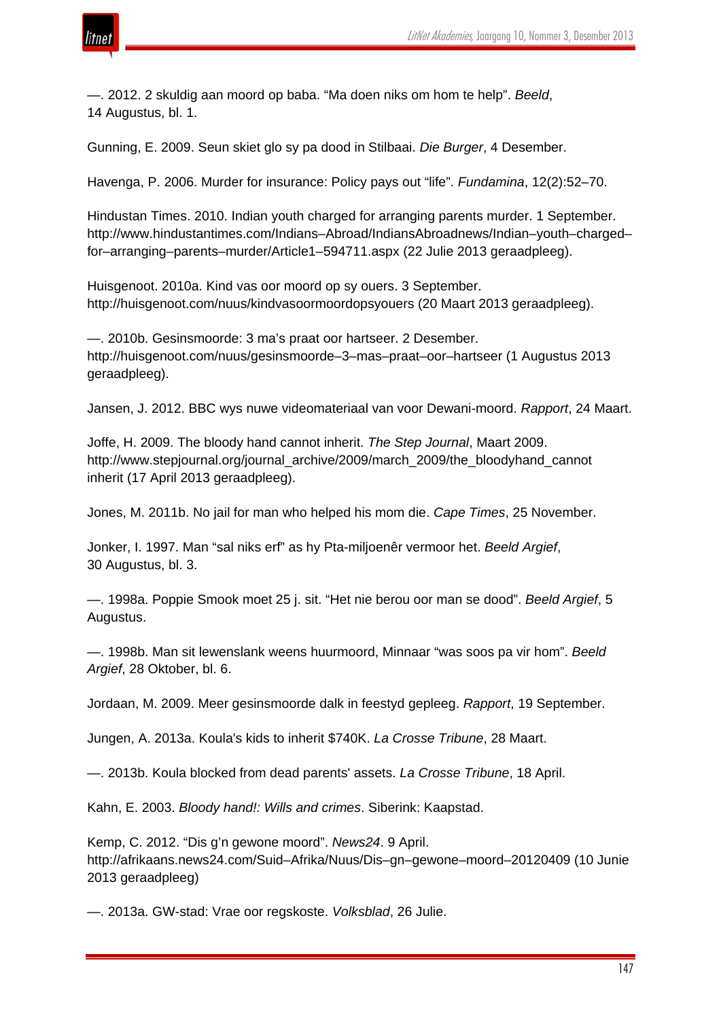

—. 2012. 2 skuldig aan moord op baba. "Ma doen niks om hom te help". *Beeld*, 14 Augustus, bl. 1.

Gunning, E. 2009. Seun skiet glo sy pa dood in Stilbaai. *Die Burger*, 4 Desember.

Havenga, P. 2006. Murder for insurance: Policy pays out "life". *Fundamina*, 12(2):52–70.

Hindustan Times. 2010. Indian youth charged for arranging parents murder. 1 September. http://www.hindustantimes.com/Indians–Abroad/IndiansAbroadnews/Indian–youth–charged– for–arranging–parents–murder/Article1–594711.aspx (22 Julie 2013 geraadpleeg).

Huisgenoot. 2010a. Kind vas oor moord op sy ouers. 3 September. http://huisgenoot.com/nuus/kindvasoormoordopsyouers (20 Maart 2013 geraadpleeg).

—. 2010b. Gesinsmoorde: 3 ma's praat oor hartseer. 2 Desember. http://huisgenoot.com/nuus/gesinsmoorde–3–mas–praat–oor–hartseer (1 Augustus 2013 geraadpleeg).

Jansen, J. 2012. BBC wys nuwe videomateriaal van voor Dewani-moord. *Rapport*, 24 Maart.

Joffe, H. 2009. The bloody hand cannot inherit. *The Step Journal*, Maart 2009. http://www.stepjournal.org/journal\_archive/2009/march\_2009/the\_bloodyhand\_cannot inherit (17 April 2013 geraadpleeg).

Jones, M. 2011b. No jail for man who helped his mom die. *Cape Times*, 25 November.

Jonker, I. 1997. Man "sal niks erf" as hy Pta-miljoenêr vermoor het. *Beeld Argief*, 30 Augustus, bl. 3.

—. 1998a. Poppie Smook moet 25 j. sit. "Het nie berou oor man se dood". *Beeld Argief*, 5 Augustus.

—. 1998b. Man sit lewenslank weens huurmoord, Minnaar "was soos pa vir hom". *Beeld Argief*, 28 Oktober, bl. 6.

Jordaan, M. 2009. Meer gesinsmoorde dalk in feestyd gepleeg. *Rapport*, 19 September.

Jungen, A. 2013a. Koula's kids to inherit \$740K. *La Crosse Tribune*, 28 Maart.

—. 2013b. Koula blocked from dead parents' assets. *La Crosse Tribune*, 18 April.

Kahn, E. 2003. *Bloody hand!: Wills and crimes*. Siberink: Kaapstad.

Kemp, C. 2012. "Dis g'n gewone moord". *News24*. 9 April. http://afrikaans.news24.com/Suid–Afrika/Nuus/Dis–gn–gewone–moord–20120409 (10 Junie 2013 geraadpleeg)

—. 2013a. GW-stad: Vrae oor regskoste. *Volksblad*, 26 Julie.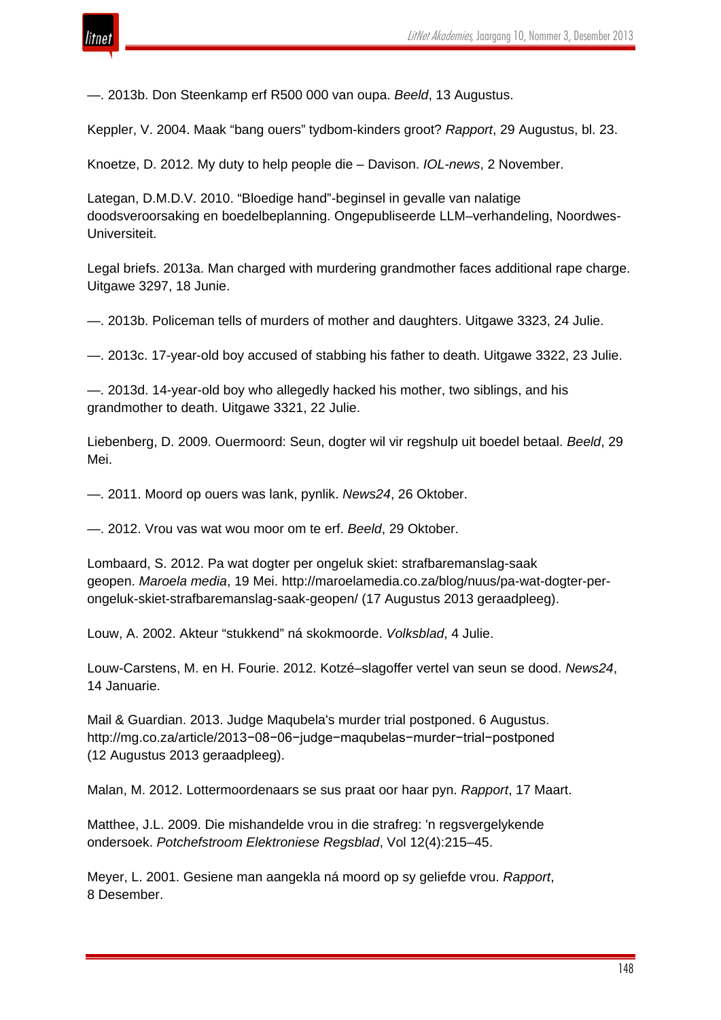

—. 2013b. Don Steenkamp erf R500 000 van oupa. *Beeld*, 13 Augustus.

Keppler, V. 2004. Maak "bang ouers" tydbom-kinders groot? *Rapport*, 29 Augustus, bl. 23.

Knoetze, D. 2012. My duty to help people die – Davison. *IOL-news*, 2 November.

Lategan, D.M.D.V. 2010. "Bloedige hand"-beginsel in gevalle van nalatige doodsveroorsaking en boedelbeplanning. Ongepubliseerde LLM–verhandeling, Noordwes-Universiteit.

Legal briefs. 2013a. Man charged with murdering grandmother faces additional rape charge. Uitgawe 3297, 18 Junie.

—. 2013b. Policeman tells of murders of mother and daughters. Uitgawe 3323, 24 Julie.

—. 2013c. 17-year-old boy accused of stabbing his father to death. Uitgawe 3322, 23 Julie.

—. 2013d. 14-year-old boy who allegedly hacked his mother, two siblings, and his grandmother to death. Uitgawe 3321, 22 Julie.

Liebenberg, D. 2009. Ouermoord: Seun, dogter wil vir regshulp uit boedel betaal. *Beeld*, 29 Mei.

—. 2011. Moord op ouers was lank, pynlik. *News24*, 26 Oktober.

—. 2012. Vrou vas wat wou moor om te erf. *Beeld*, 29 Oktober.

Lombaard, S. 2012. Pa wat dogter per ongeluk skiet: strafbaremanslag-saak geopen. *Maroela media*, 19 Mei. http://maroelamedia.co.za/blog/nuus/pa-wat-dogter-perongeluk-skiet-strafbaremanslag-saak-geopen/ (17 Augustus 2013 geraadpleeg).

Louw, A. 2002. Akteur "stukkend" ná skokmoorde. *Volksblad*, 4 Julie.

Louw-Carstens, M. en H. Fourie. 2012. Kotzé–slagoffer vertel van seun se dood. *News24*, 14 Januarie.

Mail & Guardian. 2013. Judge Maqubela's murder trial postponed. 6 Augustus. http://mg.co.za/article/2013−08−06−judge−maqubelas−murder−trial−postponed (12 Augustus 2013 geraadpleeg).

Malan, M. 2012. Lottermoordenaars se sus praat oor haar pyn. *Rapport*, 17 Maart.

Matthee, J.L. 2009. Die mishandelde vrou in die strafreg: 'n regsvergelykende ondersoek. *Potchefstroom Elektroniese Regsblad*, Vol 12(4):215–45.

Meyer, L. 2001. Gesiene man aangekla ná moord op sy geliefde vrou. *Rapport*, 8 Desember.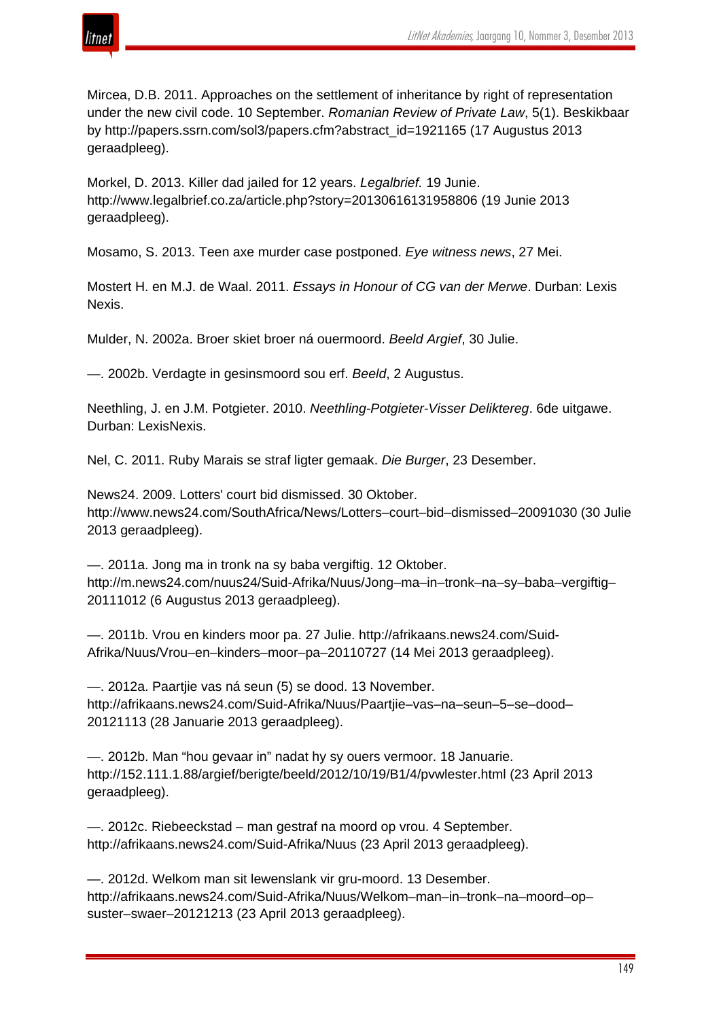

Mircea, D.B. 2011. Approaches on the settlement of inheritance by right of representation under the new civil code. 10 September. *Romanian Review of Private Law*, 5(1). Beskikbaar by http://papers.ssrn.com/sol3/papers.cfm?abstract\_id=1921165 (17 Augustus 2013 geraadpleeg).

Morkel, D. 2013. Killer dad jailed for 12 years. *Legalbrief.* 19 Junie. http://www.legalbrief.co.za/article.php?story=20130616131958806 (19 Junie 2013 geraadpleeg).

Mosamo, S. 2013. Teen axe murder case postponed. *Eye witness news*, 27 Mei.

Mostert H. en M.J. de Waal. 2011. *Essays in Honour of CG van der Merwe*. Durban: Lexis Nexis.

Mulder, N. 2002a. Broer skiet broer ná ouermoord. *Beeld Argief*, 30 Julie.

—. 2002b. Verdagte in gesinsmoord sou erf. *Beeld*, 2 Augustus.

Neethling, J. en J.M. Potgieter. 2010. *Neethling-Potgieter-Visser Deliktereg*. 6de uitgawe. Durban: LexisNexis.

Nel, C. 2011. Ruby Marais se straf ligter gemaak. *Die Burger*, 23 Desember.

News24. 2009. Lotters' court bid dismissed. 30 Oktober. http://www.news24.com/SouthAfrica/News/Lotters–court–bid–dismissed–20091030 (30 Julie 2013 geraadpleeg).

—. 2011a. Jong ma in tronk na sy baba vergiftig. 12 Oktober. http://m.news24.com/nuus24/Suid-Afrika/Nuus/Jong–ma–in–tronk–na–sy–baba–vergiftig– 20111012 (6 Augustus 2013 geraadpleeg).

—. 2011b. Vrou en kinders moor pa. 27 Julie. http://afrikaans.news24.com/Suid-Afrika/Nuus/Vrou–en–kinders–moor–pa–20110727 (14 Mei 2013 geraadpleeg).

—. 2012a. Paartjie vas ná seun (5) se dood. 13 November. http://afrikaans.news24.com/Suid-Afrika/Nuus/Paartjie–vas–na–seun–5–se–dood– 20121113 (28 Januarie 2013 geraadpleeg).

—. 2012b. Man "hou gevaar in" nadat hy sy ouers vermoor. 18 Januarie. http://152.111.1.88/argief/berigte/beeld/2012/10/19/B1/4/pvwlester.html (23 April 2013 geraadpleeg).

—. 2012c. Riebeeckstad – man gestraf na moord op vrou. 4 September. http://afrikaans.news24.com/Suid-Afrika/Nuus (23 April 2013 geraadpleeg).

—. 2012d. Welkom man sit lewenslank vir gru-moord. 13 Desember. http://afrikaans.news24.com/Suid-Afrika/Nuus/Welkom–man–in–tronk–na–moord–op– suster–swaer–20121213 (23 April 2013 geraadpleeg).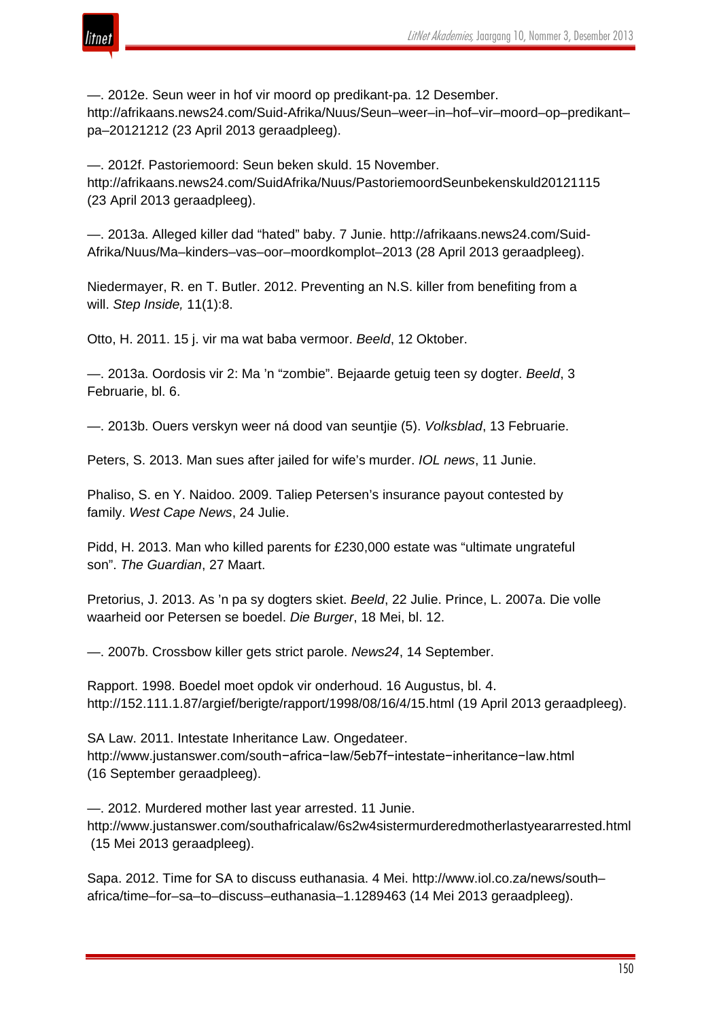

—. 2012e. Seun weer in hof vir moord op predikant-pa. 12 Desember.

http://afrikaans.news24.com/Suid-Afrika/Nuus/Seun–weer–in–hof–vir–moord–op–predikant– pa–20121212 (23 April 2013 geraadpleeg).

—. 2012f. Pastoriemoord: Seun beken skuld. 15 November. http://afrikaans.news24.com/SuidAfrika/Nuus/PastoriemoordSeunbekenskuld20121115 (23 April 2013 geraadpleeg).

—. 2013a. Alleged killer dad "hated" baby. 7 Junie. http://afrikaans.news24.com/Suid-Afrika/Nuus/Ma–kinders–vas–oor–moordkomplot–2013 (28 April 2013 geraadpleeg).

Niedermayer, R. en T. Butler. 2012. Preventing an N.S. killer from benefiting from a will. *Step Inside,* 11(1):8.

Otto, H. 2011. 15 j. vir ma wat baba vermoor. *Beeld*, 12 Oktober.

—. 2013a. Oordosis vir 2: Ma 'n "zombie". Bejaarde getuig teen sy dogter. *Beeld*, 3 Februarie, bl. 6.

—. 2013b. Ouers verskyn weer ná dood van seuntjie (5). *Volksblad*, 13 Februarie.

Peters, S. 2013. Man sues after jailed for wife's murder. *IOL news*, 11 Junie.

Phaliso, S. en Y. Naidoo. 2009. Taliep Petersen's insurance payout contested by family. *West Cape News*, 24 Julie.

Pidd, H. 2013. Man who killed parents for £230,000 estate was "ultimate ungrateful son". *The Guardian*, 27 Maart.

Pretorius, J. 2013. As 'n pa sy dogters skiet. *Beeld*, 22 Julie. Prince, L. 2007a. Die volle waarheid oor Petersen se boedel. *Die Burger*, 18 Mei, bl. 12.

—. 2007b. Crossbow killer gets strict parole. *News24*, 14 September.

Rapport. 1998. Boedel moet opdok vir onderhoud. 16 Augustus, bl. 4. http://152.111.1.87/argief/berigte/rapport/1998/08/16/4/15.html (19 April 2013 geraadpleeg).

SA Law. 2011. Intestate Inheritance Law. Ongedateer. http://www.justanswer.com/south−africa−law/5eb7f−intestate−inheritance−law.html (16 September geraadpleeg).

—. 2012. Murdered mother last year arrested. 11 Junie. http://www.justanswer.com/southafricalaw/6s2w4sistermurderedmotherlastyeararrested.html (15 Mei 2013 geraadpleeg).

Sapa. 2012. Time for SA to discuss euthanasia. 4 Mei. http://www.iol.co.za/news/south– africa/time–for–sa–to–discuss–euthanasia–1.1289463 (14 Mei 2013 geraadpleeg).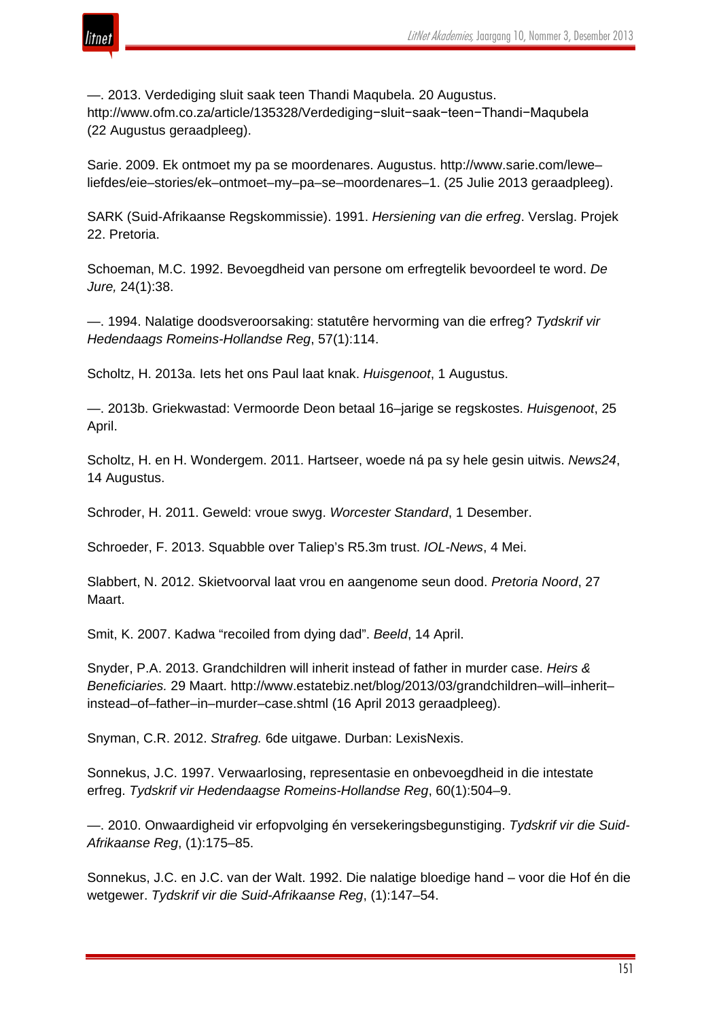

—. 2013. Verdediging sluit saak teen Thandi Maqubela. 20 Augustus. http://www.ofm.co.za/article/135328/Verdediging−sluit−saak−teen−Thandi−Maqubela (22 Augustus geraadpleeg).

Sarie. 2009. Ek ontmoet my pa se moordenares. Augustus. http://www.sarie.com/lewe– liefdes/eie–stories/ek–ontmoet–my–pa–se–moordenares–1. (25 Julie 2013 geraadpleeg).

SARK (Suid-Afrikaanse Regskommissie). 1991. *Hersiening van die erfreg*. Verslag. Projek 22. Pretoria.

Schoeman, M.C. 1992. Bevoegdheid van persone om erfregtelik bevoordeel te word. *De Jure,* 24(1):38.

—. 1994. Nalatige doodsveroorsaking: statutêre hervorming van die erfreg? *Tydskrif vir Hedendaags Romeins-Hollandse Reg*, 57(1):114.

Scholtz, H. 2013a. Iets het ons Paul laat knak. *Huisgenoot*, 1 Augustus.

—. 2013b. Griekwastad: Vermoorde Deon betaal 16–jarige se regskostes. *Huisgenoot*, 25 April.

Scholtz, H. en H. Wondergem. 2011. Hartseer, woede ná pa sy hele gesin uitwis. *News24*, 14 Augustus.

Schroder, H. 2011. Geweld: vroue swyg. *Worcester Standard*, 1 Desember.

Schroeder, F. 2013. Squabble over Taliep's R5.3m trust. *IOL-News*, 4 Mei.

Slabbert, N. 2012. Skietvoorval laat vrou en aangenome seun dood. *Pretoria Noord*, 27 Maart.

Smit, K. 2007. Kadwa "recoiled from dying dad". *Beeld*, 14 April.

Snyder, P.A. 2013. Grandchildren will inherit instead of father in murder case. *Heirs & Beneficiaries.* 29 Maart. http://www.estatebiz.net/blog/2013/03/grandchildren–will–inherit– instead–of–father–in–murder–case.shtml (16 April 2013 geraadpleeg).

Snyman, C.R. 2012. *Strafreg.* 6de uitgawe. Durban: LexisNexis.

Sonnekus, J.C. 1997. Verwaarlosing, representasie en onbevoegdheid in die intestate erfreg. *Tydskrif vir Hedendaagse Romeins-Hollandse Reg*, 60(1):504–9.

—. 2010. Onwaardigheid vir erfopvolging én versekeringsbegunstiging. *Tydskrif vir die Suid-Afrikaanse Reg*, (1):175–85.

Sonnekus, J.C. en J.C. van der Walt. 1992. Die nalatige bloedige hand – voor die Hof én die wetgewer. *Tydskrif vir die Suid-Afrikaanse Reg*, (1):147–54.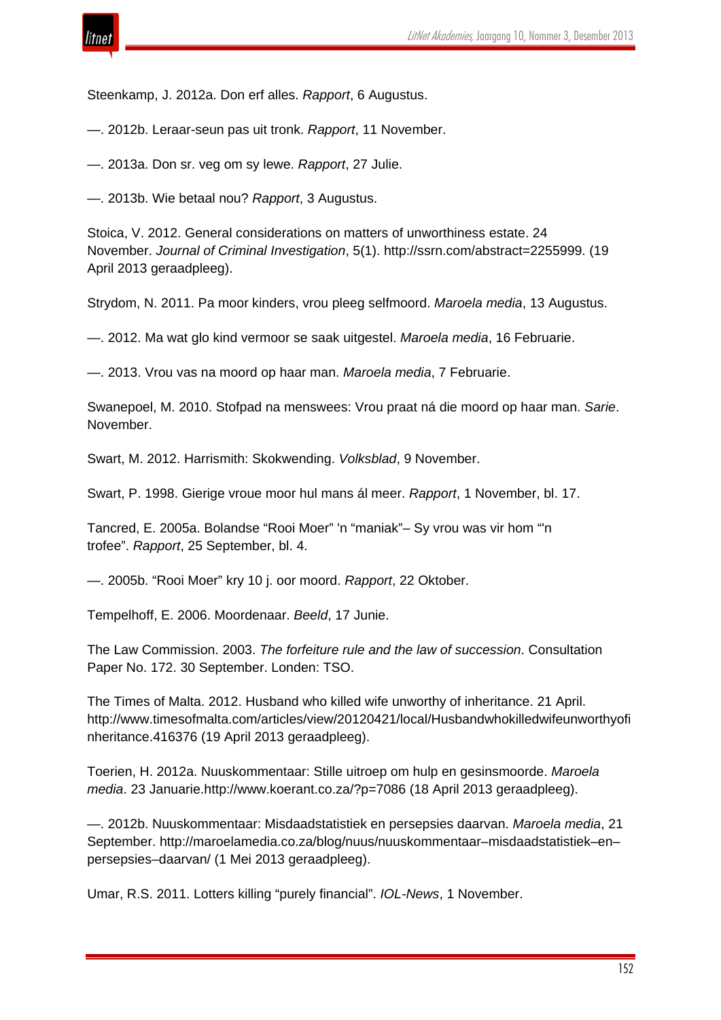

Steenkamp, J. 2012a. Don erf alles. *Rapport*, 6 Augustus.

—. 2012b. Leraar-seun pas uit tronk. *Rapport*, 11 November.

—. 2013a. Don sr. veg om sy lewe. *Rapport*, 27 Julie.

—. 2013b. Wie betaal nou? *Rapport*, 3 Augustus.

Stoica, V. 2012. General considerations on matters of unworthiness estate. 24 November. *Journal of Criminal Investigation*, 5(1). http://ssrn.com/abstract=2255999. (19 April 2013 geraadpleeg).

Strydom, N. 2011. Pa moor kinders, vrou pleeg selfmoord. *Maroela media*, 13 Augustus.

—. 2012. Ma wat glo kind vermoor se saak uitgestel. *Maroela media*, 16 Februarie.

—. 2013. Vrou vas na moord op haar man. *Maroela media*, 7 Februarie.

Swanepoel, M. 2010. Stofpad na menswees: Vrou praat ná die moord op haar man. *Sarie*. November.

Swart, M. 2012. Harrismith: Skokwending. *Volksblad*, 9 November.

Swart, P. 1998. Gierige vroue moor hul mans ál meer. *Rapport*, 1 November, bl. 17.

Tancred, E. 2005a. Bolandse "Rooi Moer" 'n "maniak"– Sy vrou was vir hom "'n trofee". *Rapport*, 25 September, bl. 4.

—. 2005b. "Rooi Moer" kry 10 j. oor moord. *Rapport*, 22 Oktober.

Tempelhoff, E. 2006. Moordenaar. *Beeld*, 17 Junie.

The Law Commission. 2003. *The forfeiture rule and the law of succession*. Consultation Paper No. 172. 30 September. Londen: TSO.

The Times of Malta. 2012. Husband who killed wife unworthy of inheritance. 21 April. http://www.timesofmalta.com/articles/view/20120421/local/Husbandwhokilledwifeunworthyofi nheritance.416376 (19 April 2013 geraadpleeg).

Toerien, H. 2012a. Nuuskommentaar: Stille uitroep om hulp en gesinsmoorde. *Maroela media*. 23 Januarie.http://www.koerant.co.za/?p=7086 (18 April 2013 geraadpleeg).

—. 2012b. Nuuskommentaar: Misdaadstatistiek en persepsies daarvan. *Maroela media*, 21 September. http://maroelamedia.co.za/blog/nuus/nuuskommentaar–misdaadstatistiek–en– persepsies–daarvan/ (1 Mei 2013 geraadpleeg).

Umar, R.S. 2011. Lotters killing "purely financial". *IOL-News*, 1 November.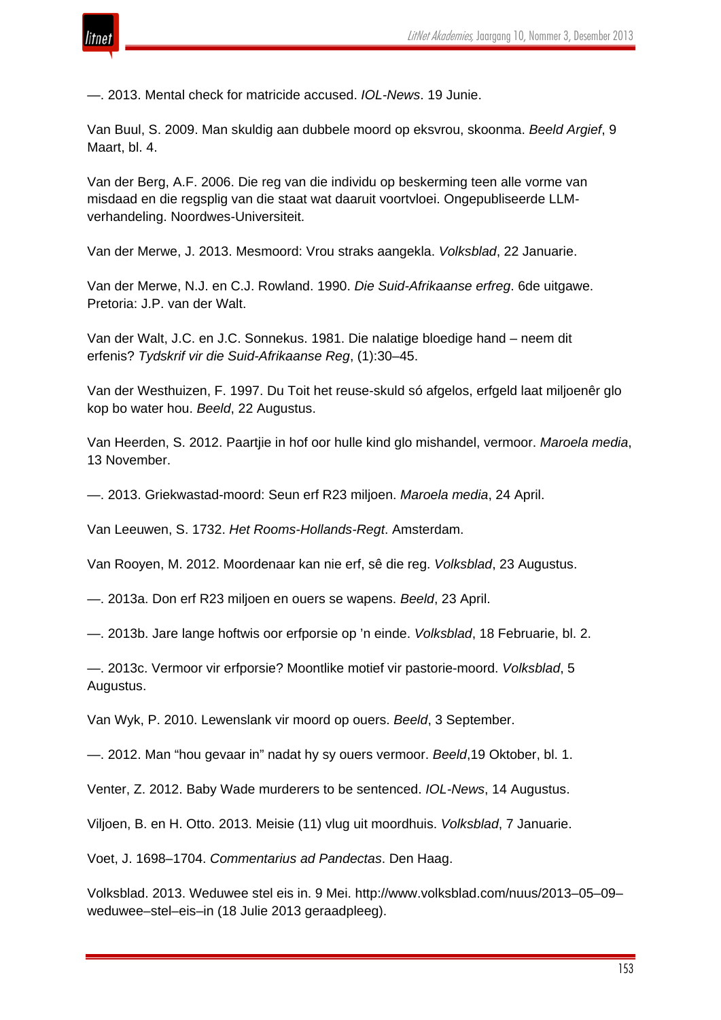

—. 2013. Mental check for matricide accused. *IOL-News*. 19 Junie.

Van Buul, S. 2009. Man skuldig aan dubbele moord op eksvrou, skoonma. *Beeld Argief*, 9 Maart, bl. 4.

Van der Berg, A.F. 2006. Die reg van die individu op beskerming teen alle vorme van misdaad en die regsplig van die staat wat daaruit voortvloei. Ongepubliseerde LLMverhandeling. Noordwes-Universiteit.

Van der Merwe, J. 2013. Mesmoord: Vrou straks aangekla. *Volksblad*, 22 Januarie.

Van der Merwe, N.J. en C.J. Rowland. 1990. *Die Suid-Afrikaanse erfreg*. 6de uitgawe. Pretoria: J.P. van der Walt.

Van der Walt, J.C. en J.C. Sonnekus. 1981. Die nalatige bloedige hand – neem dit erfenis? *Tydskrif vir die Suid-Afrikaanse Reg*, (1):30–45.

Van der Westhuizen, F. 1997. Du Toit het reuse-skuld só afgelos, erfgeld laat miljoenêr glo kop bo water hou. *Beeld*, 22 Augustus.

Van Heerden, S. 2012. Paartjie in hof oor hulle kind glo mishandel, vermoor. *Maroela media*, 13 November.

—. 2013. Griekwastad-moord: Seun erf R23 miljoen. *Maroela media*, 24 April.

Van Leeuwen, S. 1732. *Het Rooms-Hollands-Regt*. Amsterdam.

Van Rooyen, M. 2012. Moordenaar kan nie erf, sê die reg. *Volksblad*, 23 Augustus.

—. 2013a. Don erf R23 miljoen en ouers se wapens. *Beeld*, 23 April.

—. 2013b. Jare lange hoftwis oor erfporsie op 'n einde. *Volksblad*, 18 Februarie, bl. 2.

—. 2013c. Vermoor vir erfporsie? Moontlike motief vir pastorie-moord. *Volksblad*, 5 Augustus.

Van Wyk, P. 2010. Lewenslank vir moord op ouers. *Beeld*, 3 September.

—. 2012. Man "hou gevaar in" nadat hy sy ouers vermoor. *Beeld*,19 Oktober, bl. 1.

Venter, Z. 2012. Baby Wade murderers to be sentenced. *IOL-News*, 14 Augustus.

Viljoen, B. en H. Otto. 2013. Meisie (11) vlug uit moordhuis. *Volksblad*, 7 Januarie.

Voet, J. 1698–1704. *Commentarius ad Pandectas*. Den Haag.

Volksblad. 2013. Weduwee stel eis in. 9 Mei. http://www.volksblad.com/nuus/2013–05–09– weduwee–stel–eis–in (18 Julie 2013 geraadpleeg).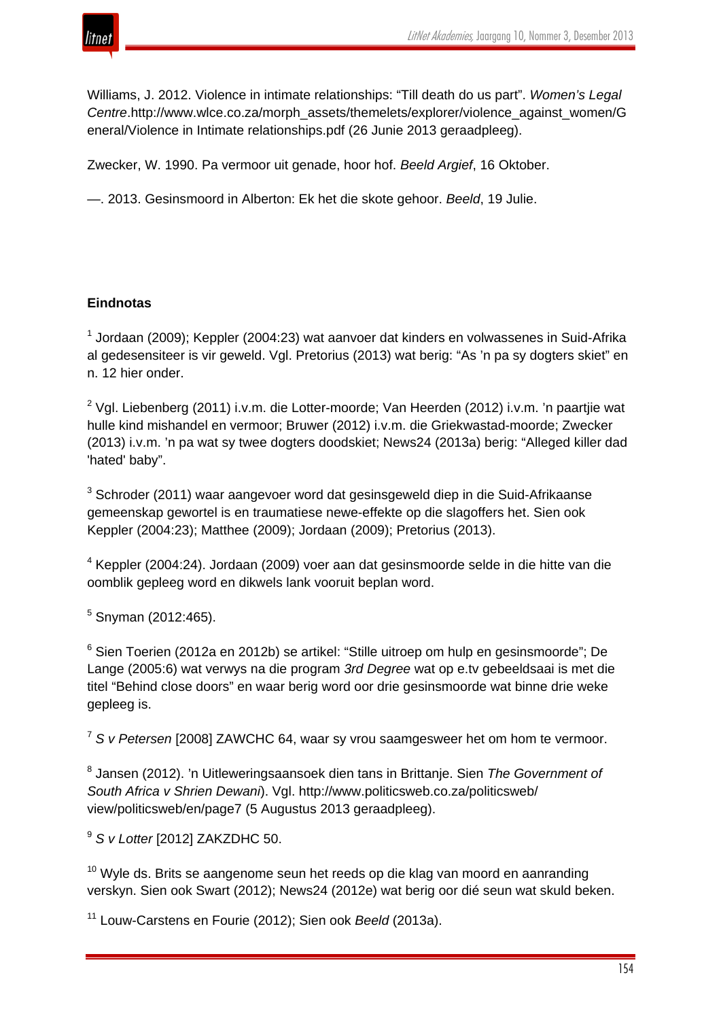

Williams, J. 2012. Violence in intimate relationships: "Till death do us part". *Women's Legal Centre*.http://www.wlce.co.za/morph\_assets/themelets/explorer/violence\_against\_women/G eneral/Violence in Intimate relationships.pdf (26 Junie 2013 geraadpleeg).

Zwecker, W. 1990. Pa vermoor uit genade, hoor hof. *Beeld Argief*, 16 Oktober.

—. 2013. Gesinsmoord in Alberton: Ek het die skote gehoor. *Beeld*, 19 Julie.

## **Eindnotas**

 $1$  Jordaan (2009); Keppler (2004:23) wat aanvoer dat kinders en volwassenes in Suid-Afrika al gedesensiteer is vir geweld. Vgl. Pretorius (2013) wat berig: "As 'n pa sy dogters skiet" en n. 12 hier onder.

 $2$  Vgl. Liebenberg (2011) i.v.m. die Lotter-moorde; Van Heerden (2012) i.v.m. 'n paartjie wat hulle kind mishandel en vermoor; Bruwer (2012) i.v.m. die Griekwastad-moorde; Zwecker (2013) i.v.m. 'n pa wat sy twee dogters doodskiet; News24 (2013a) berig: "Alleged killer dad 'hated' baby".

<sup>3</sup> Schroder (2011) waar aangevoer word dat gesinsgeweld diep in die Suid-Afrikaanse gemeenskap gewortel is en traumatiese newe-effekte op die slagoffers het. Sien ook Keppler (2004:23); Matthee (2009); Jordaan (2009); Pretorius (2013).

<sup>4</sup> Keppler (2004:24). Jordaan (2009) voer aan dat gesinsmoorde selde in die hitte van die oomblik gepleeg word en dikwels lank vooruit beplan word.

 $5$  Snyman (2012:465).

<sup>6</sup> Sien Toerien (2012a en 2012b) se artikel: "Stille uitroep om hulp en gesinsmoorde"; De Lange (2005:6) wat verwys na die program *3rd Degree* wat op e.tv gebeeldsaai is met die titel "Behind close doors" en waar berig word oor drie gesinsmoorde wat binne drie weke gepleeg is.

<sup>7</sup> *S v Petersen* [2008] ZAWCHC 64, waar sy vrou saamgesweer het om hom te vermoor.

<sup>8</sup> Jansen (2012). 'n Uitleweringsaansoek dien tans in Brittanje. Sien *The Government of South Africa v Shrien Dewani*). Vgl. http://www.politicsweb.co.za/politicsweb/ view/politicsweb/en/page7 (5 Augustus 2013 geraadpleeg).

<sup>9</sup> *S v Lotter* [2012] ZAKZDHC 50.

 $10$  Wyle ds. Brits se aangenome seun het reeds op die klag van moord en aanranding verskyn. Sien ook Swart (2012); News24 (2012e) wat berig oor dié seun wat skuld beken.

<sup>11</sup> Louw-Carstens en Fourie (2012); Sien ook *Beeld* (2013a).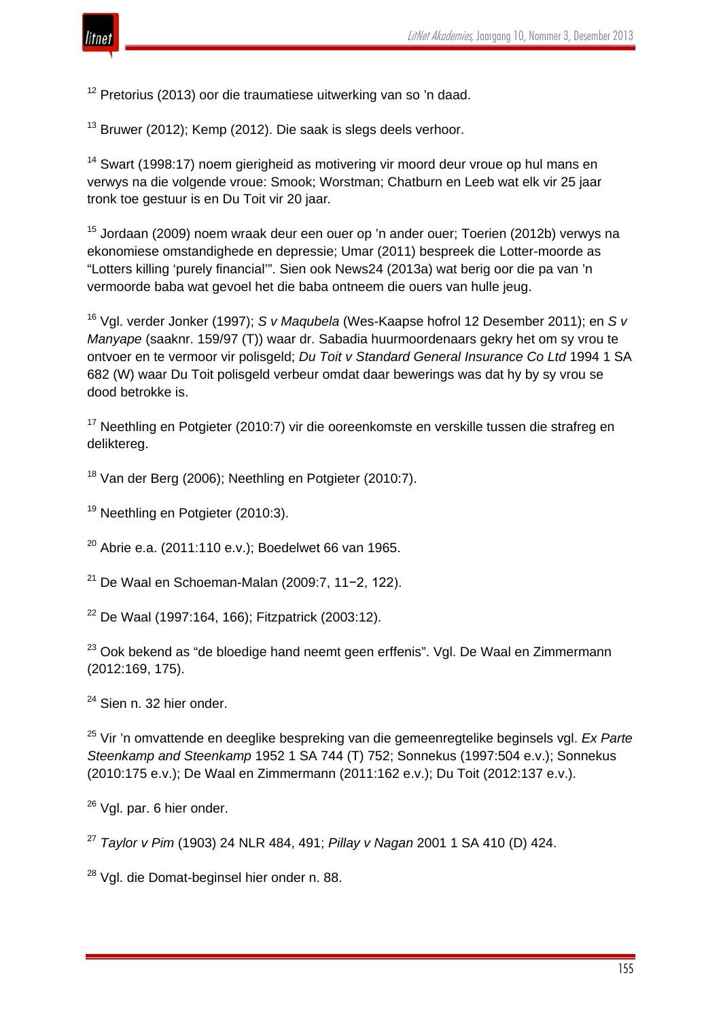

<sup>12</sup> Pretorius (2013) oor die traumatiese uitwerking van so 'n daad.

<sup>13</sup> Bruwer (2012); Kemp (2012). Die saak is slegs deels verhoor.

<sup>14</sup> Swart (1998:17) noem gierigheid as motivering vir moord deur vroue op hul mans en verwys na die volgende vroue: Smook; Worstman; Chatburn en Leeb wat elk vir 25 jaar tronk toe gestuur is en Du Toit vir 20 jaar*.*

<sup>15</sup> Jordaan (2009) noem wraak deur een ouer op 'n ander ouer; Toerien (2012b) verwys na ekonomiese omstandighede en depressie; Umar (2011) bespreek die Lotter-moorde as "Lotters killing 'purely financial'". Sien ook News24 (2013a) wat berig oor die pa van 'n vermoorde baba wat gevoel het die baba ontneem die ouers van hulle jeug.

<sup>16</sup> Vgl. verder Jonker (1997); *S v Maqubela* (Wes-Kaapse hofrol 12 Desember 2011); en *S v Manyape* (saaknr. 159/97 (T)) waar dr. Sabadia huurmoordenaars gekry het om sy vrou te ontvoer en te vermoor vir polisgeld; *Du Toit v Standard General Insurance Co Ltd* 1994 1 SA 682 (W) waar Du Toit polisgeld verbeur omdat daar bewerings was dat hy by sy vrou se dood betrokke is.

<sup>17</sup> Neethling en Potgieter (2010:7) vir die ooreenkomste en verskille tussen die strafreg en deliktereg.

<sup>18</sup> Van der Berg (2006); Neethling en Potgieter (2010:7).

<sup>19</sup> Neethling en Potgieter (2010:3).

 $20$  Abrie e.a. (2011:110 e.v.); Boedelwet 66 van 1965.

<sup>21</sup> De Waal en Schoeman-Malan (2009:7, 11−2, 122).

<sup>22</sup> De Waal (1997:164, 166); Fitzpatrick (2003:12).

 $23$  Ook bekend as "de bloedige hand neemt geen erffenis". Vgl. De Waal en Zimmermann (2012:169, 175).

 $24$  Sien n. 32 hier onder.

<sup>25</sup> Vir 'n omvattende en deeglike bespreking van die gemeenregtelike beginsels vgl. *Ex Parte Steenkamp and Steenkamp* 1952 1 SA 744 (T) 752; Sonnekus (1997:504 e.v.); Sonnekus (2010:175 e.v.); De Waal en Zimmermann (2011:162 e.v.); Du Toit (2012:137 e.v.).

<sup>26</sup> Vgl. par. 6 hier onder.

<sup>27</sup> *Taylor v Pim* (1903) 24 NLR 484, 491; *Pillay v Nagan* 2001 1 SA 410 (D) 424.

<sup>28</sup> Vgl. die Domat-beginsel hier onder n. 88.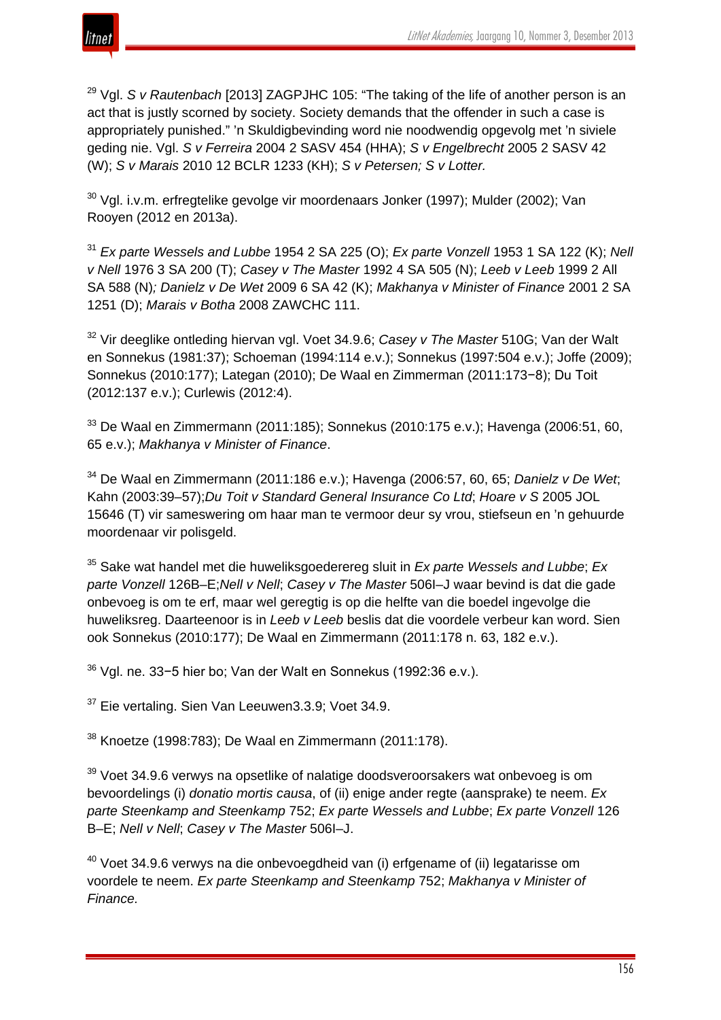

<sup>29</sup> Vgl. *S v Rautenbach* [2013] ZAGPJHC 105: "The taking of the life of another person is an act that is justly scorned by society. Society demands that the offender in such a case is appropriately punished." 'n Skuldigbevinding word nie noodwendig opgevolg met 'n siviele geding nie. Vgl. *S v Ferreira* 2004 2 SASV 454 (HHA); *S v Engelbrecht* 2005 2 SASV 42 (W); *S v Marais* 2010 12 BCLR 1233 (KH); *S v Petersen; S v Lotter.*

 $30$  Vgl. i.v.m. erfregtelike gevolge vir moordenaars Jonker (1997); Mulder (2002); Van Rooyen (2012 en 2013a).

<sup>31</sup> *Ex parte Wessels and Lubbe* 1954 2 SA 225 (O); *Ex parte Vonzell* 1953 1 SA 122 (K); *Nell v Nell* 1976 3 SA 200 (T); *Casey v The Master* 1992 4 SA 505 (N); *Leeb v Leeb* 1999 2 All SA 588 (N)*; Danielz v De Wet* 2009 6 SA 42 (K); *Makhanya v Minister of Finance* 2001 2 SA 1251 (D); *Marais v Botha* 2008 ZAWCHC 111.

<sup>32</sup> Vir deeglike ontleding hiervan vgl. Voet 34.9.6; *Casey v The Master* 510G; Van der Walt en Sonnekus (1981:37); Schoeman (1994:114 e.v.); Sonnekus (1997:504 e.v.); Joffe (2009); Sonnekus (2010:177); Lategan (2010); De Waal en Zimmerman (2011:173−8); Du Toit (2012:137 e.v.); Curlewis (2012:4).

 $33$  De Waal en Zimmermann (2011:185); Sonnekus (2010:175 e.v.); Havenga (2006:51, 60, 65 e.v.); *Makhanya v Minister of Finance*.

<sup>34</sup> De Waal en Zimmermann (2011:186 e.v.); Havenga (2006:57, 60, 65; *Danielz v De Wet*; Kahn (2003:39–57);*Du Toit v Standard General Insurance Co Ltd*; *Hoare v S* 2005 JOL 15646 (T) vir sameswering om haar man te vermoor deur sy vrou, stiefseun en 'n gehuurde moordenaar vir polisgeld.

<sup>35</sup> Sake wat handel met die huweliksgoederereg sluit in *Ex parte Wessels and Lubbe*; *Ex parte Vonzell* 126B–E;*Nell v Nell*; *Casey v The Master* 506I–J waar bevind is dat die gade onbevoeg is om te erf, maar wel geregtig is op die helfte van die boedel ingevolge die huweliksreg. Daarteenoor is in *Leeb v Leeb* beslis dat die voordele verbeur kan word. Sien ook Sonnekus (2010:177); De Waal en Zimmermann (2011:178 n. 63, 182 e.v.).

<sup>36</sup> Vgl. ne. 33−5 hier bo; Van der Walt en Sonnekus (1992:36 e.v.).

<sup>37</sup> Eie vertaling. Sien Van Leeuwen3.3.9; Voet 34.9.

<sup>38</sup> Knoetze (1998:783); De Waal en Zimmermann (2011:178).

 $39$  Voet 34.9.6 verwys na opsetlike of nalatige doodsveroorsakers wat onbevoeg is om bevoordelings (i) *donatio mortis causa*, of (ii) enige ander regte (aansprake) te neem. *Ex parte Steenkamp and Steenkamp* 752; *Ex parte Wessels and Lubbe*; *Ex parte Vonzell* 126 B–E; *Nell v Nell*; *Casey v The Master* 506I–J.

 $40$  Voet 34.9.6 verwys na die onbevoegdheid van (i) erfgename of (ii) legatarisse om voordele te neem. *Ex parte Steenkamp and Steenkamp* 752; *Makhanya v Minister of Finance.*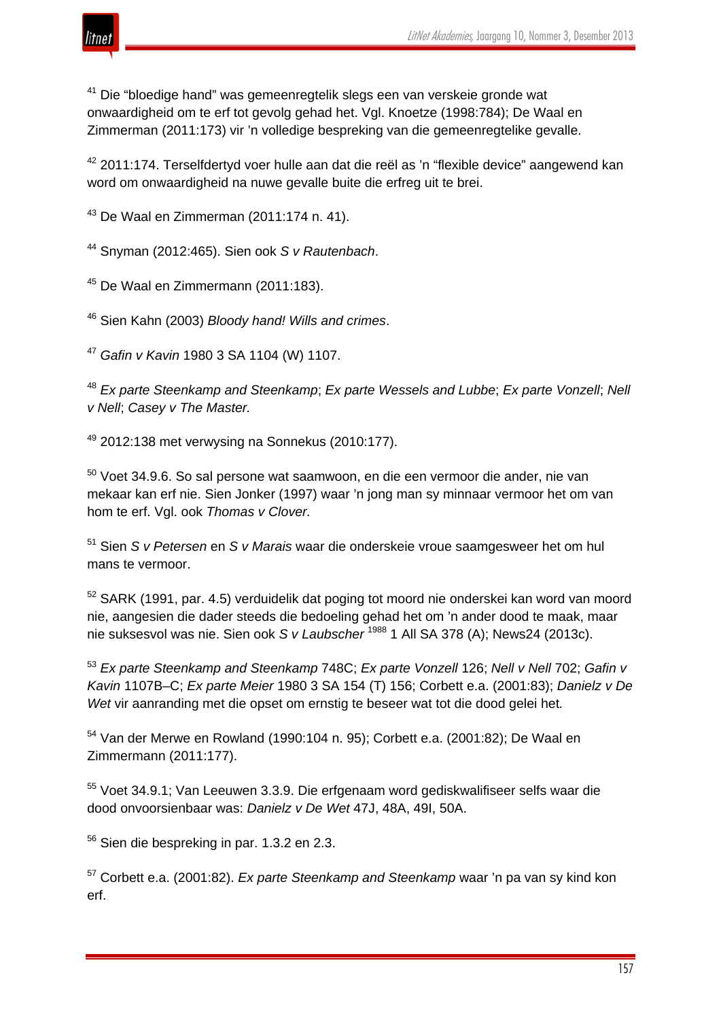

<sup>41</sup> Die "bloedige hand" was gemeenregtelik slegs een van verskeie gronde wat onwaardigheid om te erf tot gevolg gehad het. Vgl. Knoetze (1998:784); De Waal en Zimmerman (2011:173) vir 'n volledige bespreking van die gemeenregtelike gevalle.

 $42$  2011:174. Terselfdertyd voer hulle aan dat die reël as 'n "flexible device" aangewend kan word om onwaardigheid na nuwe gevalle buite die erfreg uit te brei.

<sup>43</sup> De Waal en Zimmerman (2011:174 n. 41).

<sup>44</sup> Snyman (2012:465). Sien ook *S v Rautenbach*.

<sup>45</sup> De Waal en Zimmermann (2011:183).

<sup>46</sup> Sien Kahn (2003) *Bloody hand! Wills and crimes*.

<sup>47</sup> *Gafin v Kavin* 1980 3 SA 1104 (W) 1107.

<sup>48</sup> *Ex parte Steenkamp and Steenkamp*; *Ex parte Wessels and Lubbe*; *Ex parte Vonzell*; *Nell v Nell*; *Casey v The Master.*

 $49$  2012:138 met verwysing na Sonnekus (2010:177).

<sup>50</sup> Voet 34.9.6. So sal persone wat saamwoon, en die een vermoor die ander, nie van mekaar kan erf nie. Sien Jonker (1997) waar 'n jong man sy minnaar vermoor het om van hom te erf. Vgl. ook *Thomas v Clover.*

<sup>51</sup> Sien *S v Petersen* en *S v Marais* waar die onderskeie vroue saamgesweer het om hul mans te vermoor.

<sup>52</sup> SARK (1991, par. 4.5) verduidelik dat poging tot moord nie onderskei kan word van moord nie, aangesien die dader steeds die bedoeling gehad het om 'n ander dood te maak, maar nie suksesvol was nie. Sien ook *S v Laubscher* <sup>1988</sup> 1 All SA 378 (A); News24 (2013c).

<sup>53</sup> *Ex parte Steenkamp and Steenkamp* 748C; *Ex parte Vonzell* 126; *Nell v Nell* 702; *Gafin v Kavin* 1107B–C; *Ex parte Meier* 1980 3 SA 154 (T) 156; Corbett e.a. (2001:83); *Danielz v De Wet* vir aanranding met die opset om ernstig te beseer wat tot die dood gelei het*.*

 $54$  Van der Merwe en Rowland (1990:104 n. 95); Corbett e.a. (2001:82); De Waal en Zimmermann (2011:177).

<sup>55</sup> Voet 34.9.1; Van Leeuwen 3.3.9. Die erfgenaam word gediskwalifiseer selfs waar die dood onvoorsienbaar was: *Danielz v De Wet* 47J, 48A, 49I, 50A.

 $56$  Sien die bespreking in par. 1.3.2 en 2.3.

<sup>57</sup> Corbett e.a. (2001:82). *Ex parte Steenkamp and Steenkamp* waar 'n pa van sy kind kon erf.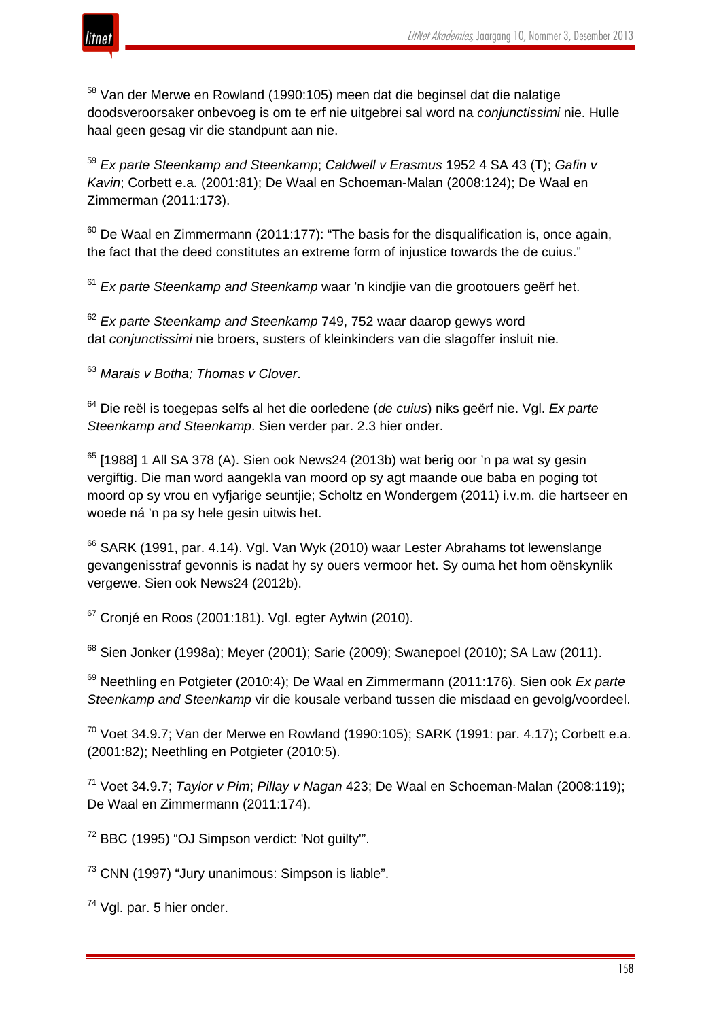

<sup>58</sup> Van der Merwe en Rowland (1990:105) meen dat die beginsel dat die nalatige doodsveroorsaker onbevoeg is om te erf nie uitgebrei sal word na *conjunctissimi* nie. Hulle haal geen gesag vir die standpunt aan nie.

<sup>59</sup> *Ex parte Steenkamp and Steenkamp*; *Caldwell v Erasmus* 1952 4 SA 43 (T); *Gafin v Kavin*; Corbett e.a. (2001:81); De Waal en Schoeman-Malan (2008:124); De Waal en Zimmerman (2011:173).

 $60$  De Waal en Zimmermann (2011:177): "The basis for the disqualification is, once again, the fact that the deed constitutes an extreme form of injustice towards the de cuius."

<sup>61</sup> *Ex parte Steenkamp and Steenkamp* waar 'n kindjie van die grootouers geërf het.

<sup>62</sup> *Ex parte Steenkamp and Steenkamp* 749, 752 waar daarop gewys word dat *conjunctissimi* nie broers, susters of kleinkinders van die slagoffer insluit nie.

<sup>63</sup> *Marais v Botha; Thomas v Clover*.

<sup>64</sup> Die reël is toegepas selfs al het die oorledene (*de cuius*) niks geërf nie. Vgl. *Ex parte Steenkamp and Steenkamp*. Sien verder par. 2.3 hier onder.

 $65$  [1988] 1 All SA 378 (A). Sien ook News24 (2013b) wat berig oor 'n pa wat sy gesin vergiftig. Die man word aangekla van moord op sy agt maande oue baba en poging tot moord op sy vrou en vyfjarige seuntjie; Scholtz en Wondergem (2011) i.v.m. die hartseer en woede ná 'n pa sy hele gesin uitwis het.

<sup>66</sup> SARK (1991, par. 4.14). Vgl. Van Wyk (2010) waar Lester Abrahams tot lewenslange gevangenisstraf gevonnis is nadat hy sy ouers vermoor het. Sy ouma het hom oënskynlik vergewe. Sien ook News24 (2012b).

 $67$  Cronjé en Roos (2001:181). Vgl. egter Aylwin (2010).

<sup>68</sup> Sien Jonker (1998a); Meyer (2001); Sarie (2009); Swanepoel (2010); SA Law (2011).

<sup>69</sup> Neethling en Potgieter (2010:4); De Waal en Zimmermann (2011:176). Sien ook *Ex parte Steenkamp and Steenkamp* vir die kousale verband tussen die misdaad en gevolg/voordeel.

 $70$  Voet 34.9.7; Van der Merwe en Rowland (1990:105); SARK (1991: par. 4.17); Corbett e.a. (2001:82); Neethling en Potgieter (2010:5).

<sup>71</sup> Voet 34.9.7; *Taylor v Pim*; *Pillay v Nagan* 423; De Waal en Schoeman-Malan (2008:119); De Waal en Zimmermann (2011:174).

<sup>72</sup> BBC (1995) "OJ Simpson verdict: 'Not guilty'".

<sup>73</sup> CNN (1997) "Jury unanimous: Simpson is liable".

74 Vgl. par. 5 hier onder.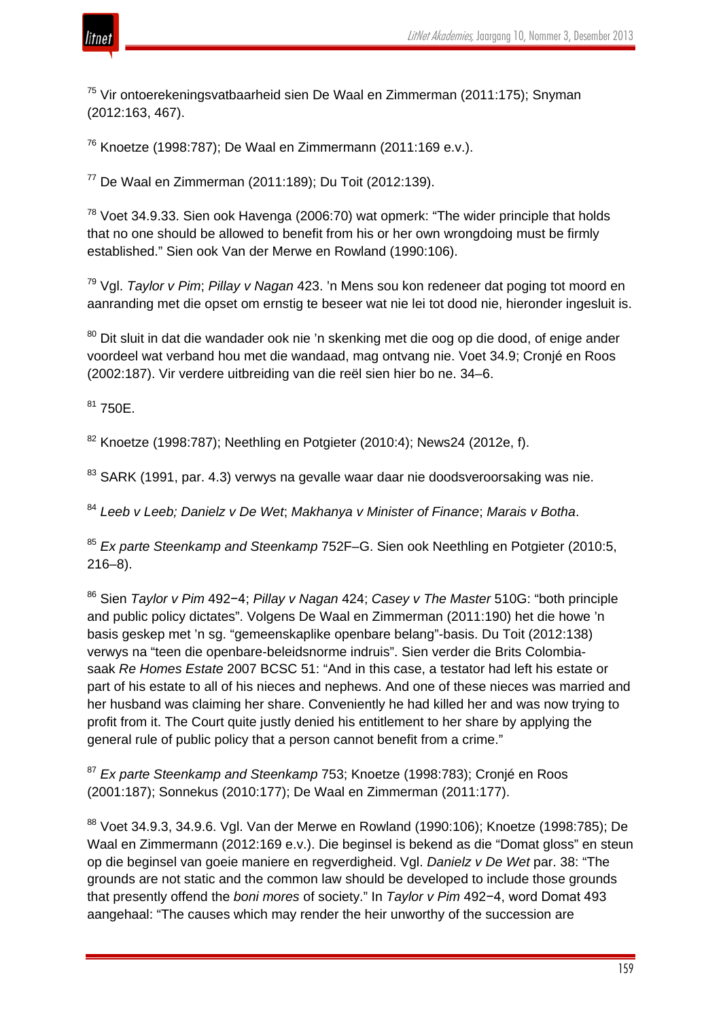

<sup>75</sup> Vir ontoerekeningsvatbaarheid sien De Waal en Zimmerman (2011:175); Snyman (2012:163, 467).

<sup>76</sup> Knoetze (1998:787); De Waal en Zimmermann (2011:169 e.v.).

<sup>77</sup> De Waal en Zimmerman (2011:189); Du Toit (2012:139).

 $78$  Voet 34.9.33. Sien ook Havenga (2006:70) wat opmerk: "The wider principle that holds that no one should be allowed to benefit from his or her own wrongdoing must be firmly established." Sien ook Van der Merwe en Rowland (1990:106).

<sup>79</sup> Vgl. *Taylor v Pim*; *Pillay v Nagan* 423. 'n Mens sou kon redeneer dat poging tot moord en aanranding met die opset om ernstig te beseer wat nie lei tot dood nie, hieronder ingesluit is.

<sup>80</sup> Dit sluit in dat die wandader ook nie 'n skenking met die oog op die dood, of enige ander voordeel wat verband hou met die wandaad, mag ontvang nie. Voet 34.9; Cronjé en Roos (2002:187). Vir verdere uitbreiding van die reël sien hier bo ne. 34–6.

 $81750E$ .

 $82$  Knoetze (1998:787); Neethling en Potgieter (2010:4); News24 (2012e, f).

<sup>83</sup> SARK (1991, par. 4.3) verwys na gevalle waar daar nie doodsveroorsaking was nie.

<sup>84</sup> *Leeb v Leeb; Danielz v De Wet*; *Makhanya v Minister of Finance*; *Marais v Botha*.

<sup>85</sup> *Ex parte Steenkamp and Steenkamp* 752F–G. Sien ook Neethling en Potgieter (2010:5, 216–8).

<sup>86</sup> Sien *Taylor v Pim* 492−4; *Pillay v Nagan* 424; *Casey v The Master* 510G: "both principle and public policy dictates". Volgens De Waal en Zimmerman (2011:190) het die howe 'n basis geskep met 'n sg. "gemeenskaplike openbare belang"-basis. Du Toit (2012:138) verwys na "teen die openbare-beleidsnorme indruis". Sien verder die Brits Colombiasaak *Re Homes Estate* 2007 BCSC 51: "And in this case, a testator had left his estate or part of his estate to all of his nieces and nephews. And one of these nieces was married and her husband was claiming her share. Conveniently he had killed her and was now trying to profit from it. The Court quite justly denied his entitlement to her share by applying the general rule of public policy that a person cannot benefit from a crime."

<sup>87</sup> *Ex parte Steenkamp and Steenkamp* 753; Knoetze (1998:783); Cronjé en Roos (2001:187); Sonnekus (2010:177); De Waal en Zimmerman (2011:177).

<sup>88</sup> Voet 34.9.3, 34.9.6. Vgl. Van der Merwe en Rowland (1990:106); Knoetze (1998:785); De Waal en Zimmermann (2012:169 e.v.). Die beginsel is bekend as die "Domat gloss" en steun op die beginsel van goeie maniere en regverdigheid. Vgl. *Danielz v De Wet* par. 38: "The grounds are not static and the common law should be developed to include those grounds that presently offend the *boni mores* of society." In *Taylor v Pim* 492−4, word Domat 493 aangehaal: "The causes which may render the heir unworthy of the succession are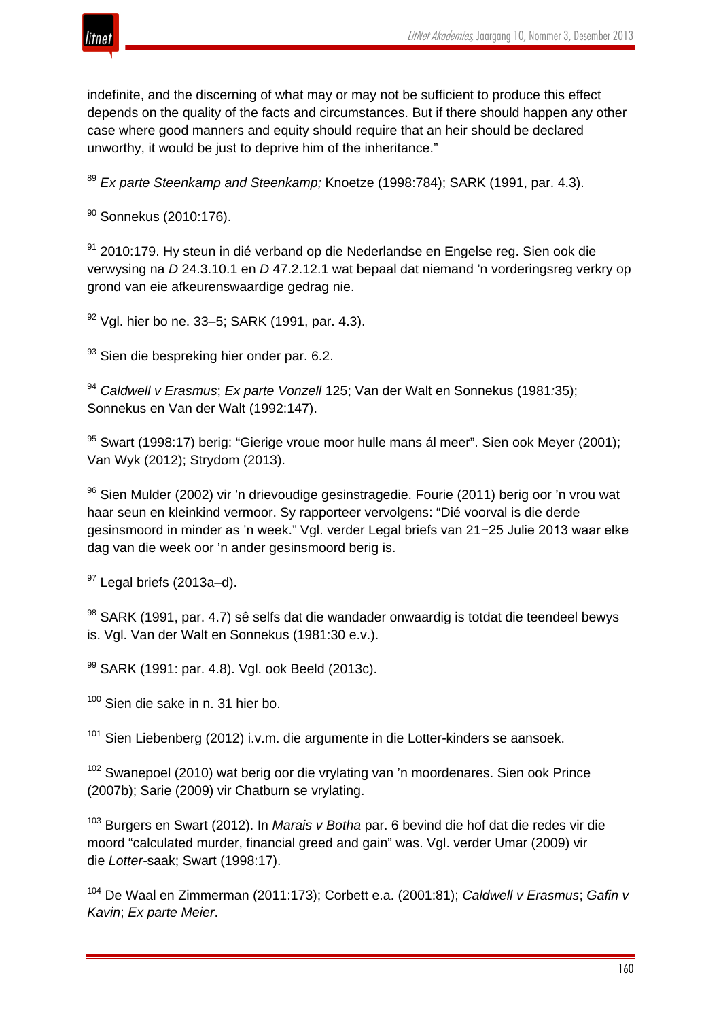

indefinite, and the discerning of what may or may not be sufficient to produce this effect depends on the quality of the facts and circumstances. But if there should happen any other case where good manners and equity should require that an heir should be declared unworthy, it would be just to deprive him of the inheritance."

<sup>89</sup> *Ex parte Steenkamp and Steenkamp;* Knoetze (1998:784); SARK (1991, par. 4.3).

<sup>90</sup> Sonnekus (2010:176).

 $91$  2010:179. Hy steun in dié verband op die Nederlandse en Engelse reg. Sien ook die verwysing na *D* 24.3.10.1 en *D* 47.2.12.1 wat bepaal dat niemand 'n vorderingsreg verkry op grond van eie afkeurenswaardige gedrag nie.

 $92$  Vgl. hier bo ne. 33–5; SARK (1991, par. 4.3).

93 Sien die bespreking hier onder par. 6.2.

<sup>94</sup> *Caldwell v Erasmus*; *Ex parte Vonzell* 125; Van der Walt en Sonnekus (1981*:*35); Sonnekus en Van der Walt (1992:147).

<sup>95</sup> Swart (1998:17) berig: "Gierige vroue moor hulle mans ál meer". Sien ook Meyer (2001); Van Wyk (2012); Strydom (2013).

 $96$  Sien Mulder (2002) vir 'n drievoudige gesinstragedie. Fourie (2011) berig oor 'n vrou wat haar seun en kleinkind vermoor. Sy rapporteer vervolgens: "Dié voorval is die derde gesinsmoord in minder as 'n week." Vgl. verder Legal briefs van 21−25 Julie 2013 waar elke dag van die week oor 'n ander gesinsmoord berig is.

 $97$  Legal briefs (2013a–d).

98 SARK (1991, par. 4.7) sê selfs dat die wandader onwaardig is totdat die teendeel bewys is. Vgl. Van der Walt en Sonnekus (1981:30 e.v.).

99 SARK (1991: par. 4.8). Vgl. ook Beeld (2013c).

<sup>100</sup> Sien die sake in n. 31 hier bo.

<sup>101</sup> Sien Liebenberg (2012) i.v.m. die argumente in die Lotter-kinders se aansoek.

 $102$  Swanepoel (2010) wat berig oor die vrylating van 'n moordenares. Sien ook Prince (2007b); Sarie (2009) vir Chatburn se vrylating.

<sup>103</sup> Burgers en Swart (2012). In *Marais v Botha* par. 6 bevind die hof dat die redes vir die moord "calculated murder, financial greed and gain" was. Vgl. verder Umar (2009) vir die *Lotter-*saak; Swart (1998:17).

<sup>104</sup> De Waal en Zimmerman (2011:173); Corbett e.a. (2001:81); *Caldwell v Erasmus*; *Gafin v Kavin*; *Ex parte Meier*.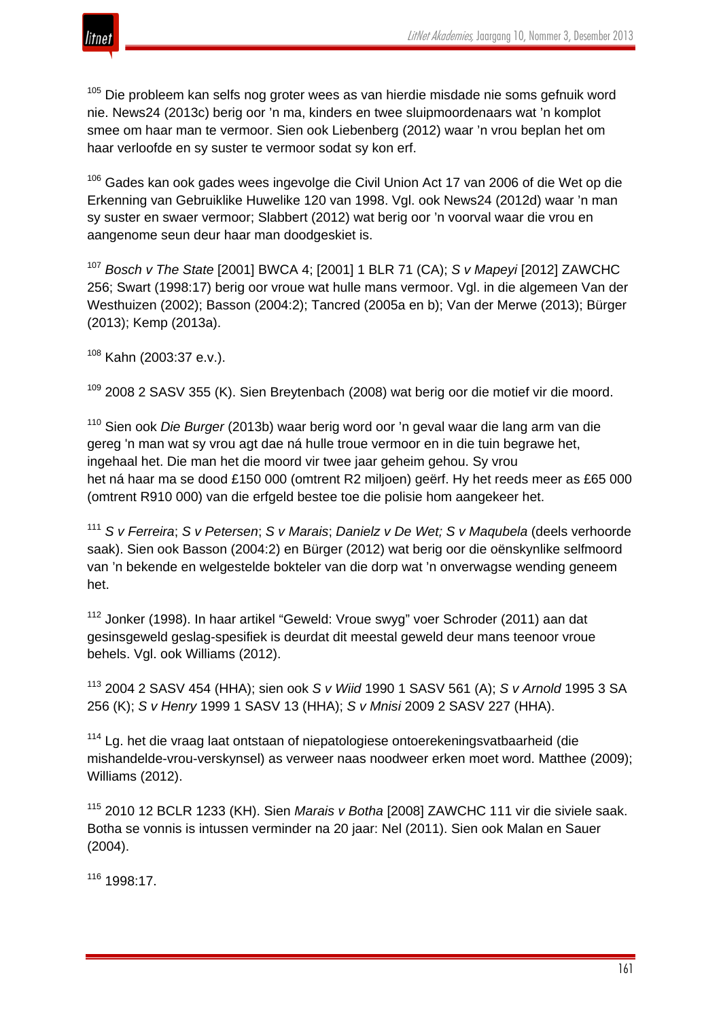

<sup>105</sup> Die probleem kan selfs nog groter wees as van hierdie misdade nie soms gefnuik word nie. News24 (2013c) berig oor 'n ma, kinders en twee sluipmoordenaars wat 'n komplot smee om haar man te vermoor. Sien ook Liebenberg (2012) waar 'n vrou beplan het om haar verloofde en sy suster te vermoor sodat sy kon erf.

<sup>106</sup> Gades kan ook gades wees ingevolge die Civil Union Act 17 van 2006 of die Wet op die Erkenning van Gebruiklike Huwelike 120 van 1998. Vgl. ook News24 (2012d) waar 'n man sy suster en swaer vermoor; Slabbert (2012) wat berig oor 'n voorval waar die vrou en aangenome seun deur haar man doodgeskiet is.

<sup>107</sup> *Bosch v The State* [2001] BWCA 4; [2001] 1 BLR 71 (CA); *S v Mapeyi* [2012] ZAWCHC 256; Swart (1998:17) berig oor vroue wat hulle mans vermoor. Vgl. in die algemeen Van der Westhuizen (2002); Basson (2004:2); Tancred (2005a en b); Van der Merwe (2013); Bürger (2013); Kemp (2013a).

 $108$  Kahn (2003:37 e.v.).

<sup>109</sup> 2008 2 SASV 355 (K). Sien Breytenbach (2008) wat berig oor die motief vir die moord.

<sup>110</sup> Sien ook *Die Burger* (2013b) waar berig word oor 'n geval waar die lang arm van die gereg 'n man wat sy vrou agt dae ná hulle troue vermoor en in die tuin begrawe het, ingehaal het. Die man het die moord vir twee jaar geheim gehou. Sy vrou het ná haar ma se dood £150 000 (omtrent R2 miljoen) geërf. Hy het reeds meer as £65 000 (omtrent R910 000) van die erfgeld bestee toe die polisie hom aangekeer het.

<sup>111</sup> *S v Ferreira*; *S v Petersen*; *S v Marais*; *Danielz v De Wet; S v Maqubela* (deels verhoorde saak). Sien ook Basson (2004:2) en Bürger (2012) wat berig oor die oënskynlike selfmoord van 'n bekende en welgestelde bokteler van die dorp wat 'n onverwagse wending geneem het.

<sup>112</sup> Jonker (1998). In haar artikel "Geweld: Vroue swyg" voer Schroder (2011) aan dat gesinsgeweld geslag-spesifiek is deurdat dit meestal geweld deur mans teenoor vroue behels. Vgl. ook Williams (2012).

<sup>113</sup> 2004 2 SASV 454 (HHA); sien ook *S v Wiid* 1990 1 SASV 561 (A); *S v Arnold* 1995 3 SA 256 (K); *S v Henry* 1999 1 SASV 13 (HHA); *S v Mnisi* 2009 2 SASV 227 (HHA).

<sup>114</sup> Lg. het die vraag laat ontstaan of niepatologiese ontoerekeningsvatbaarheid (die mishandelde-vrou-verskynsel) as verweer naas noodweer erken moet word. Matthee (2009); Williams (2012).

<sup>115</sup> 2010 12 BCLR 1233 (KH). Sien *Marais v Botha* [2008] ZAWCHC 111 vir die siviele saak. Botha se vonnis is intussen verminder na 20 jaar: Nel (2011). Sien ook Malan en Sauer (2004).

<sup>116</sup> 1998:17.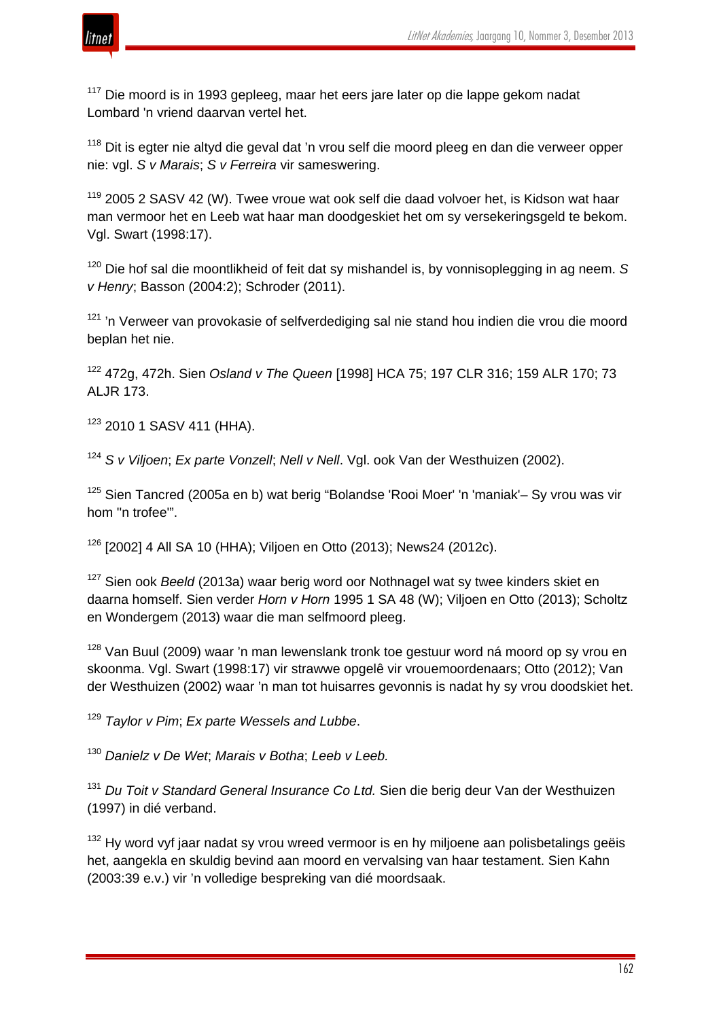

<sup>117</sup> Die moord is in 1993 gepleeg, maar het eers jare later op die lappe gekom nadat Lombard 'n vriend daarvan vertel het.

<sup>118</sup> Dit is egter nie altyd die geval dat 'n vrou self die moord pleeg en dan die verweer opper nie: vgl. *S v Marais*; *S v Ferreira* vir sameswering.

<sup>119</sup> 2005 2 SASV 42 (W). Twee vroue wat ook self die daad volvoer het, is Kidson wat haar man vermoor het en Leeb wat haar man doodgeskiet het om sy versekeringsgeld te bekom. Vgl. Swart (1998:17).

<sup>120</sup> Die hof sal die moontlikheid of feit dat sy mishandel is, by vonnisoplegging in ag neem. *S v Henry*; Basson (2004:2); Schroder (2011).

 $121$  'n Verweer van provokasie of selfverdediging sal nie stand hou indien die vrou die moord beplan het nie.

<sup>122</sup> 472g, 472h. Sien *Osland v The Queen* [1998] HCA 75; 197 CLR 316; 159 ALR 170; 73 ALJR 173.

<sup>123</sup> 2010 1 SASV 411 (HHA).

<sup>124</sup> *S v Viljoen*; *Ex parte Vonzell*; *Nell v Nell*. Vgl. ook Van der Westhuizen (2002).

<sup>125</sup> Sien Tancred (2005a en b) wat berig "Bolandse 'Rooi Moer' 'n 'maniak'– Sy vrou was vir hom ''n trofee'".

<sup>126</sup> [2002] 4 All SA 10 (HHA); Viljoen en Otto (2013); News24 (2012c).

<sup>127</sup> Sien ook *Beeld* (2013a) waar berig word oor Nothnagel wat sy twee kinders skiet en daarna homself. Sien verder *Horn v Horn* 1995 1 SA 48 (W); Viljoen en Otto (2013); Scholtz en Wondergem (2013) waar die man selfmoord pleeg.

<sup>128</sup> Van Buul (2009) waar 'n man lewenslank tronk toe gestuur word ná moord op sy vrou en skoonma. Vgl. Swart (1998:17) vir strawwe opgelê vir vrouemoordenaars; Otto (2012); Van der Westhuizen (2002) waar 'n man tot huisarres gevonnis is nadat hy sy vrou doodskiet het.

<sup>129</sup> *Taylor v Pim*; *Ex parte Wessels and Lubbe*.

<sup>130</sup> *Danielz v De Wet*; *Marais v Botha*; *Leeb v Leeb.*

<sup>131</sup> *Du Toit v Standard General Insurance Co Ltd.* Sien die berig deur Van der Westhuizen (1997) in dié verband.

 $132$  Hy word vyf jaar nadat sy vrou wreed vermoor is en hy miljoene aan polisbetalings geëis het, aangekla en skuldig bevind aan moord en vervalsing van haar testament. Sien Kahn (2003:39 e.v.) vir 'n volledige bespreking van dié moordsaak.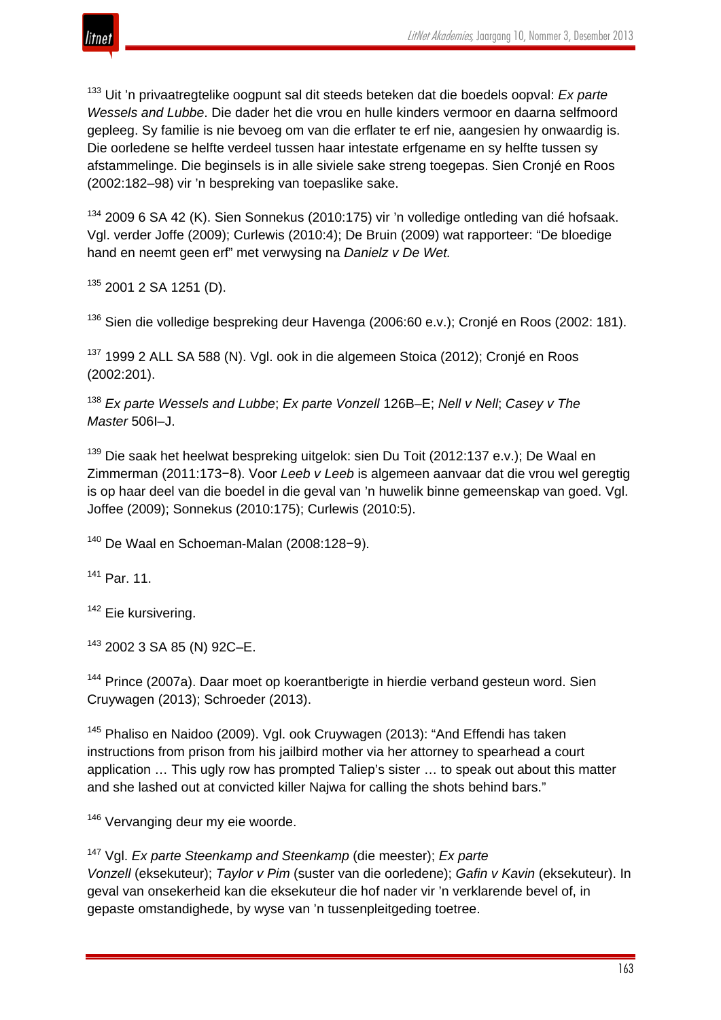

<sup>133</sup> Uit 'n privaatregtelike oogpunt sal dit steeds beteken dat die boedels oopval: *Ex parte Wessels and Lubbe*. Die dader het die vrou en hulle kinders vermoor en daarna selfmoord gepleeg. Sy familie is nie bevoeg om van die erflater te erf nie, aangesien hy onwaardig is. Die oorledene se helfte verdeel tussen haar intestate erfgename en sy helfte tussen sy afstammelinge. Die beginsels is in alle siviele sake streng toegepas. Sien Cronjé en Roos (2002:182–98) vir 'n bespreking van toepaslike sake.

<sup>134</sup> 2009 6 SA 42 (K). Sien Sonnekus (2010:175) vir 'n volledige ontleding van dié hofsaak. Vgl. verder Joffe (2009); Curlewis (2010:4); De Bruin (2009) wat rapporteer: "De bloedige hand en neemt geen erf" met verwysing na *Danielz v De Wet.*

135 2001 2 SA 1251 (D).

<sup>136</sup> Sien die volledige bespreking deur Havenga (2006:60 e.v.); Cronjé en Roos (2002: 181).

<sup>137</sup> 1999 2 ALL SA 588 (N). Vgl. ook in die algemeen Stoica (2012); Cronjé en Roos (2002:201).

<sup>138</sup> *Ex parte Wessels and Lubbe*; *Ex parte Vonzell* 126B–E; *Nell v Nell*; *Casey v The Master* 506I–J.

<sup>139</sup> Die saak het heelwat bespreking uitgelok: sien Du Toit (2012:137 e.v.); De Waal en Zimmerman (2011:173−8). Voor *Leeb v Leeb* is algemeen aanvaar dat die vrou wel geregtig is op haar deel van die boedel in die geval van 'n huwelik binne gemeenskap van goed. Vgl. Joffee (2009); Sonnekus (2010:175); Curlewis (2010:5).

<sup>140</sup> De Waal en Schoeman-Malan (2008:128−9).

<sup>141</sup> Par. 11.

<sup>142</sup> Eie kursivering.

<sup>143</sup> 2002 3 SA 85 (N) 92C–E.

<sup>144</sup> Prince (2007a). Daar moet op koerantberigte in hierdie verband gesteun word. Sien Cruywagen (2013); Schroeder (2013).

<sup>145</sup> Phaliso en Naidoo (2009). Vgl. ook Cruywagen (2013): "And Effendi has taken instructions from prison from his jailbird mother via her attorney to spearhead a court application … This ugly row has prompted Taliep's sister … to speak out about this matter and she lashed out at convicted killer Najwa for calling the shots behind bars."

<sup>146</sup> Vervanging deur my eie woorde.

<sup>147</sup> Vgl. *Ex parte Steenkamp and Steenkamp* (die meester); *Ex parte Vonzell* (eksekuteur); *Taylor v Pim* (suster van die oorledene); *Gafin v Kavin* (eksekuteur). In geval van onsekerheid kan die eksekuteur die hof nader vir 'n verklarende bevel of, in gepaste omstandighede, by wyse van 'n tussenpleitgeding toetree.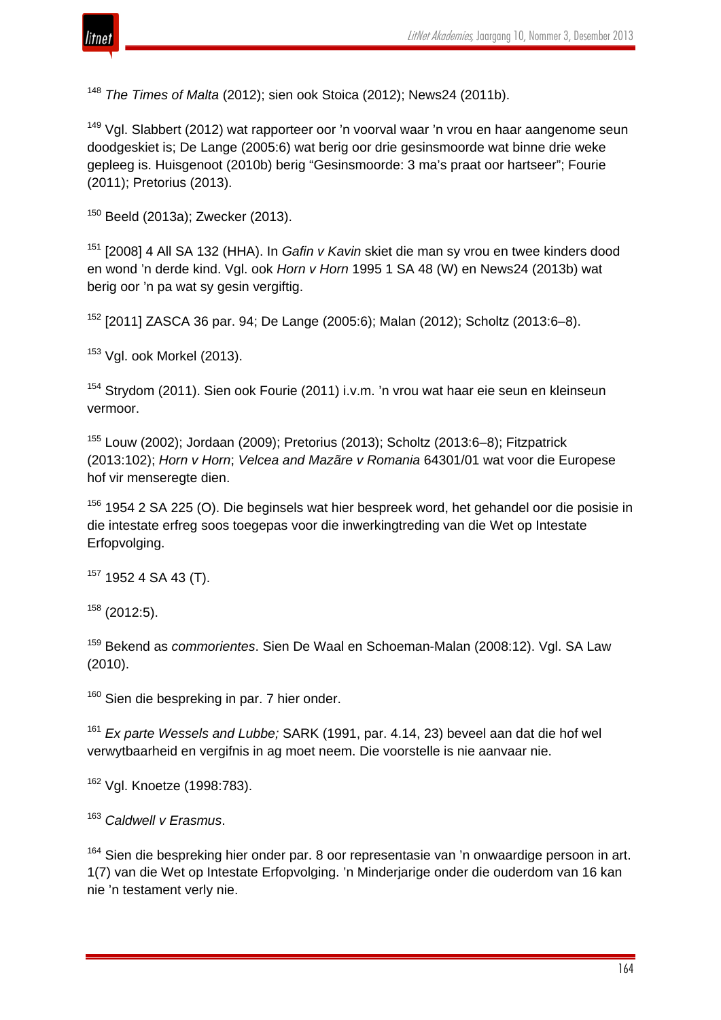

<sup>148</sup> *The Times of Malta* (2012); sien ook Stoica (2012); News24 (2011b).

<sup>149</sup> Vgl. Slabbert (2012) wat rapporteer oor 'n voorval waar 'n vrou en haar aangenome seun doodgeskiet is; De Lange (2005:6) wat berig oor drie gesinsmoorde wat binne drie weke gepleeg is. Huisgenoot (2010b) berig "Gesinsmoorde: 3 ma's praat oor hartseer"; Fourie (2011); Pretorius (2013).

<sup>150</sup> Beeld (2013a); Zwecker (2013).

<sup>151</sup> [2008] 4 All SA 132 (HHA). In *Gafin v Kavin* skiet die man sy vrou en twee kinders dood en wond 'n derde kind. Vgl. ook *Horn v Horn* 1995 1 SA 48 (W) en News24 (2013b) wat berig oor 'n pa wat sy gesin vergiftig.

<sup>152</sup> [2011] ZASCA 36 par. 94; De Lange (2005:6); Malan (2012); Scholtz (2013:6–8).

<sup>153</sup> Vgl. ook Morkel (2013).

<sup>154</sup> Strydom (2011). Sien ook Fourie (2011) i.v.m. 'n vrou wat haar eie seun en kleinseun vermoor.

<sup>155</sup> Louw (2002); Jordaan (2009); Pretorius (2013); Scholtz (2013:6–8); Fitzpatrick (2013:102); *Horn v Horn*; *Velcea and Mazãre v Romania* 64301/01 wat voor die Europese hof vir menseregte dien.

<sup>156</sup> 1954 2 SA 225 (O). Die beginsels wat hier bespreek word, het gehandel oor die posisie in die intestate erfreg soos toegepas voor die inwerkingtreding van die Wet op Intestate Erfopvolging.

 $157$  1952 4 SA 43 (T).

 $158$  (2012:5).

<sup>159</sup> Bekend as *commorientes*. Sien De Waal en Schoeman-Malan (2008:12). Vgl. SA Law (2010).

<sup>160</sup> Sien die bespreking in par. 7 hier onder.

<sup>161</sup> *Ex parte Wessels and Lubbe;* SARK (1991, par. 4.14, 23) beveel aan dat die hof wel verwytbaarheid en vergifnis in ag moet neem. Die voorstelle is nie aanvaar nie.

<sup>162</sup> Vgl. Knoetze (1998:783).

<sup>163</sup> *Caldwell v Erasmus*.

 $164$  Sien die bespreking hier onder par. 8 oor representasie van 'n onwaardige persoon in art. 1(7) van die Wet op Intestate Erfopvolging. 'n Minderjarige onder die ouderdom van 16 kan nie 'n testament verly nie.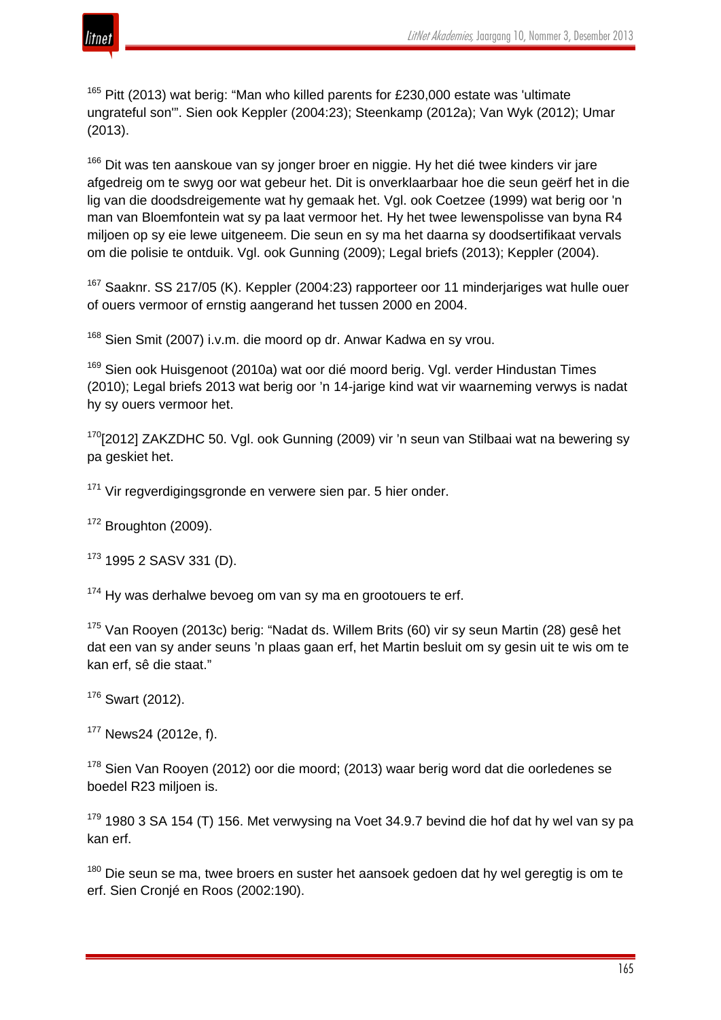

 $165$  Pitt (2013) wat berig: "Man who killed parents for £230,000 estate was 'ultimate ungrateful son'". Sien ook Keppler (2004:23); Steenkamp (2012a); Van Wyk (2012); Umar (2013).

<sup>166</sup> Dit was ten aanskoue van sy jonger broer en niggie. Hy het dié twee kinders vir jare afgedreig om te swyg oor wat gebeur het. Dit is onverklaarbaar hoe die seun geërf het in die lig van die doodsdreigemente wat hy gemaak het. Vgl. ook Coetzee (1999) wat berig oor 'n man van Bloemfontein wat sy pa laat vermoor het. Hy het twee lewenspolisse van byna R4 miljoen op sy eie lewe uitgeneem. Die seun en sy ma het daarna sy doodsertifikaat vervals om die polisie te ontduik. Vgl. ook Gunning (2009); Legal briefs (2013); Keppler (2004).

<sup>167</sup> Saaknr. SS 217/05 (K). Keppler (2004:23) rapporteer oor 11 minderjariges wat hulle ouer of ouers vermoor of ernstig aangerand het tussen 2000 en 2004.

<sup>168</sup> Sien Smit (2007) i.v.m. die moord op dr. Anwar Kadwa en sy vrou.

<sup>169</sup> Sien ook Huisgenoot (2010a) wat oor dié moord berig. Vgl. verder Hindustan Times (2010); Legal briefs 2013 wat berig oor 'n 14-jarige kind wat vir waarneming verwys is nadat hy sy ouers vermoor het.

<sup>170</sup>[2012] ZAKZDHC 50. Vgl. ook Gunning (2009) vir 'n seun van Stilbaai wat na bewering sy pa geskiet het.

<sup>171</sup> Vir regverdigingsgronde en verwere sien par. 5 hier onder.

 $172$  Broughton (2009).

 $173$  1995 2 SASV 331 (D).

 $174$  Hy was derhalwe bevoeg om van sy ma en grootouers te erf.

<sup>175</sup> Van Rooyen (2013c) berig: "Nadat ds. Willem Brits (60) vir sy seun Martin (28) gesê het dat een van sy ander seuns 'n plaas gaan erf, het Martin besluit om sy gesin uit te wis om te kan erf, sê die staat."

<sup>176</sup> Swart (2012).

<sup>177</sup> News24 (2012e, f).

 $178$  Sien Van Rooyen (2012) oor die moord; (2013) waar berig word dat die oorledenes se boedel R23 miljoen is.

 $179$  1980 3 SA 154 (T) 156. Met verwysing na Voet 34.9.7 bevind die hof dat hy wel van sy pa kan erf.

 $180$  Die seun se ma, twee broers en suster het aansoek gedoen dat hy wel geregtig is om te erf. Sien Cronjé en Roos (2002:190).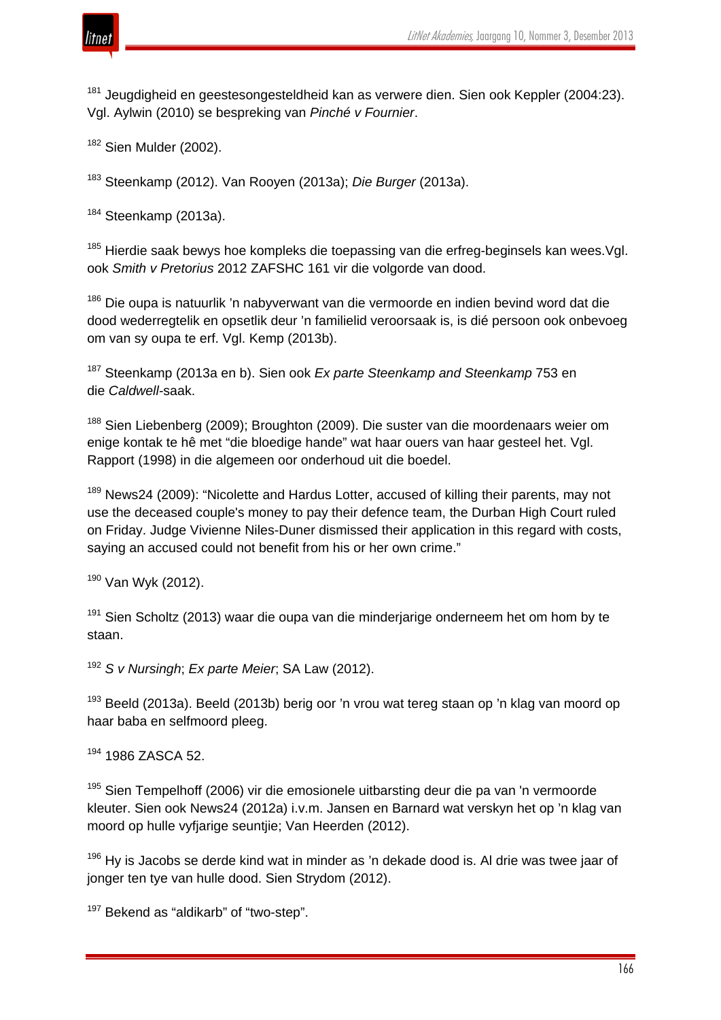

<sup>181</sup> Jeugdigheid en geestesongesteldheid kan as verwere dien. Sien ook Keppler (2004:23). Vgl. Aylwin (2010) se bespreking van *Pinché v Fournier*.

<sup>182</sup> Sien Mulder (2002).

<sup>183</sup> Steenkamp (2012). Van Rooyen (2013a); *Die Burger* (2013a).

 $184$  Steenkamp (2013a).

<sup>185</sup> Hierdie saak bewys hoe kompleks die toepassing van die erfreg-beginsels kan wees. Vgl. ook *Smith v Pretorius* 2012 ZAFSHC 161 vir die volgorde van dood.

<sup>186</sup> Die oupa is natuurlik 'n nabyverwant van die vermoorde en indien bevind word dat die dood wederregtelik en opsetlik deur 'n familielid veroorsaak is, is dié persoon ook onbevoeg om van sy oupa te erf. Vgl. Kemp (2013b).

<sup>187</sup> Steenkamp (2013a en b). Sien ook *Ex parte Steenkamp and Steenkamp* 753 en die *Caldwell-*saak.

<sup>188</sup> Sien Liebenberg (2009); Broughton (2009). Die suster van die moordenaars weier om enige kontak te hê met "die bloedige hande" wat haar ouers van haar gesteel het. Vgl. Rapport (1998) in die algemeen oor onderhoud uit die boedel.

<sup>189</sup> News24 (2009): "Nicolette and Hardus Lotter, accused of killing their parents, may not use the deceased couple's money to pay their defence team, the Durban High Court ruled on Friday. Judge Vivienne Niles-Duner dismissed their application in this regard with costs, saying an accused could not benefit from his or her own crime."

<sup>190</sup> Van Wyk (2012).

 $191$  Sien Scholtz (2013) waar die oupa van die minderjarige onderneem het om hom by te staan.

<sup>192</sup> *S v Nursingh*; *Ex parte Meier*; SA Law (2012).

<sup>193</sup> Beeld (2013a). Beeld (2013b) berig oor 'n vrou wat tereg staan op 'n klag van moord op haar baba en selfmoord pleeg.

<sup>194</sup> 1986 ZASCA 52.

 $195$  Sien Tempelhoff (2006) vir die emosionele uitbarsting deur die pa van 'n vermoorde kleuter. Sien ook News24 (2012a) i.v.m. Jansen en Barnard wat verskyn het op 'n klag van moord op hulle vyfjarige seuntjie; Van Heerden (2012).

 $196$  Hy is Jacobs se derde kind wat in minder as 'n dekade dood is. Al drie was twee jaar of jonger ten tye van hulle dood. Sien Strydom (2012).

<sup>197</sup> Bekend as "aldikarb" of "two-step".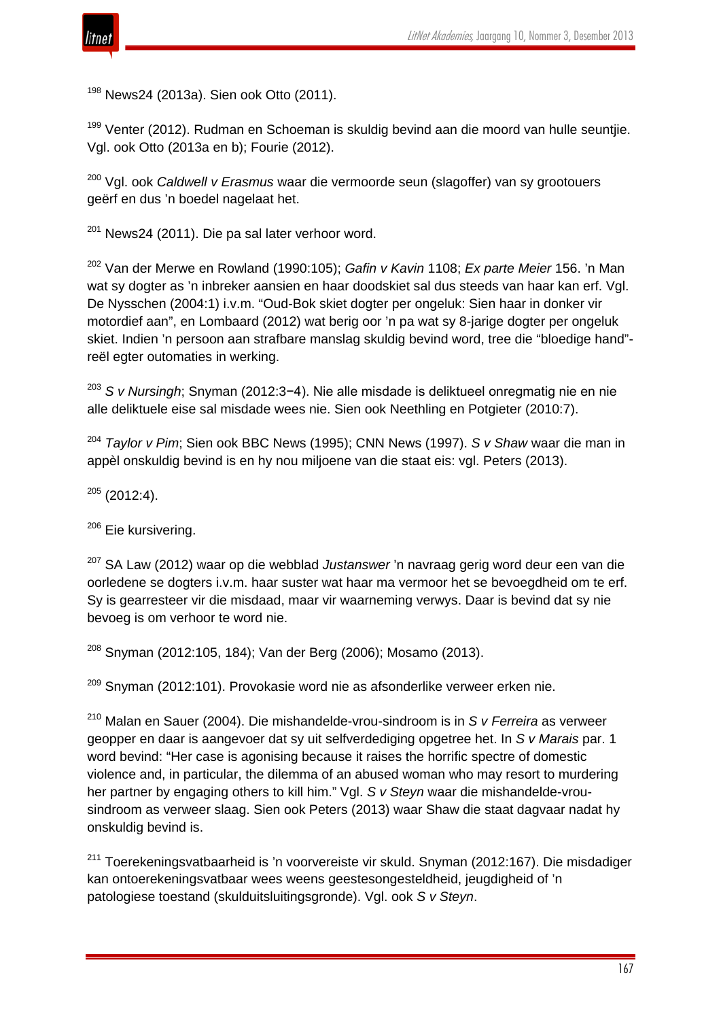

<sup>198</sup> News24 (2013a). Sien ook Otto (2011).

<sup>199</sup> Venter (2012). Rudman en Schoeman is skuldig bevind aan die moord van hulle seuntjie. Vgl. ook Otto (2013a en b); Fourie (2012).

<sup>200</sup> Vgl. ook *Caldwell v Erasmus* waar die vermoorde seun (slagoffer) van sy grootouers geërf en dus 'n boedel nagelaat het.

 $201$  News24 (2011). Die pa sal later verhoor word.

<sup>202</sup> Van der Merwe en Rowland (1990:105); *Gafin v Kavin* 1108; *Ex parte Meier* 156. 'n Man wat sy dogter as 'n inbreker aansien en haar doodskiet sal dus steeds van haar kan erf. Vgl. De Nysschen (2004:1) i.v.m. "Oud-Bok skiet dogter per ongeluk: Sien haar in donker vir motordief aan", en Lombaard (2012) wat berig oor 'n pa wat sy 8-jarige dogter per ongeluk skiet. Indien 'n persoon aan strafbare manslag skuldig bevind word, tree die "bloedige hand" reël egter outomaties in werking.

<sup>203</sup> *S v Nursingh*; Snyman (2012:3−4). Nie alle misdade is deliktueel onregmatig nie en nie alle deliktuele eise sal misdade wees nie. Sien ook Neethling en Potgieter (2010:7).

<sup>204</sup> *Taylor v Pim*; Sien ook BBC News (1995); CNN News (1997). *S v Shaw* waar die man in appèl onskuldig bevind is en hy nou miljoene van die staat eis: vgl. Peters (2013).

 $205$  (2012:4).

<sup>206</sup> Eie kursivering.

<sup>207</sup> SA Law (2012) waar op die webblad *Justanswer* 'n navraag gerig word deur een van die oorledene se dogters i.v.m. haar suster wat haar ma vermoor het se bevoegdheid om te erf. Sy is gearresteer vir die misdaad, maar vir waarneming verwys. Daar is bevind dat sy nie bevoeg is om verhoor te word nie.

<sup>208</sup> Snyman (2012:105, 184); Van der Berg (2006); Mosamo (2013).

 $209$  Snyman (2012:101). Provokasie word nie as afsonderlike verweer erken nie.

<sup>210</sup> Malan en Sauer (2004). Die mishandelde-vrou-sindroom is in *S v Ferreira* as verweer geopper en daar is aangevoer dat sy uit selfverdediging opgetree het. In *S v Marais* par. 1 word bevind: "Her case is agonising because it raises the horrific spectre of domestic violence and, in particular, the dilemma of an abused woman who may resort to murdering her partner by engaging others to kill him." Vgl. *S v Steyn* waar die mishandelde-vrousindroom as verweer slaag. Sien ook Peters (2013) waar Shaw die staat dagvaar nadat hy onskuldig bevind is.

<sup>211</sup> Toerekeningsvatbaarheid is 'n voorvereiste vir skuld. Snyman (2012:167). Die misdadiger kan ontoerekeningsvatbaar wees weens geestesongesteldheid, jeugdigheid of 'n patologiese toestand (skulduitsluitingsgronde). Vgl. ook *S v Steyn*.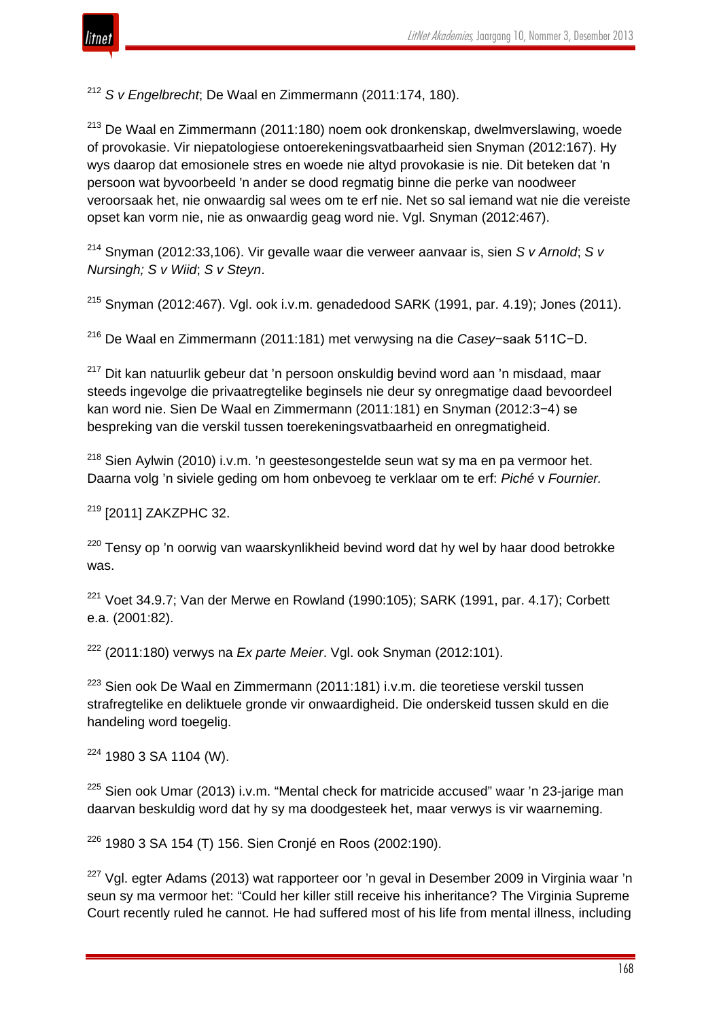

<sup>212</sup> *S v Engelbrecht*; De Waal en Zimmermann (2011:174, 180).

 $213$  De Waal en Zimmermann (2011:180) noem ook dronkenskap, dwelmverslawing, woede of provokasie. Vir niepatologiese ontoerekeningsvatbaarheid sien Snyman (2012:167). Hy wys daarop dat emosionele stres en woede nie altyd provokasie is nie. Dit beteken dat 'n persoon wat byvoorbeeld 'n ander se dood regmatig binne die perke van noodweer veroorsaak het, nie onwaardig sal wees om te erf nie. Net so sal iemand wat nie die vereiste opset kan vorm nie, nie as onwaardig geag word nie. Vgl. Snyman (2012:467).

<sup>214</sup> Snyman (2012:33,106). Vir gevalle waar die verweer aanvaar is, sien *S v Arnold*; *S v Nursingh; S v Wiid*; *S v Steyn*.

 $215$  Snyman (2012:467). Vgl. ook i.v.m. genadedood SARK (1991, par. 4.19): Jones (2011).

<sup>216</sup> De Waal en Zimmermann (2011:181) met verwysing na die *Casey*−saak 511C−D.

<sup>217</sup> Dit kan natuurlik gebeur dat 'n persoon onskuldig bevind word aan 'n misdaad, maar steeds ingevolge die privaatregtelike beginsels nie deur sy onregmatige daad bevoordeel kan word nie. Sien De Waal en Zimmermann (2011:181) en Snyman (2012:3−4) se bespreking van die verskil tussen toerekeningsvatbaarheid en onregmatigheid.

<sup>218</sup> Sien Aylwin (2010) i.v.m. 'n geestesongestelde seun wat sy ma en pa vermoor het. Daarna volg 'n siviele geding om hom onbevoeg te verklaar om te erf: *Piché* v *Fournier.*

<sup>219</sup> [2011] ZAKZPHC 32.

<sup>220</sup> Tensy op 'n oorwig van waarskynlikheid bevind word dat hy wel by haar dood betrokke was.

 $221$  Voet 34.9.7; Van der Merwe en Rowland (1990:105); SARK (1991, par. 4.17); Corbett e.a. (2001:82).

<sup>222</sup> (2011:180) verwys na *Ex parte Meier*. Vgl. ook Snyman (2012:101).

<sup>223</sup> Sien ook De Waal en Zimmermann (2011:181) i.v.m. die teoretiese verskil tussen strafregtelike en deliktuele gronde vir onwaardigheid. Die onderskeid tussen skuld en die handeling word toegelig.

<sup>224</sup> 1980 3 SA 1104 (W).

 $225$  Sien ook Umar (2013) i.v.m. "Mental check for matricide accused" waar 'n 23-jarige man daarvan beskuldig word dat hy sy ma doodgesteek het, maar verwys is vir waarneming.

<sup>226</sup> 1980 3 SA 154 (T) 156. Sien Cronjé en Roos (2002:190).

<sup>227</sup> Vgl. egter Adams (2013) wat rapporteer oor 'n geval in Desember 2009 in Virginia waar 'n seun sy ma vermoor het: "Could her killer still receive his inheritance? The Virginia Supreme Court recently ruled he cannot. He had suffered most of his life from mental illness, including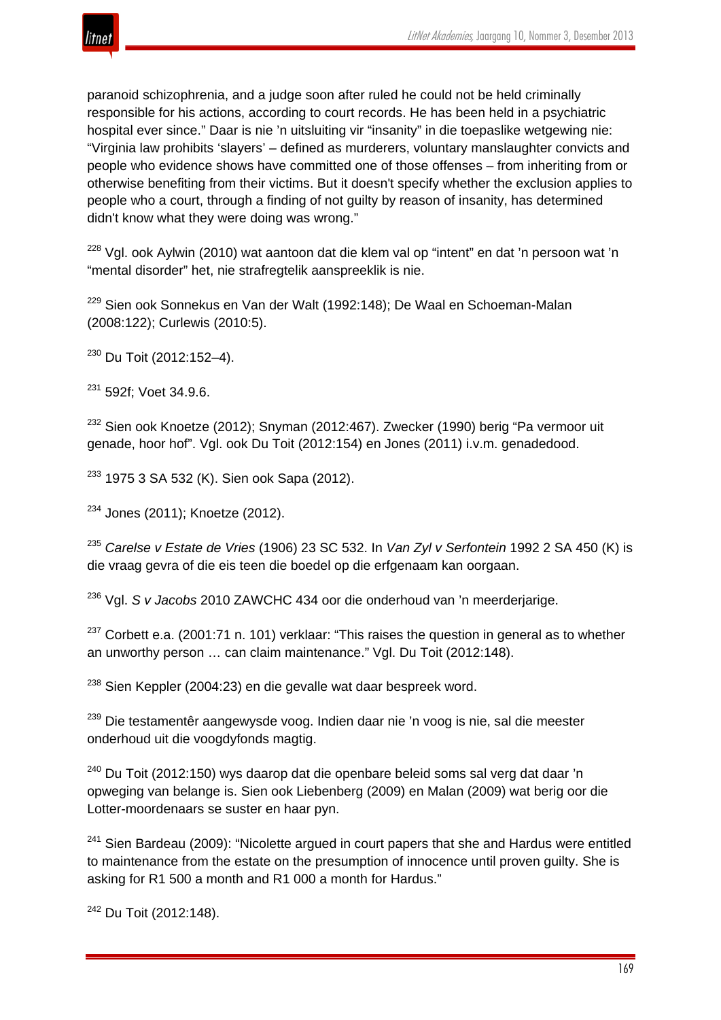

paranoid schizophrenia, and a judge soon after ruled he could not be held criminally responsible for his actions, according to court records. He has been held in a psychiatric hospital ever since." Daar is nie 'n uitsluiting vir "insanity" in die toepaslike wetgewing nie: "Virginia law prohibits 'slayers' – defined as murderers, voluntary manslaughter convicts and people who evidence shows have committed one of those offenses – from inheriting from or otherwise benefiting from their victims. But it doesn't specify whether the exclusion applies to people who a court, through a finding of not guilty by reason of insanity, has determined didn't know what they were doing was wrong."

<sup>228</sup> Vgl. ook Aylwin (2010) wat aantoon dat die klem val op "intent" en dat 'n persoon wat 'n "mental disorder" het, nie strafregtelik aanspreeklik is nie.

<sup>229</sup> Sien ook Sonnekus en Van der Walt (1992:148); De Waal en Schoeman-Malan (2008:122); Curlewis (2010:5).

<sup>230</sup> Du Toit (2012:152–4).

<sup>231</sup> 592f: Voet 34.9.6.

<sup>232</sup> Sien ook Knoetze (2012); Snyman (2012:467). Zwecker (1990) berig "Pa vermoor uit genade, hoor hof". Vgl. ook Du Toit (2012:154) en Jones (2011) i.v.m. genadedood.

<sup>233</sup> 1975 3 SA 532 (K). Sien ook Sapa (2012).

<sup>234</sup> Jones (2011); Knoetze (2012).

<sup>235</sup> *Carelse v Estate de Vries* (1906) 23 SC 532. In *Van Zyl v Serfontein* 1992 2 SA 450 (K) is die vraag gevra of die eis teen die boedel op die erfgenaam kan oorgaan.

<sup>236</sup> Vgl. *S v Jacobs* 2010 ZAWCHC 434 oor die onderhoud van 'n meerderjarige.

 $237$  Corbett e.a. (2001:71 n. 101) verklaar: "This raises the question in general as to whether an unworthy person … can claim maintenance." Vgl. Du Toit (2012:148).

<sup>238</sup> Sien Keppler (2004:23) en die gevalle wat daar bespreek word.

<sup>239</sup> Die testamentêr aangewysde voog. Indien daar nie 'n voog is nie, sal die meester onderhoud uit die voogdyfonds magtig.

 $240$  Du Toit (2012:150) wys daarop dat die openbare beleid soms sal verg dat daar 'n opweging van belange is. Sien ook Liebenberg (2009) en Malan (2009) wat berig oor die Lotter-moordenaars se suster en haar pyn.

 $241$  Sien Bardeau (2009): "Nicolette argued in court papers that she and Hardus were entitled to maintenance from the estate on the presumption of innocence until proven guilty. She is asking for R1 500 a month and R1 000 a month for Hardus."

<sup>242</sup> Du Toit (2012:148).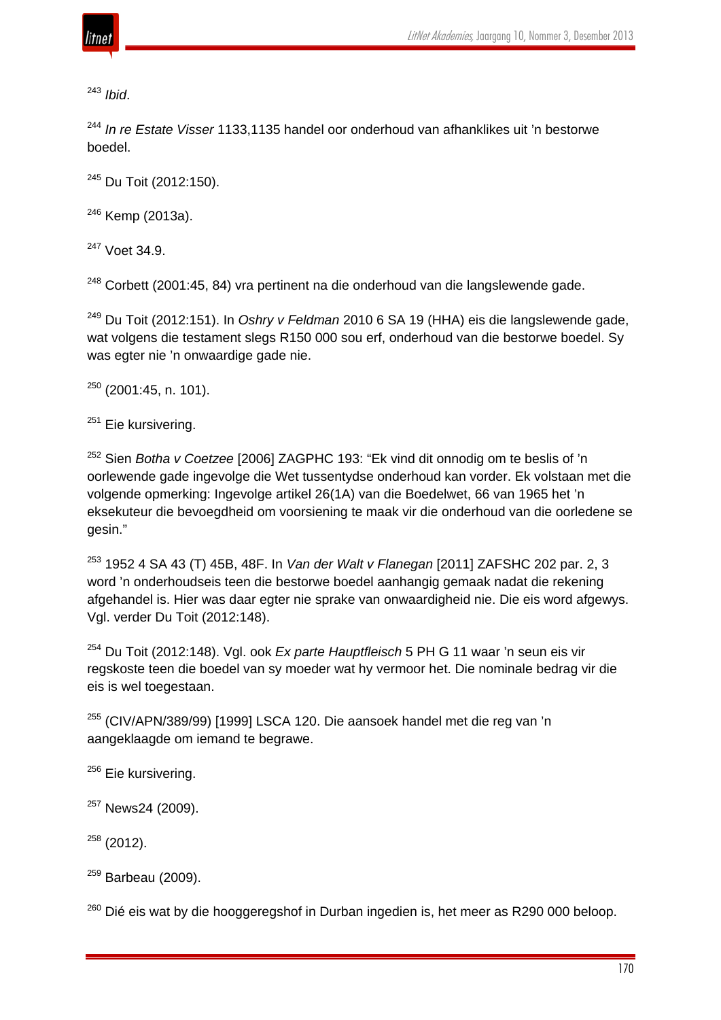

<sup>243</sup> *Ibid*.

<sup>244</sup> *In re Estate Visser* 1133,1135 handel oor onderhoud van afhanklikes uit 'n bestorwe boedel.

<sup>245</sup> Du Toit (2012:150).

 $246$  Kemp (2013a).

<sup>247</sup> Voet 34.9.

 $248$  Corbett (2001:45, 84) vra pertinent na die onderhoud van die langslewende gade.

<sup>249</sup> Du Toit (2012:151). In *Oshry v Feldman* 2010 6 SA 19 (HHA) eis die langslewende gade, wat volgens die testament slegs R150 000 sou erf, onderhoud van die bestorwe boedel. Sy was egter nie 'n onwaardige gade nie.

 $250$  (2001:45, n, 101).

<sup>251</sup> Eie kursivering.

<sup>252</sup> Sien *Botha v Coetzee* [2006] ZAGPHC 193: "Ek vind dit onnodig om te beslis of 'n oorlewende gade ingevolge die Wet tussentydse onderhoud kan vorder. Ek volstaan met die volgende opmerking: Ingevolge artikel 26(1A) van die Boedelwet, 66 van 1965 het 'n eksekuteur die bevoegdheid om voorsiening te maak vir die onderhoud van die oorledene se gesin."

<sup>253</sup> 1952 4 SA 43 (T) 45B, 48F. In *Van der Walt v Flanegan* [2011] ZAFSHC 202 par. 2, 3 word 'n onderhoudseis teen die bestorwe boedel aanhangig gemaak nadat die rekening afgehandel is. Hier was daar egter nie sprake van onwaardigheid nie. Die eis word afgewys. Vgl. verder Du Toit (2012:148).

<sup>254</sup> Du Toit (2012:148). Vgl. ook *Ex parte Hauptfleisch* 5 PH G 11 waar 'n seun eis vir regskoste teen die boedel van sy moeder wat hy vermoor het. Die nominale bedrag vir die eis is wel toegestaan.

<sup>255</sup> (CIV/APN/389/99) [1999] LSCA 120. Die aansoek handel met die reg van 'n aangeklaagde om iemand te begrawe.

<sup>256</sup> Eie kursivering.

<sup>257</sup> News24 (2009).

 $258$  (2012).

<sup>259</sup> Barbeau (2009).

 $260$  Dié eis wat by die hooggeregshof in Durban ingedien is, het meer as R290 000 beloop.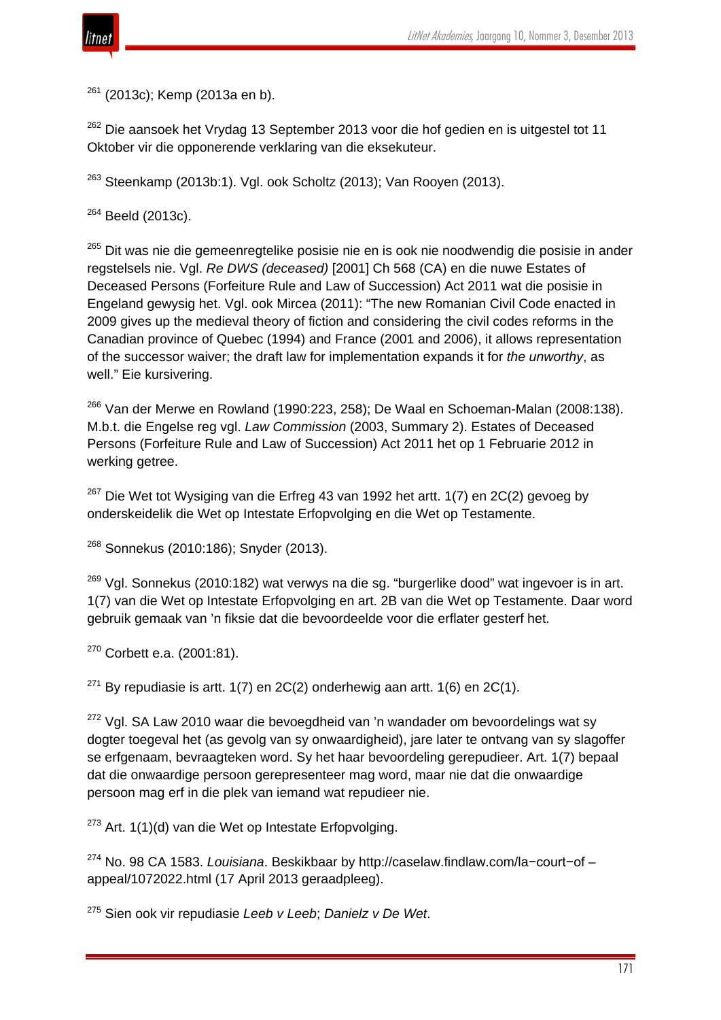$261$  (2013c); Kemp (2013a en b).

 $262$  Die aansoek het Vrydag 13 September 2013 voor die hof gedien en is uitgestel tot 11 Oktober vir die opponerende verklaring van die eksekuteur.

 $263$  Steenkamp (2013b:1). Vgl. ook Scholtz (2013); Van Rooyen (2013).

 $264$  Beeld (2013c).

<sup>265</sup> Dit was nie die gemeenregtelike posisie nie en is ook nie noodwendig die posisie in ander regstelsels nie. Vgl. *Re DWS (deceased)* [2001] Ch 568 (CA) en die nuwe Estates of Deceased Persons (Forfeiture Rule and Law of Succession) Act 2011 wat die posisie in Engeland gewysig het. Vgl. ook Mircea (2011): "The new Romanian Civil Code enacted in 2009 gives up the medieval theory of fiction and considering the civil codes reforms in the Canadian province of Quebec (1994) and France (2001 and 2006), it allows representation of the successor waiver; the draft law for implementation expands it for *the unworthy*, as well." Eie kursivering.

 $266$  Van der Merwe en Rowland (1990:223, 258); De Waal en Schoeman-Malan (2008:138). M.b.t. die Engelse reg vgl. *Law Commission* (2003, Summary 2). Estates of Deceased Persons (Forfeiture Rule and Law of Succession) Act 2011 het op 1 Februarie 2012 in werking getree.

 $267$  Die Wet tot Wysiging van die Erfreg 43 van 1992 het artt. 1(7) en 2C(2) gevoeg by onderskeidelik die Wet op Intestate Erfopvolging en die Wet op Testamente.

<sup>268</sup> Sonnekus (2010:186); Snyder (2013).

 $269$  Vgl. Sonnekus (2010:182) wat verwys na die sg. "burgerlike dood" wat ingevoer is in art. 1(7) van die Wet op Intestate Erfopvolging en art. 2B van die Wet op Testamente. Daar word gebruik gemaak van 'n fiksie dat die bevoordeelde voor die erflater gesterf het.

<sup>270</sup> Corbett e.a. (2001:81).

 $271$  By repudiasie is artt. 1(7) en 2C(2) onderhewig aan artt. 1(6) en 2C(1).

 $272$  Vgl. SA Law 2010 waar die bevoegdheid van 'n wandader om bevoordelings wat sy dogter toegeval het (as gevolg van sy onwaardigheid), jare later te ontvang van sy slagoffer se erfgenaam, bevraagteken word. Sy het haar bevoordeling gerepudieer. Art. 1(7) bepaal dat die onwaardige persoon gerepresenteer mag word, maar nie dat die onwaardige persoon mag erf in die plek van iemand wat repudieer nie.

 $273$  Art. 1(1)(d) van die Wet op Intestate Erfopvolging.

<sup>274</sup> No. 98 CA 1583. *Louisiana*. Beskikbaar by http://caselaw.findlaw.com/la−court−of – appeal/1072022.html (17 April 2013 geraadpleeg).

<sup>275</sup> Sien ook vir repudiasie *Leeb v Leeb*; *Danielz v De Wet*.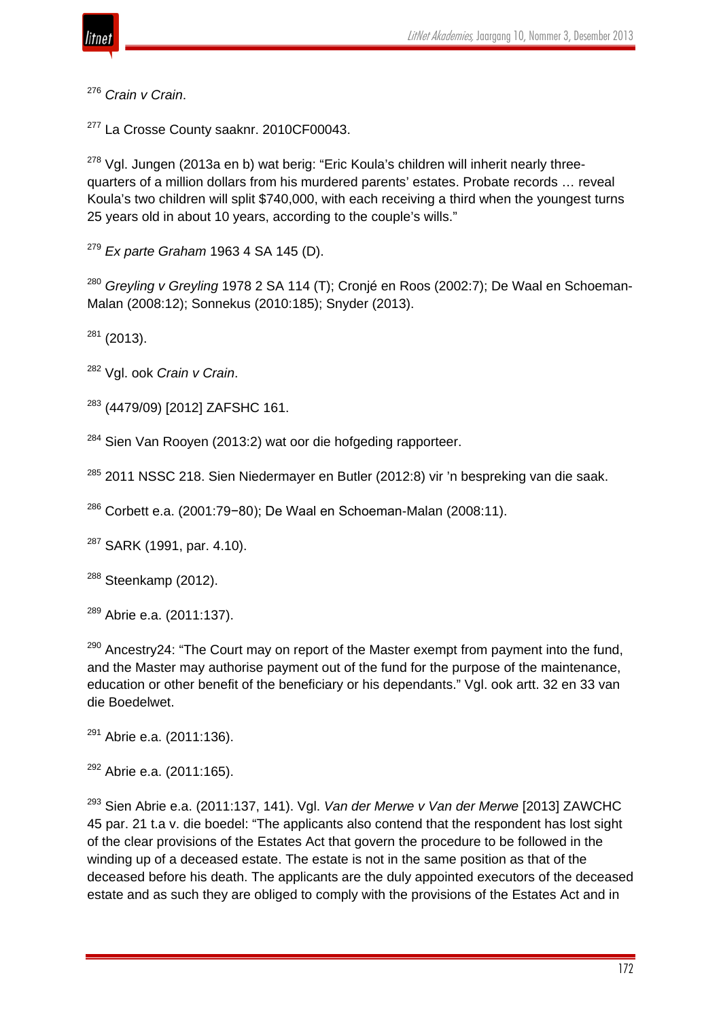

<sup>276</sup> *Crain v Crain*.

<sup>277</sup> La Crosse County saaknr, 2010CF00043.

 $278$  Vgl. Jungen (2013a en b) wat berig: "Eric Koula's children will inherit nearly threequarters of a million dollars from his murdered parents' estates. Probate records … reveal Koula's two children will split \$740,000, with each receiving a third when the youngest turns 25 years old in about 10 years, according to the couple's wills."

<sup>279</sup> *Ex parte Graham* 1963 4 SA 145 (D).

<sup>280</sup> *Greyling v Greyling* 1978 2 SA 114 (T); Cronjé en Roos (2002:7); De Waal en Schoeman-Malan (2008:12); Sonnekus (2010:185); Snyder (2013).

 $281$  (2013).

<sup>282</sup> Vgl. ook *Crain v Crain*.

<sup>283</sup> (4479/09) [2012] ZAFSHC 161.

<sup>284</sup> Sien Van Rooyen (2013:2) wat oor die hofgeding rapporteer.

<sup>285</sup> 2011 NSSC 218. Sien Niedermayer en Butler (2012:8) vir 'n bespreking van die saak.

<sup>286</sup> Corbett e.a. (2001:79−80); De Waal en Schoeman-Malan (2008:11).

<sup>287</sup> SARK (1991, par. 4.10).

 $288$  Steenkamp (2012).

 $289$  Abrie e.a. (2011:137).

 $290$  Ancestry 24: "The Court may on report of the Master exempt from payment into the fund, and the Master may authorise payment out of the fund for the purpose of the maintenance, education or other benefit of the beneficiary or his dependants." Vgl. ook artt. 32 en 33 van die Boedelwet.

<sup>291</sup> Abrie e.a. (2011:136).

<sup>292</sup> Abrie e.a. (2011:165).

<sup>293</sup> Sien Abrie e.a. (2011:137, 141). Vgl. *Van der Merwe v Van der Merwe* [2013] ZAWCHC 45 par. 21 t.a v. die boedel: "The applicants also contend that the respondent has lost sight of the clear provisions of the Estates Act that govern the procedure to be followed in the winding up of a deceased estate. The estate is not in the same position as that of the deceased before his death. The applicants are the duly appointed executors of the deceased estate and as such they are obliged to comply with the provisions of the Estates Act and in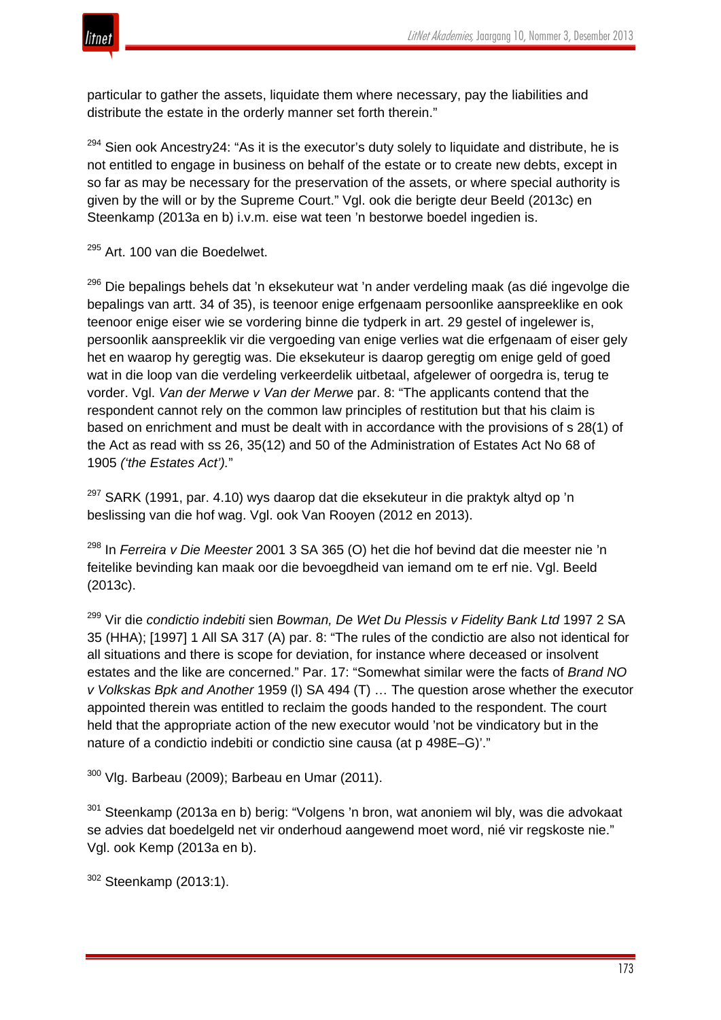

particular to gather the assets, liquidate them where necessary, pay the liabilities and distribute the estate in the orderly manner set forth therein."

<sup>294</sup> Sien ook Ancestry 24: "As it is the executor's duty solely to liquidate and distribute, he is not entitled to engage in business on behalf of the estate or to create new debts, except in so far as may be necessary for the preservation of the assets, or where special authority is given by the will or by the Supreme Court." Vgl. ook die berigte deur Beeld (2013c) en Steenkamp (2013a en b) i.v.m. eise wat teen 'n bestorwe boedel ingedien is.

<sup>295</sup> Art. 100 van die Boedelwet.

<sup>296</sup> Die bepalings behels dat 'n eksekuteur wat 'n ander verdeling maak (as dié ingevolge die bepalings van artt. 34 of 35), is teenoor enige erfgenaam persoonlike aanspreeklike en ook teenoor enige eiser wie se vordering binne die tydperk in art. 29 gestel of ingelewer is, persoonlik aanspreeklik vir die vergoeding van enige verlies wat die erfgenaam of eiser gely het en waarop hy geregtig was. Die eksekuteur is daarop geregtig om enige geld of goed wat in die loop van die verdeling verkeerdelik uitbetaal, afgelewer of oorgedra is, terug te vorder. Vgl. *Van der Merwe v Van der Merwe* par. 8: "The applicants contend that the respondent cannot rely on the common law principles of restitution but that his claim is based on enrichment and must be dealt with in accordance with the provisions of s 28(1) of the Act as read with ss 26, 35(12) and 50 of the Administration of Estates Act No 68 of 1905 *('the Estates Act').*"

 $297$  SARK (1991, par. 4.10) wys daarop dat die eksekuteur in die praktyk altyd op 'n beslissing van die hof wag. Vgl. ook Van Rooyen (2012 en 2013).

<sup>298</sup> In *Ferreira v Die Meester* 2001 3 SA 365 (O) het die hof bevind dat die meester nie 'n feitelike bevinding kan maak oor die bevoegdheid van iemand om te erf nie. Vgl. Beeld (2013c).

<sup>299</sup> Vir die *condictio indebiti* sien *Bowman, De Wet Du Plessis v Fidelity Bank Ltd* 1997 2 SA 35 (HHA); [1997] 1 All SA 317 (A) par. 8: "The rules of the condictio are also not identical for all situations and there is scope for deviation, for instance where deceased or insolvent estates and the like are concerned." Par. 17: "Somewhat similar were the facts of *Brand NO v Volkskas Bpk and Another* 1959 (l) SA 494 (T) … The question arose whether the executor appointed therein was entitled to reclaim the goods handed to the respondent. The court held that the appropriate action of the new executor would 'not be vindicatory but in the nature of a condictio indebiti or condictio sine causa (at p 498E–G)'."

 $300$  Vlg. Barbeau (2009); Barbeau en Umar (2011).

<sup>301</sup> Steenkamp (2013a en b) berig: "Volgens 'n bron, wat anoniem wil bly, was die advokaat se advies dat boedelgeld net vir onderhoud aangewend moet word, nié vir regskoste nie." Vgl. ook Kemp (2013a en b).

```
302 Steenkamp (2013:1).
```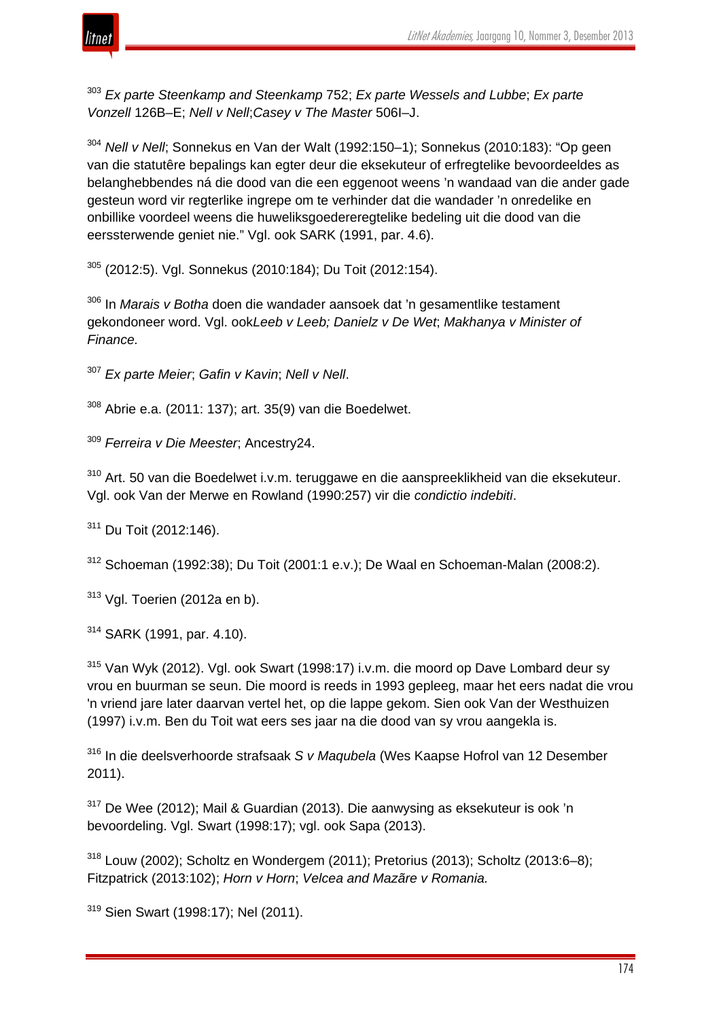



<sup>303</sup> *Ex parte Steenkamp and Steenkamp* 752; *Ex parte Wessels and Lubbe*; *Ex parte Vonzell* 126B–E; *Nell v Nell*;*Casey v The Master* 506I–J.

<sup>304</sup> *Nell v Nell*; Sonnekus en Van der Walt (1992:150–1); Sonnekus (2010:183): "Op geen van die statutêre bepalings kan egter deur die eksekuteur of erfregtelike bevoordeeldes as belanghebbendes ná die dood van die een eggenoot weens 'n wandaad van die ander gade gesteun word vir regterlike ingrepe om te verhinder dat die wandader 'n onredelike en onbillike voordeel weens die huweliksgoedereregtelike bedeling uit die dood van die eerssterwende geniet nie." Vgl. ook SARK (1991, par. 4.6).

<sup>305</sup> (2012:5). Vgl. Sonnekus (2010:184); Du Toit (2012:154).

<sup>306</sup> In *Marais v Botha* doen die wandader aansoek dat 'n gesamentlike testament gekondoneer word. Vgl. ook*Leeb v Leeb; Danielz v De Wet*; *Makhanya v Minister of Finance.*

<sup>307</sup> *Ex parte Meier*; *Gafin v Kavin*; *Nell v Nell*.

 $308$  Abrie e.a. (2011: 137); art. 35(9) van die Boedelwet.

<sup>309</sup> *Ferreira v Die Meester*; Ancestry24.

<sup>310</sup> Art. 50 van die Boedelwet i.v.m. teruggawe en die aanspreeklikheid van die eksekuteur. Vgl. ook Van der Merwe en Rowland (1990:257) vir die *condictio indebiti*.

<sup>311</sup> Du Toit (2012:146).

 $312$  Schoeman (1992:38); Du Toit (2001:1 e.v.); De Waal en Schoeman-Malan (2008:2).

 $313$  Vgl. Toerien (2012a en b).

<sup>314</sup> SARK (1991, par. 4.10).

<sup>315</sup> Van Wyk (2012). Vgl. ook Swart (1998:17) i.v.m. die moord op Dave Lombard deur sy vrou en buurman se seun. Die moord is reeds in 1993 gepleeg, maar het eers nadat die vrou 'n vriend jare later daarvan vertel het, op die lappe gekom. Sien ook Van der Westhuizen (1997) i.v.m. Ben du Toit wat eers ses jaar na die dood van sy vrou aangekla is.

<sup>316</sup> In die deelsverhoorde strafsaak *S v Maqubela* (Wes Kaapse Hofrol van 12 Desember 2011).

<sup>317</sup> De Wee (2012); Mail & Guardian (2013). Die aanwysing as eksekuteur is ook 'n bevoordeling. Vgl. Swart (1998:17); vgl. ook Sapa (2013).

<sup>318</sup> Louw (2002); Scholtz en Wondergem (2011); Pretorius (2013); Scholtz (2013:6–8); Fitzpatrick (2013:102); *Horn v Horn*; *Velcea and Mazãre v Romania.*

<sup>319</sup> Sien Swart (1998:17); Nel (2011).